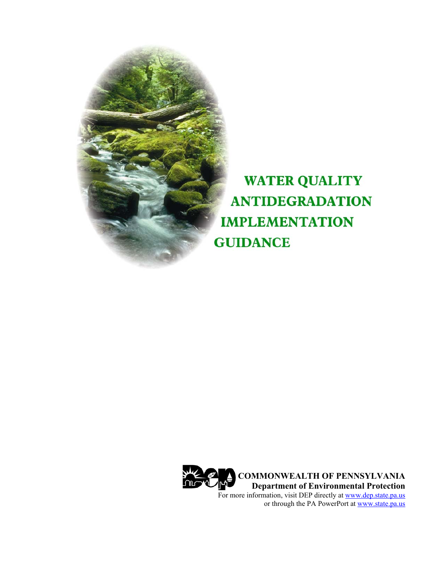

**WATER QUALITY ANTIDEGRADATION IMPLEMENTATION GUIDANCE** 

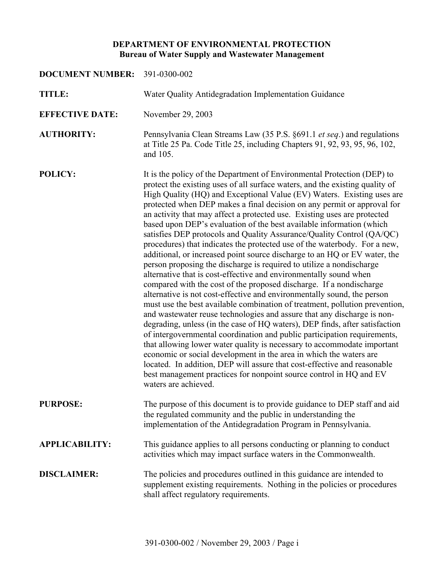# **DEPARTMENT OF ENVIRONMENTAL PROTECTION Bureau of Water Supply and Wastewater Management**

| DOCUMENT NUMBER: 391-0300-002 |                                                                                                                                                                                                                                                                                                                                                                                                                                                                                                                                                                                                                                                                                                                                                                                                                                                                                                                                                                                                                                                                                                                                                                                                                                                                                                                                                                                                                                                                                                                                                                                                                                                    |  |  |
|-------------------------------|----------------------------------------------------------------------------------------------------------------------------------------------------------------------------------------------------------------------------------------------------------------------------------------------------------------------------------------------------------------------------------------------------------------------------------------------------------------------------------------------------------------------------------------------------------------------------------------------------------------------------------------------------------------------------------------------------------------------------------------------------------------------------------------------------------------------------------------------------------------------------------------------------------------------------------------------------------------------------------------------------------------------------------------------------------------------------------------------------------------------------------------------------------------------------------------------------------------------------------------------------------------------------------------------------------------------------------------------------------------------------------------------------------------------------------------------------------------------------------------------------------------------------------------------------------------------------------------------------------------------------------------------------|--|--|
| <b>TITLE:</b>                 | Water Quality Antidegradation Implementation Guidance                                                                                                                                                                                                                                                                                                                                                                                                                                                                                                                                                                                                                                                                                                                                                                                                                                                                                                                                                                                                                                                                                                                                                                                                                                                                                                                                                                                                                                                                                                                                                                                              |  |  |
| <b>EFFECTIVE DATE:</b>        | November 29, 2003                                                                                                                                                                                                                                                                                                                                                                                                                                                                                                                                                                                                                                                                                                                                                                                                                                                                                                                                                                                                                                                                                                                                                                                                                                                                                                                                                                                                                                                                                                                                                                                                                                  |  |  |
| <b>AUTHORITY:</b>             | Pennsylvania Clean Streams Law (35 P.S. §691.1 et seq.) and regulations<br>at Title 25 Pa. Code Title 25, including Chapters 91, 92, 93, 95, 96, 102,<br>and 105.                                                                                                                                                                                                                                                                                                                                                                                                                                                                                                                                                                                                                                                                                                                                                                                                                                                                                                                                                                                                                                                                                                                                                                                                                                                                                                                                                                                                                                                                                  |  |  |
| POLICY:                       | It is the policy of the Department of Environmental Protection (DEP) to<br>protect the existing uses of all surface waters, and the existing quality of<br>High Quality (HQ) and Exceptional Value (EV) Waters. Existing uses are<br>protected when DEP makes a final decision on any permit or approval for<br>an activity that may affect a protected use. Existing uses are protected<br>based upon DEP's evaluation of the best available information (which<br>satisfies DEP protocols and Quality Assurance/Quality Control (QA/QC)<br>procedures) that indicates the protected use of the waterbody. For a new,<br>additional, or increased point source discharge to an HQ or EV water, the<br>person proposing the discharge is required to utilize a nondischarge<br>alternative that is cost-effective and environmentally sound when<br>compared with the cost of the proposed discharge. If a nondischarge<br>alternative is not cost-effective and environmentally sound, the person<br>must use the best available combination of treatment, pollution prevention,<br>and wastewater reuse technologies and assure that any discharge is non-<br>degrading, unless (in the case of HQ waters), DEP finds, after satisfaction<br>of intergovernmental coordination and public participation requirements,<br>that allowing lower water quality is necessary to accommodate important<br>economic or social development in the area in which the waters are<br>located. In addition, DEP will assure that cost-effective and reasonable<br>best management practices for nonpoint source control in HQ and EV<br>waters are achieved. |  |  |
| <b>PURPOSE:</b>               | The purpose of this document is to provide guidance to DEP staff and aid<br>the regulated community and the public in understanding the<br>implementation of the Antidegradation Program in Pennsylvania.                                                                                                                                                                                                                                                                                                                                                                                                                                                                                                                                                                                                                                                                                                                                                                                                                                                                                                                                                                                                                                                                                                                                                                                                                                                                                                                                                                                                                                          |  |  |
| <b>APPLICABILITY:</b>         | This guidance applies to all persons conducting or planning to conduct<br>activities which may impact surface waters in the Commonwealth.                                                                                                                                                                                                                                                                                                                                                                                                                                                                                                                                                                                                                                                                                                                                                                                                                                                                                                                                                                                                                                                                                                                                                                                                                                                                                                                                                                                                                                                                                                          |  |  |
| <b>DISCLAIMER:</b>            | The policies and procedures outlined in this guidance are intended to<br>supplement existing requirements. Nothing in the policies or procedures<br>shall affect regulatory requirements.                                                                                                                                                                                                                                                                                                                                                                                                                                                                                                                                                                                                                                                                                                                                                                                                                                                                                                                                                                                                                                                                                                                                                                                                                                                                                                                                                                                                                                                          |  |  |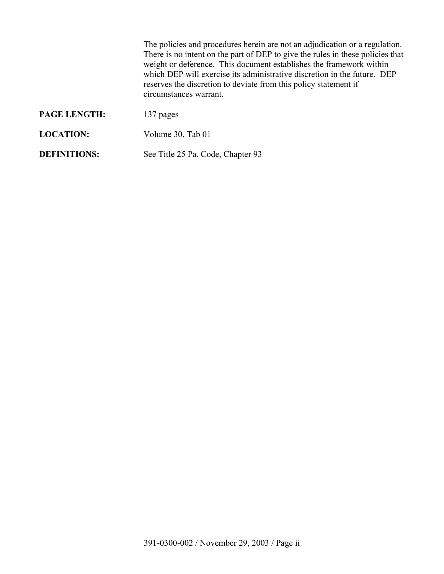The policies and procedures herein are not an adjudication or a regulation. There is no intent on the part of DEP to give the rules in these policies that weight or deference. This document establishes the framework within which DEP will exercise its administrative discretion in the future. DEP reserves the discretion to deviate from this policy statement if circumstances warrant.

| <b>PAGE LENGTH:</b> | 137 pages                         |
|---------------------|-----------------------------------|
| <b>LOCATION:</b>    | Volume 30, Tab 01                 |
| <b>DEFINITIONS:</b> | See Title 25 Pa. Code, Chapter 93 |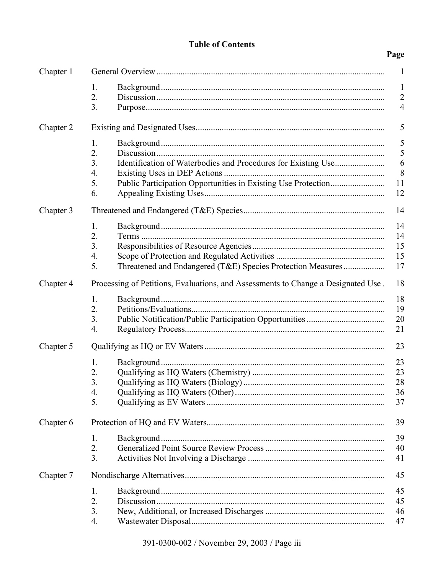# **Table of Contents**

# Page

| Chapter 1 | 1                                                                                 |                |  |  |  |
|-----------|-----------------------------------------------------------------------------------|----------------|--|--|--|
|           | 1.                                                                                | $\mathbf{1}$   |  |  |  |
|           | 2.                                                                                | $\overline{2}$ |  |  |  |
|           | 3.                                                                                | $\overline{4}$ |  |  |  |
| Chapter 2 |                                                                                   | 5              |  |  |  |
|           | 1.                                                                                | 5              |  |  |  |
|           | 2.                                                                                | 5              |  |  |  |
|           | 3.                                                                                | 6              |  |  |  |
|           | 4.                                                                                | 8              |  |  |  |
|           | 5.                                                                                | 11             |  |  |  |
|           | 6.                                                                                | 12             |  |  |  |
| Chapter 3 |                                                                                   | 14             |  |  |  |
|           | 1.                                                                                | 14             |  |  |  |
|           | 2.                                                                                | 14             |  |  |  |
|           | 3.                                                                                | 15             |  |  |  |
|           | 4.                                                                                | 15             |  |  |  |
|           | 5.<br>Threatened and Endangered (T&E) Species Protection Measures                 | 17             |  |  |  |
| Chapter 4 | Processing of Petitions, Evaluations, and Assessments to Change a Designated Use. | 18             |  |  |  |
|           | 1.                                                                                | 18             |  |  |  |
|           | 2.                                                                                | 19             |  |  |  |
|           | 3.                                                                                | 20             |  |  |  |
|           | 4.                                                                                | 21             |  |  |  |
| Chapter 5 |                                                                                   | 23             |  |  |  |
|           | 1.                                                                                | 23             |  |  |  |
|           | 2.                                                                                | 23             |  |  |  |
|           | 3.                                                                                | 28             |  |  |  |
|           | 4.                                                                                | 36             |  |  |  |
|           | 5.                                                                                | 37             |  |  |  |
| Chapter 6 |                                                                                   | 39             |  |  |  |
|           | 1.                                                                                | 39             |  |  |  |
|           | 2.                                                                                | 40             |  |  |  |
|           | 3.                                                                                | 41             |  |  |  |
| Chapter 7 |                                                                                   | 45             |  |  |  |
|           | 1.                                                                                | 45             |  |  |  |
|           | 2.                                                                                | 45             |  |  |  |
|           | 3.                                                                                | 46             |  |  |  |
|           | 4.                                                                                | 47             |  |  |  |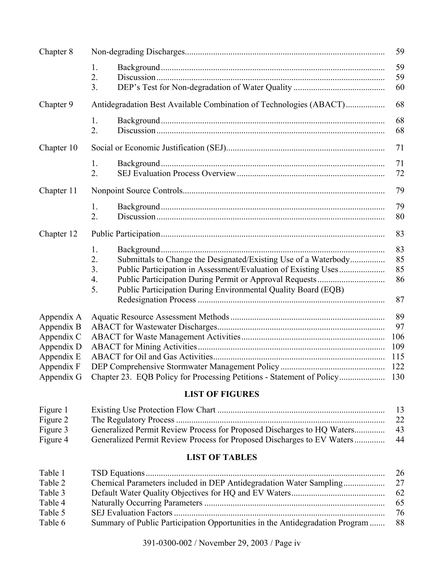| Chapter 8  |                                                                                 | 59  |
|------------|---------------------------------------------------------------------------------|-----|
|            | 1.                                                                              | 59  |
|            | 2.                                                                              | 59  |
|            | 3.                                                                              | 60  |
| Chapter 9  | Antidegradation Best Available Combination of Technologies (ABACT)              | 68  |
|            | $1_{\cdot}$                                                                     | 68  |
|            | $\overline{2}$ .                                                                | 68  |
| Chapter 10 |                                                                                 | 71  |
|            | 1.                                                                              | 71  |
|            | $\overline{2}$ .                                                                | 72  |
| Chapter 11 |                                                                                 | 79  |
|            | 1.                                                                              | 79  |
|            | $\overline{2}$ .                                                                | 80  |
| Chapter 12 |                                                                                 | 83  |
|            | 1.                                                                              | 83  |
|            | Submittals to Change the Designated/Existing Use of a Waterbody<br>2.           | 85  |
|            | 3.                                                                              | 85  |
|            | 4.                                                                              | 86  |
|            | 5 <sub>1</sub><br>Public Participation During Environmental Quality Board (EQB) |     |
|            |                                                                                 | 87  |
| Appendix A |                                                                                 | 89  |
| Appendix B |                                                                                 | 97  |
| Appendix C |                                                                                 | 106 |
| Appendix D |                                                                                 | 109 |
| Appendix E |                                                                                 | 115 |
| Appendix F |                                                                                 | 122 |
| Appendix G |                                                                                 | 130 |

# **LIST OF FIGURES**

| Figure 1 |                                                                        | 13 |
|----------|------------------------------------------------------------------------|----|
| Figure 2 |                                                                        | 22 |
| Figure 3 |                                                                        |    |
| Figure 4 | Generalized Permit Review Process for Proposed Discharges to EV Waters | 44 |

# **LIST OF TABLES**

| Table 1 |                                                                              | 26 |
|---------|------------------------------------------------------------------------------|----|
| Table 2 |                                                                              | 27 |
| Table 3 |                                                                              | 62 |
| Table 4 |                                                                              | 65 |
| Table 5 |                                                                              | 76 |
| Table 6 | Summary of Public Participation Opportunities in the Antidegradation Program | 88 |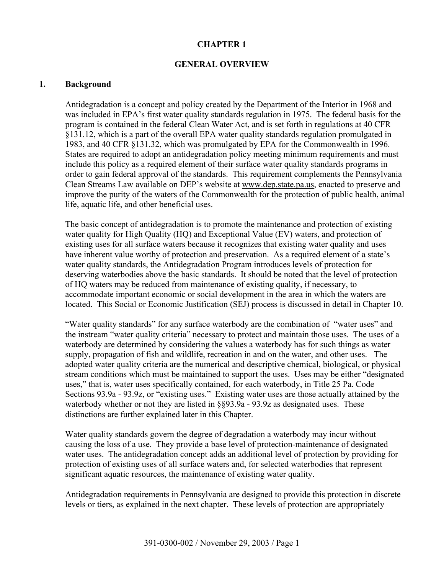### **CHAPTER 1**

### **GENERAL OVERVIEW**

### **1. Background**

Antidegradation is a concept and policy created by the Department of the Interior in 1968 and was included in EPA's first water quality standards regulation in 1975. The federal basis for the program is contained in the federal Clean Water Act, and is set forth in regulations at 40 CFR §131.12, which is a part of the overall EPA water quality standards regulation promulgated in 1983, and 40 CFR §131.32, which was promulgated by EPA for the Commonwealth in 1996. States are required to adopt an antidegradation policy meeting minimum requirements and must include this policy as a required element of their surface water quality standards programs in order to gain federal approval of the standards. This requirement complements the Pennsylvania Clean Streams Law available on DEP's website at www.dep.state.pa.us, enacted to preserve and improve the purity of the waters of the Commonwealth for the protection of public health, animal life, aquatic life, and other beneficial uses.

The basic concept of antidegradation is to promote the maintenance and protection of existing water quality for High Quality (HQ) and Exceptional Value (EV) waters, and protection of existing uses for all surface waters because it recognizes that existing water quality and uses have inherent value worthy of protection and preservation. As a required element of a state's water quality standards, the Antidegradation Program introduces levels of protection for deserving waterbodies above the basic standards. It should be noted that the level of protection of HQ waters may be reduced from maintenance of existing quality, if necessary, to accommodate important economic or social development in the area in which the waters are located. This Social or Economic Justification (SEJ) process is discussed in detail in Chapter 10.

"Water quality standards" for any surface waterbody are the combination of "water uses" and the instream "water quality criteria" necessary to protect and maintain those uses. The uses of a waterbody are determined by considering the values a waterbody has for such things as water supply, propagation of fish and wildlife, recreation in and on the water, and other uses. The adopted water quality criteria are the numerical and descriptive chemical, biological, or physical stream conditions which must be maintained to support the uses. Uses may be either "designated uses," that is, water uses specifically contained, for each waterbody, in Title 25 Pa. Code Sections 93.9a - 93.9z, or "existing uses." Existing water uses are those actually attained by the waterbody whether or not they are listed in §§93.9a - 93.9z as designated uses. These distinctions are further explained later in this Chapter.

Water quality standards govern the degree of degradation a waterbody may incur without causing the loss of a use. They provide a base level of protection-maintenance of designated water uses. The antidegradation concept adds an additional level of protection by providing for protection of existing uses of all surface waters and, for selected waterbodies that represent significant aquatic resources, the maintenance of existing water quality.

Antidegradation requirements in Pennsylvania are designed to provide this protection in discrete levels or tiers, as explained in the next chapter. These levels of protection are appropriately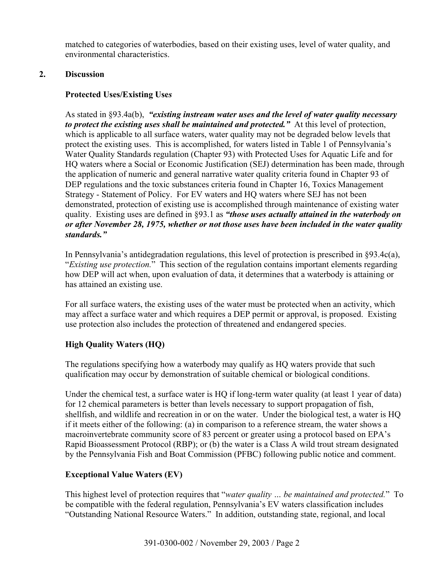matched to categories of waterbodies, based on their existing uses, level of water quality, and environmental characteristics.

# **2. Discussion**

# **Protected Uses/Existing Use***s*

As stated in §93.4a(b), *"existing instream water uses and the level of water quality necessary to protect the existing uses shall be maintained and protected."* At this level of protection, which is applicable to all surface waters, water quality may not be degraded below levels that protect the existing uses. This is accomplished, for waters listed in Table 1 of Pennsylvania's Water Quality Standards regulation (Chapter 93) with Protected Uses for Aquatic Life and for HQ waters where a Social or Economic Justification (SEJ) determination has been made, through the application of numeric and general narrative water quality criteria found in Chapter 93 of DEP regulations and the toxic substances criteria found in Chapter 16, Toxics Management Strategy - Statement of Policy. For EV waters and HQ waters where SEJ has not been demonstrated, protection of existing use is accomplished through maintenance of existing water quality. Existing uses are defined in §93.1 as *"those uses actually attained in the waterbody on or after November 28, 1975, whether or not those uses have been included in the water quality standards."* 

In Pennsylvania's antidegradation regulations, this level of protection is prescribed in §93.4c(a), "*Existing use protection.*" This section of the regulation contains important elements regarding how DEP will act when, upon evaluation of data, it determines that a waterbody is attaining or has attained an existing use.

For all surface waters, the existing uses of the water must be protected when an activity, which may affect a surface water and which requires a DEP permit or approval, is proposed. Existing use protection also includes the protection of threatened and endangered species.

# **High Quality Waters (HQ)**

The regulations specifying how a waterbody may qualify as HQ waters provide that such qualification may occur by demonstration of suitable chemical or biological conditions.

Under the chemical test, a surface water is HQ if long-term water quality (at least 1 year of data) for 12 chemical parameters is better than levels necessary to support propagation of fish, shellfish, and wildlife and recreation in or on the water. Under the biological test, a water is HQ if it meets either of the following: (a) in comparison to a reference stream, the water shows a macroinvertebrate community score of 83 percent or greater using a protocol based on EPA's Rapid Bioassessment Protocol (RBP); or (b) the water is a Class A wild trout stream designated by the Pennsylvania Fish and Boat Commission (PFBC) following public notice and comment.

# **Exceptional Value Waters (EV)**

This highest level of protection requires that "*water quality … be maintained and protected.*" To be compatible with the federal regulation, Pennsylvania's EV waters classification includes "Outstanding National Resource Waters." In addition, outstanding state, regional, and local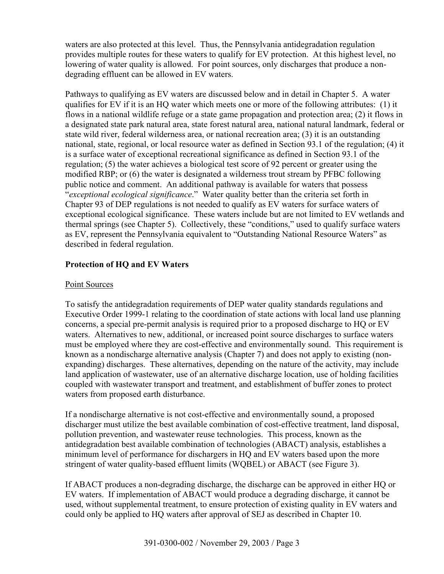waters are also protected at this level. Thus, the Pennsylvania antidegradation regulation provides multiple routes for these waters to qualify for EV protection. At this highest level, no lowering of water quality is allowed. For point sources, only discharges that produce a nondegrading effluent can be allowed in EV waters.

Pathways to qualifying as EV waters are discussed below and in detail in Chapter 5. A water qualifies for EV if it is an HQ water which meets one or more of the following attributes: (1) it flows in a national wildlife refuge or a state game propagation and protection area; (2) it flows in a designated state park natural area, state forest natural area, national natural landmark, federal or state wild river, federal wilderness area, or national recreation area; (3) it is an outstanding national, state, regional, or local resource water as defined in Section 93.1 of the regulation; (4) it is a surface water of exceptional recreational significance as defined in Section 93.1 of the regulation; (5) the water achieves a biological test score of 92 percent or greater using the modified RBP; or (6) the water is designated a wilderness trout stream by PFBC following public notice and comment. An additional pathway is available for waters that possess "*exceptional ecological significance*." Water quality better than the criteria set forth in Chapter 93 of DEP regulations is not needed to qualify as EV waters for surface waters of exceptional ecological significance. These waters include but are not limited to EV wetlands and thermal springs (see Chapter 5). Collectively, these "conditions," used to qualify surface waters as EV, represent the Pennsylvania equivalent to "Outstanding National Resource Waters" as described in federal regulation.

# **Protection of HQ and EV Waters**

# Point Sources

To satisfy the antidegradation requirements of DEP water quality standards regulations and Executive Order 1999-1 relating to the coordination of state actions with local land use planning concerns, a special pre-permit analysis is required prior to a proposed discharge to HQ or EV waters. Alternatives to new, additional, or increased point source discharges to surface waters must be employed where they are cost-effective and environmentally sound. This requirement is known as a nondischarge alternative analysis (Chapter 7) and does not apply to existing (nonexpanding) discharges. These alternatives, depending on the nature of the activity, may include land application of wastewater, use of an alternative discharge location, use of holding facilities coupled with wastewater transport and treatment, and establishment of buffer zones to protect waters from proposed earth disturbance.

If a nondischarge alternative is not cost-effective and environmentally sound, a proposed discharger must utilize the best available combination of cost-effective treatment, land disposal, pollution prevention, and wastewater reuse technologies. This process, known as the antidegradation best available combination of technologies (ABACT) analysis, establishes a minimum level of performance for dischargers in HQ and EV waters based upon the more stringent of water quality-based effluent limits (WQBEL) or ABACT (see Figure 3).

If ABACT produces a non-degrading discharge, the discharge can be approved in either HQ or EV waters. If implementation of ABACT would produce a degrading discharge, it cannot be used, without supplemental treatment, to ensure protection of existing quality in EV waters and could only be applied to HQ waters after approval of SEJ as described in Chapter 10.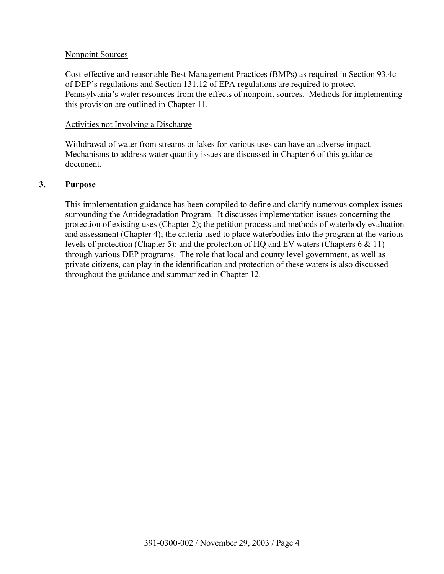### Nonpoint Sources

Cost-effective and reasonable Best Management Practices (BMPs) as required in Section 93.4c of DEP's regulations and Section 131.12 of EPA regulations are required to protect Pennsylvania's water resources from the effects of nonpoint sources. Methods for implementing this provision are outlined in Chapter 11.

### Activities not Involving a Discharge

Withdrawal of water from streams or lakes for various uses can have an adverse impact. Mechanisms to address water quantity issues are discussed in Chapter 6 of this guidance document.

### **3. Purpose**

This implementation guidance has been compiled to define and clarify numerous complex issues surrounding the Antidegradation Program. It discusses implementation issues concerning the protection of existing uses (Chapter 2); the petition process and methods of waterbody evaluation and assessment (Chapter 4); the criteria used to place waterbodies into the program at the various levels of protection (Chapter 5); and the protection of HQ and EV waters (Chapters 6 & 11) through various DEP programs. The role that local and county level government, as well as private citizens, can play in the identification and protection of these waters is also discussed throughout the guidance and summarized in Chapter 12.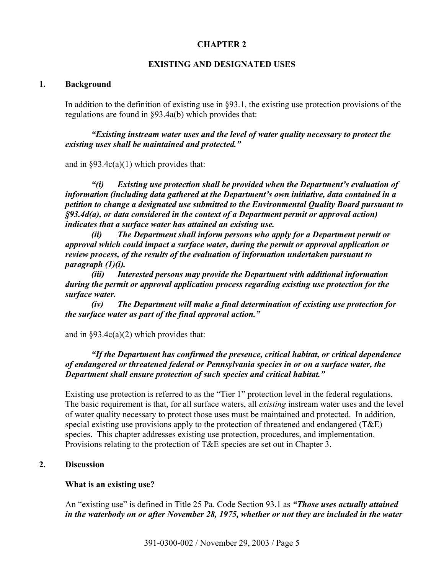## **CHAPTER 2**

### **EXISTING AND DESIGNATED USES**

#### **1. Background**

In addition to the definition of existing use in §93.1, the existing use protection provisions of the regulations are found in §93.4a(b) which provides that:

*"Existing instream water uses and the level of water quality necessary to protect the existing uses shall be maintained and protected."* 

and in  $\S 93.4c(a)(1)$  which provides that:

*"(i) Existing use protection shall be provided when the Department's evaluation of information (including data gathered at the Department's own initiative, data contained in a petition to change a designated use submitted to the Environmental Quality Board pursuant to §93.4d(a), or data considered in the context of a Department permit or approval action) indicates that a surface water has attained an existing use.* 

*(ii) The Department shall inform persons who apply for a Department permit or approval which could impact a surface water, during the permit or approval application or review process, of the results of the evaluation of information undertaken pursuant to paragraph (1)(i).* 

*(iii) Interested persons may provide the Department with additional information during the permit or approval application process regarding existing use protection for the surface water.* 

*(iv) The Department will make a final determination of existing use protection for the surface water as part of the final approval action."*

and in  $\S 93.4c(a)(2)$  which provides that:

# *"If the Department has confirmed the presence, critical habitat, or critical dependence of endangered or threatened federal or Pennsylvania species in or on a surface water, the Department shall ensure protection of such species and critical habitat."*

Existing use protection is referred to as the "Tier 1" protection level in the federal regulations. The basic requirement is that, for all surface waters, all *existing* instream water uses and the level of water quality necessary to protect those uses must be maintained and protected. In addition, special existing use provisions apply to the protection of threatened and endangered (T&E) species. This chapter addresses existing use protection, procedures, and implementation. Provisions relating to the protection of T&E species are set out in Chapter 3.

## **2. Discussion**

### **What is an existing use?**

An "existing use" is defined in Title 25 Pa. Code Section 93.1 as *"Those uses actually attained in the waterbody on or after November 28, 1975, whether or not they are included in the water*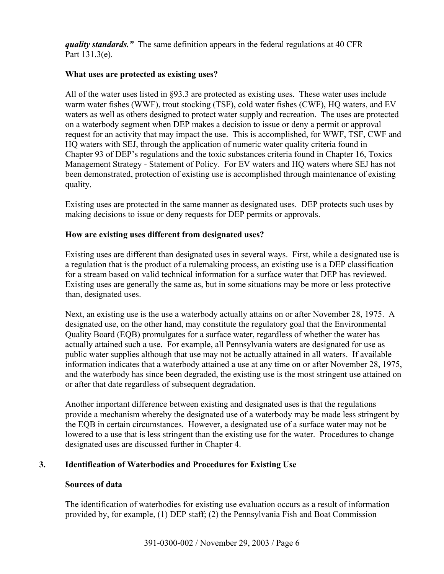*quality standards."* The same definition appears in the federal regulations at 40 CFR Part 131.3(e).

# **What uses are protected as existing uses?**

All of the water uses listed in §93.3 are protected as existing uses. These water uses include warm water fishes (WWF), trout stocking (TSF), cold water fishes (CWF), HQ waters, and EV waters as well as others designed to protect water supply and recreation. The uses are protected on a waterbody segment when DEP makes a decision to issue or deny a permit or approval request for an activity that may impact the use. This is accomplished, for WWF, TSF, CWF and HQ waters with SEJ, through the application of numeric water quality criteria found in Chapter 93 of DEP's regulations and the toxic substances criteria found in Chapter 16, Toxics Management Strategy - Statement of Policy. For EV waters and HQ waters where SEJ has not been demonstrated, protection of existing use is accomplished through maintenance of existing quality.

Existing uses are protected in the same manner as designated uses. DEP protects such uses by making decisions to issue or deny requests for DEP permits or approvals.

### **How are existing uses different from designated uses?**

Existing uses are different than designated uses in several ways. First, while a designated use is a regulation that is the product of a rulemaking process, an existing use is a DEP classification for a stream based on valid technical information for a surface water that DEP has reviewed. Existing uses are generally the same as, but in some situations may be more or less protective than, designated uses.

Next, an existing use is the use a waterbody actually attains on or after November 28, 1975. A designated use, on the other hand, may constitute the regulatory goal that the Environmental Quality Board (EQB) promulgates for a surface water, regardless of whether the water has actually attained such a use. For example, all Pennsylvania waters are designated for use as public water supplies although that use may not be actually attained in all waters. If available information indicates that a waterbody attained a use at any time on or after November 28, 1975, and the waterbody has since been degraded, the existing use is the most stringent use attained on or after that date regardless of subsequent degradation.

Another important difference between existing and designated uses is that the regulations provide a mechanism whereby the designated use of a waterbody may be made less stringent by the EQB in certain circumstances. However, a designated use of a surface water may not be lowered to a use that is less stringent than the existing use for the water. Procedures to change designated uses are discussed further in Chapter 4.

# **3. Identification of Waterbodies and Procedures for Existing Use**

### **Sources of data**

The identification of waterbodies for existing use evaluation occurs as a result of information provided by, for example, (1) DEP staff; (2) the Pennsylvania Fish and Boat Commission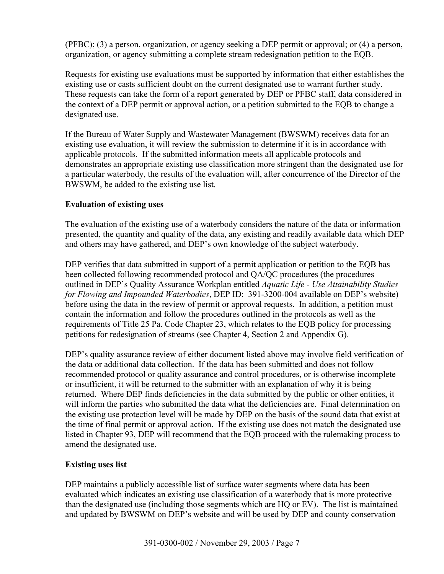(PFBC); (3) a person, organization, or agency seeking a DEP permit or approval; or (4) a person, organization, or agency submitting a complete stream redesignation petition to the EQB.

Requests for existing use evaluations must be supported by information that either establishes the existing use or casts sufficient doubt on the current designated use to warrant further study. These requests can take the form of a report generated by DEP or PFBC staff, data considered in the context of a DEP permit or approval action, or a petition submitted to the EQB to change a designated use.

If the Bureau of Water Supply and Wastewater Management (BWSWM) receives data for an existing use evaluation, it will review the submission to determine if it is in accordance with applicable protocols. If the submitted information meets all applicable protocols and demonstrates an appropriate existing use classification more stringent than the designated use for a particular waterbody, the results of the evaluation will, after concurrence of the Director of the BWSWM, be added to the existing use list.

# **Evaluation of existing uses**

The evaluation of the existing use of a waterbody considers the nature of the data or information presented, the quantity and quality of the data, any existing and readily available data which DEP and others may have gathered, and DEP's own knowledge of the subject waterbody.

DEP verifies that data submitted in support of a permit application or petition to the EQB has been collected following recommended protocol and QA/QC procedures (the procedures outlined in DEP's Quality Assurance Workplan entitled *Aquatic Life - Use Attainability Studies for Flowing and Impounded Waterbodies*, DEP ID: 391-3200-004 available on DEP's website) before using the data in the review of permit or approval requests. In addition, a petition must contain the information and follow the procedures outlined in the protocols as well as the requirements of Title 25 Pa. Code Chapter 23, which relates to the EQB policy for processing petitions for redesignation of streams (see Chapter 4, Section 2 and Appendix G).

DEP's quality assurance review of either document listed above may involve field verification of the data or additional data collection. If the data has been submitted and does not follow recommended protocol or quality assurance and control procedures, or is otherwise incomplete or insufficient, it will be returned to the submitter with an explanation of why it is being returned. Where DEP finds deficiencies in the data submitted by the public or other entities, it will inform the parties who submitted the data what the deficiencies are. Final determination on the existing use protection level will be made by DEP on the basis of the sound data that exist at the time of final permit or approval action. If the existing use does not match the designated use listed in Chapter 93, DEP will recommend that the EQB proceed with the rulemaking process to amend the designated use.

# **Existing uses list**

DEP maintains a publicly accessible list of surface water segments where data has been evaluated which indicates an existing use classification of a waterbody that is more protective than the designated use (including those segments which are HQ or EV). The list is maintained and updated by BWSWM on DEP's website and will be used by DEP and county conservation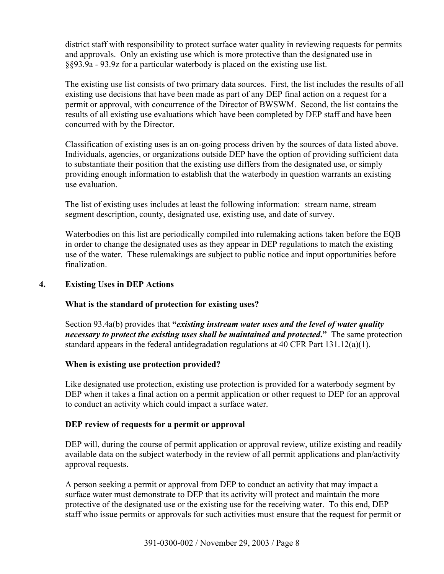district staff with responsibility to protect surface water quality in reviewing requests for permits and approvals. Only an existing use which is more protective than the designated use in §§93.9a - 93.9z for a particular waterbody is placed on the existing use list.

The existing use list consists of two primary data sources. First, the list includes the results of all existing use decisions that have been made as part of any DEP final action on a request for a permit or approval, with concurrence of the Director of BWSWM. Second, the list contains the results of all existing use evaluations which have been completed by DEP staff and have been concurred with by the Director.

Classification of existing uses is an on-going process driven by the sources of data listed above. Individuals, agencies, or organizations outside DEP have the option of providing sufficient data to substantiate their position that the existing use differs from the designated use, or simply providing enough information to establish that the waterbody in question warrants an existing use evaluation.

The list of existing uses includes at least the following information: stream name, stream segment description, county, designated use, existing use, and date of survey.

Waterbodies on this list are periodically compiled into rulemaking actions taken before the EQB in order to change the designated uses as they appear in DEP regulations to match the existing use of the water. These rulemakings are subject to public notice and input opportunities before finalization.

# **4. Existing Uses in DEP Actions**

# **What is the standard of protection for existing uses?**

Section 93.4a(b) provides that **"***existing instream water uses and the level of water quality necessary to protect the existing uses shall be maintained and protected***."** The same protection standard appears in the federal antidegradation regulations at 40 CFR Part  $131.12(a)(1)$ .

### **When is existing use protection provided?**

Like designated use protection, existing use protection is provided for a waterbody segment by DEP when it takes a final action on a permit application or other request to DEP for an approval to conduct an activity which could impact a surface water.

### **DEP review of requests for a permit or approval**

DEP will, during the course of permit application or approval review, utilize existing and readily available data on the subject waterbody in the review of all permit applications and plan/activity approval requests.

A person seeking a permit or approval from DEP to conduct an activity that may impact a surface water must demonstrate to DEP that its activity will protect and maintain the more protective of the designated use or the existing use for the receiving water. To this end, DEP staff who issue permits or approvals for such activities must ensure that the request for permit or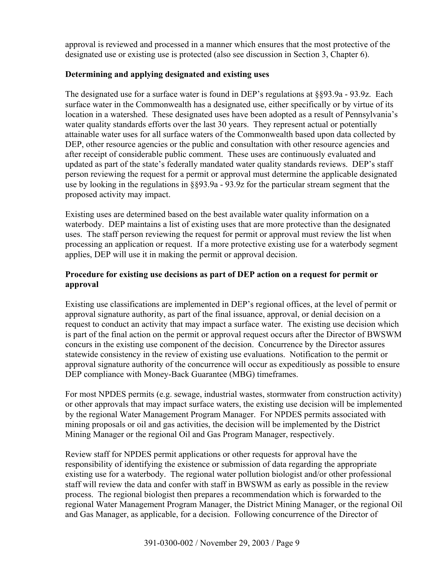approval is reviewed and processed in a manner which ensures that the most protective of the designated use or existing use is protected (also see discussion in Section 3, Chapter 6).

# **Determining and applying designated and existing uses**

The designated use for a surface water is found in DEP's regulations at  $\S$ §93.9a - 93.9z. Each surface water in the Commonwealth has a designated use, either specifically or by virtue of its location in a watershed. These designated uses have been adopted as a result of Pennsylvania's water quality standards efforts over the last 30 years. They represent actual or potentially attainable water uses for all surface waters of the Commonwealth based upon data collected by DEP, other resource agencies or the public and consultation with other resource agencies and after receipt of considerable public comment. These uses are continuously evaluated and updated as part of the state's federally mandated water quality standards reviews. DEP's staff person reviewing the request for a permit or approval must determine the applicable designated use by looking in the regulations in §§93.9a - 93.9z for the particular stream segment that the proposed activity may impact.

Existing uses are determined based on the best available water quality information on a waterbody. DEP maintains a list of existing uses that are more protective than the designated uses. The staff person reviewing the request for permit or approval must review the list when processing an application or request. If a more protective existing use for a waterbody segment applies, DEP will use it in making the permit or approval decision.

# **Procedure for existing use decisions as part of DEP action on a request for permit or approval**

Existing use classifications are implemented in DEP's regional offices, at the level of permit or approval signature authority, as part of the final issuance, approval, or denial decision on a request to conduct an activity that may impact a surface water. The existing use decision which is part of the final action on the permit or approval request occurs after the Director of BWSWM concurs in the existing use component of the decision. Concurrence by the Director assures statewide consistency in the review of existing use evaluations. Notification to the permit or approval signature authority of the concurrence will occur as expeditiously as possible to ensure DEP compliance with Money-Back Guarantee (MBG) timeframes.

For most NPDES permits (e.g. sewage, industrial wastes, stormwater from construction activity) or other approvals that may impact surface waters, the existing use decision will be implemented by the regional Water Management Program Manager. For NPDES permits associated with mining proposals or oil and gas activities, the decision will be implemented by the District Mining Manager or the regional Oil and Gas Program Manager, respectively.

Review staff for NPDES permit applications or other requests for approval have the responsibility of identifying the existence or submission of data regarding the appropriate existing use for a waterbody. The regional water pollution biologist and/or other professional staff will review the data and confer with staff in BWSWM as early as possible in the review process. The regional biologist then prepares a recommendation which is forwarded to the regional Water Management Program Manager, the District Mining Manager, or the regional Oil and Gas Manager, as applicable, for a decision. Following concurrence of the Director of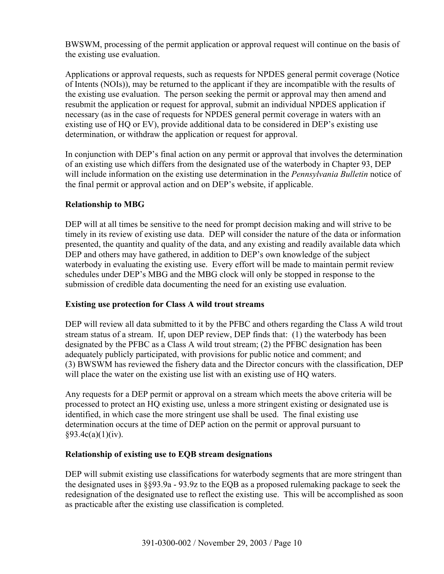BWSWM, processing of the permit application or approval request will continue on the basis of the existing use evaluation.

Applications or approval requests, such as requests for NPDES general permit coverage (Notice of Intents (NOIs)), may be returned to the applicant if they are incompatible with the results of the existing use evaluation. The person seeking the permit or approval may then amend and resubmit the application or request for approval, submit an individual NPDES application if necessary (as in the case of requests for NPDES general permit coverage in waters with an existing use of HQ or EV), provide additional data to be considered in DEP's existing use determination, or withdraw the application or request for approval.

In conjunction with DEP's final action on any permit or approval that involves the determination of an existing use which differs from the designated use of the waterbody in Chapter 93, DEP will include information on the existing use determination in the *Pennsylvania Bulletin* notice of the final permit or approval action and on DEP's website, if applicable.

# **Relationship to MBG**

DEP will at all times be sensitive to the need for prompt decision making and will strive to be timely in its review of existing use data. DEP will consider the nature of the data or information presented, the quantity and quality of the data, and any existing and readily available data which DEP and others may have gathered, in addition to DEP's own knowledge of the subject waterbody in evaluating the existing use. Every effort will be made to maintain permit review schedules under DEP's MBG and the MBG clock will only be stopped in response to the submission of credible data documenting the need for an existing use evaluation.

# **Existing use protection for Class A wild trout streams**

DEP will review all data submitted to it by the PFBC and others regarding the Class A wild trout stream status of a stream. If, upon DEP review, DEP finds that: (1) the waterbody has been designated by the PFBC as a Class A wild trout stream; (2) the PFBC designation has been adequately publicly participated, with provisions for public notice and comment; and (3) BWSWM has reviewed the fishery data and the Director concurs with the classification, DEP will place the water on the existing use list with an existing use of HQ waters.

Any requests for a DEP permit or approval on a stream which meets the above criteria will be processed to protect an HQ existing use, unless a more stringent existing or designated use is identified, in which case the more stringent use shall be used. The final existing use determination occurs at the time of DEP action on the permit or approval pursuant to  $§93.4c(a)(1)(iv).$ 

# **Relationship of existing use to EQB stream designations**

DEP will submit existing use classifications for waterbody segments that are more stringent than the designated uses in §§93.9a - 93.9z to the EQB as a proposed rulemaking package to seek the redesignation of the designated use to reflect the existing use. This will be accomplished as soon as practicable after the existing use classification is completed.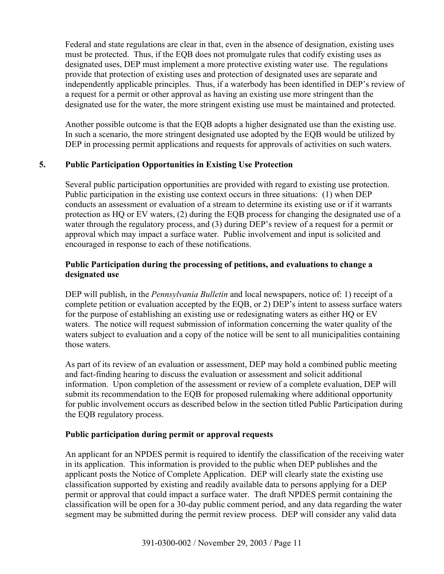Federal and state regulations are clear in that, even in the absence of designation, existing uses must be protected. Thus, if the EQB does not promulgate rules that codify existing uses as designated uses, DEP must implement a more protective existing water use. The regulations provide that protection of existing uses and protection of designated uses are separate and independently applicable principles. Thus, if a waterbody has been identified in DEP's review of a request for a permit or other approval as having an existing use more stringent than the designated use for the water, the more stringent existing use must be maintained and protected.

Another possible outcome is that the EQB adopts a higher designated use than the existing use. In such a scenario, the more stringent designated use adopted by the EQB would be utilized by DEP in processing permit applications and requests for approvals of activities on such waters.

# **5. Public Participation Opportunities in Existing Use Protection**

Several public participation opportunities are provided with regard to existing use protection. Public participation in the existing use context occurs in three situations: (1) when DEP conducts an assessment or evaluation of a stream to determine its existing use or if it warrants protection as HQ or EV waters, (2) during the EQB process for changing the designated use of a water through the regulatory process, and (3) during DEP's review of a request for a permit or approval which may impact a surface water. Public involvement and input is solicited and encouraged in response to each of these notifications.

# **Public Participation during the processing of petitions, and evaluations to change a designated use**

DEP will publish, in the *Pennsylvania Bulletin* and local newspapers, notice of: 1) receipt of a complete petition or evaluation accepted by the EQB, or 2) DEP's intent to assess surface waters for the purpose of establishing an existing use or redesignating waters as either HQ or EV waters. The notice will request submission of information concerning the water quality of the waters subject to evaluation and a copy of the notice will be sent to all municipalities containing those waters.

As part of its review of an evaluation or assessment, DEP may hold a combined public meeting and fact-finding hearing to discuss the evaluation or assessment and solicit additional information. Upon completion of the assessment or review of a complete evaluation, DEP will submit its recommendation to the EQB for proposed rulemaking where additional opportunity for public involvement occurs as described below in the section titled Public Participation during the EQB regulatory process.

# **Public participation during permit or approval requests**

An applicant for an NPDES permit is required to identify the classification of the receiving water in its application. This information is provided to the public when DEP publishes and the applicant posts the Notice of Complete Application. DEP will clearly state the existing use classification supported by existing and readily available data to persons applying for a DEP permit or approval that could impact a surface water. The draft NPDES permit containing the classification will be open for a 30-day public comment period, and any data regarding the water segment may be submitted during the permit review process. DEP will consider any valid data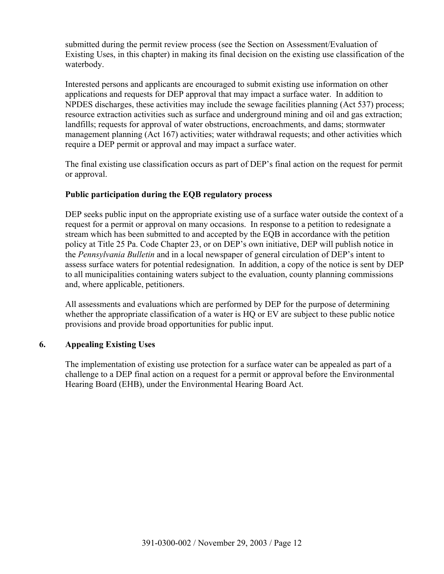submitted during the permit review process (see the Section on Assessment/Evaluation of Existing Uses, in this chapter) in making its final decision on the existing use classification of the waterbody.

Interested persons and applicants are encouraged to submit existing use information on other applications and requests for DEP approval that may impact a surface water. In addition to NPDES discharges, these activities may include the sewage facilities planning (Act 537) process; resource extraction activities such as surface and underground mining and oil and gas extraction; landfills; requests for approval of water obstructions, encroachments, and dams; stormwater management planning (Act 167) activities; water withdrawal requests; and other activities which require a DEP permit or approval and may impact a surface water.

The final existing use classification occurs as part of DEP's final action on the request for permit or approval.

# **Public participation during the EQB regulatory process**

DEP seeks public input on the appropriate existing use of a surface water outside the context of a request for a permit or approval on many occasions. In response to a petition to redesignate a stream which has been submitted to and accepted by the EQB in accordance with the petition policy at Title 25 Pa. Code Chapter 23, or on DEP's own initiative, DEP will publish notice in the *Pennsylvania Bulletin* and in a local newspaper of general circulation of DEP's intent to assess surface waters for potential redesignation. In addition, a copy of the notice is sent by DEP to all municipalities containing waters subject to the evaluation, county planning commissions and, where applicable, petitioners.

All assessments and evaluations which are performed by DEP for the purpose of determining whether the appropriate classification of a water is HQ or EV are subject to these public notice provisions and provide broad opportunities for public input.

# **6. Appealing Existing Uses**

The implementation of existing use protection for a surface water can be appealed as part of a challenge to a DEP final action on a request for a permit or approval before the Environmental Hearing Board (EHB), under the Environmental Hearing Board Act.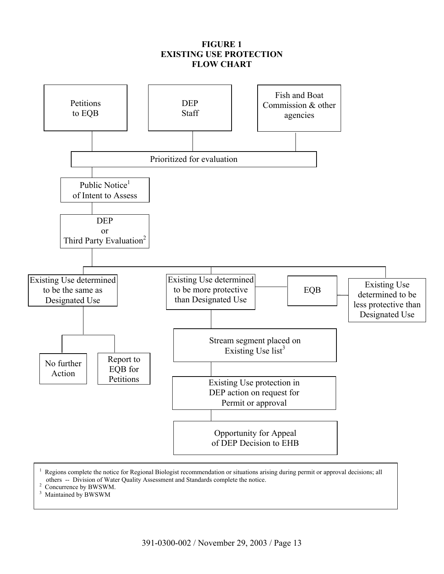# **FIGURE 1 EXISTING USE PROTECTION FLOW CHART**



 Regions complete the notice for Regional Biologist recommendation or situations arising during permit or approval decisions; all others -- Division of Water Quality Assessment and Standards complete the notice. 2

<sup>2</sup> Concurrence by BWSWM.

3 Maintained by BWSWM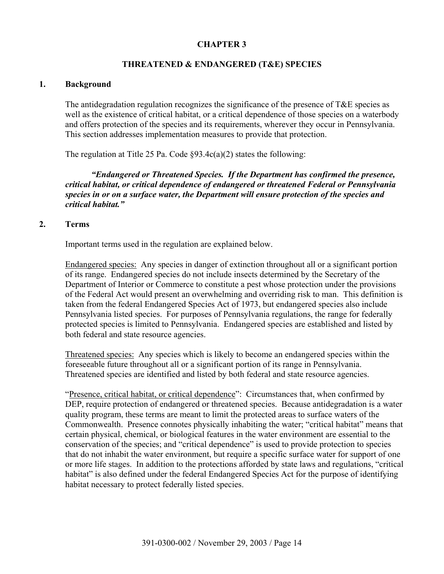# **CHAPTER 3**

# **THREATENED & ENDANGERED (T&E) SPECIES**

### **1. Background**

The antidegradation regulation recognizes the significance of the presence of T&E species as well as the existence of critical habitat, or a critical dependence of those species on a waterbody and offers protection of the species and its requirements, wherever they occur in Pennsylvania. This section addresses implementation measures to provide that protection.

The regulation at Title 25 Pa. Code  $\S 93.4c(a)(2)$  states the following:

*"Endangered or Threatened Species. If the Department has confirmed the presence, critical habitat, or critical dependence of endangered or threatened Federal or Pennsylvania species in or on a surface water, the Department will ensure protection of the species and critical habitat."* 

### **2. Terms**

Important terms used in the regulation are explained below.

Endangered species: Any species in danger of extinction throughout all or a significant portion of its range. Endangered species do not include insects determined by the Secretary of the Department of Interior or Commerce to constitute a pest whose protection under the provisions of the Federal Act would present an overwhelming and overriding risk to man. This definition is taken from the federal Endangered Species Act of 1973, but endangered species also include Pennsylvania listed species. For purposes of Pennsylvania regulations, the range for federally protected species is limited to Pennsylvania. Endangered species are established and listed by both federal and state resource agencies.

Threatened species: Any species which is likely to become an endangered species within the foreseeable future throughout all or a significant portion of its range in Pennsylvania. Threatened species are identified and listed by both federal and state resource agencies.

"Presence, critical habitat, or critical dependence": Circumstances that, when confirmed by DEP, require protection of endangered or threatened species. Because antidegradation is a water quality program, these terms are meant to limit the protected areas to surface waters of the Commonwealth. Presence connotes physically inhabiting the water; "critical habitat" means that certain physical, chemical, or biological features in the water environment are essential to the conservation of the species; and "critical dependence" is used to provide protection to species that do not inhabit the water environment, but require a specific surface water for support of one or more life stages. In addition to the protections afforded by state laws and regulations, "critical habitat" is also defined under the federal Endangered Species Act for the purpose of identifying habitat necessary to protect federally listed species.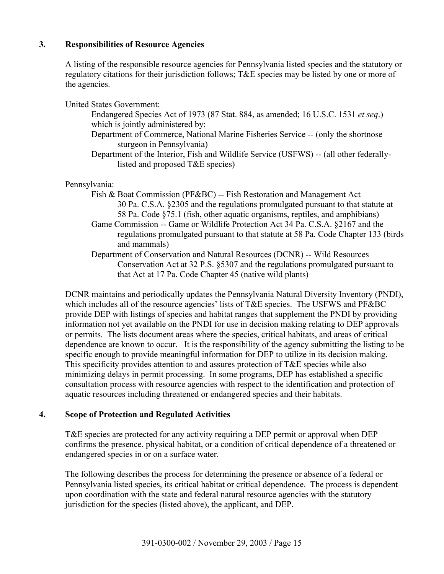# **3. Responsibilities of Resource Agencies**

A listing of the responsible resource agencies for Pennsylvania listed species and the statutory or regulatory citations for their jurisdiction follows; T&E species may be listed by one or more of the agencies.

United States Government: Endangered Species Act of 1973 (87 Stat. 884, as amended; 16 U.S.C. 1531 *et seq*.) which is jointly administered by: Department of Commerce, National Marine Fisheries Service -- (only the shortnose sturgeon in Pennsylvania) Department of the Interior, Fish and Wildlife Service (USFWS) -- (all other federallylisted and proposed T&E species)

Pennsylvania:

- Fish & Boat Commission (PF&BC) -- Fish Restoration and Management Act 30 Pa. C.S.A. §2305 and the regulations promulgated pursuant to that statute at 58 Pa. Code §75.1 (fish, other aquatic organisms, reptiles, and amphibians)
- Game Commission -- Game or Wildlife Protection Act 34 Pa. C.S.A. §2167 and the regulations promulgated pursuant to that statute at 58 Pa. Code Chapter 133 (birds and mammals)
- Department of Conservation and Natural Resources (DCNR) -- Wild Resources Conservation Act at 32 P.S. §5307 and the regulations promulgated pursuant to that Act at 17 Pa. Code Chapter 45 (native wild plants)

DCNR maintains and periodically updates the Pennsylvania Natural Diversity Inventory (PNDI), which includes all of the resource agencies' lists of T&E species. The USFWS and PF&BC provide DEP with listings of species and habitat ranges that supplement the PNDI by providing information not yet available on the PNDI for use in decision making relating to DEP approvals or permits. The lists document areas where the species, critical habitats, and areas of critical dependence are known to occur. It is the responsibility of the agency submitting the listing to be specific enough to provide meaningful information for DEP to utilize in its decision making. This specificity provides attention to and assures protection of T&E species while also minimizing delays in permit processing. In some programs, DEP has established a specific consultation process with resource agencies with respect to the identification and protection of aquatic resources including threatened or endangered species and their habitats.

# **4. Scope of Protection and Regulated Activities**

T&E species are protected for any activity requiring a DEP permit or approval when DEP confirms the presence, physical habitat, or a condition of critical dependence of a threatened or endangered species in or on a surface water.

The following describes the process for determining the presence or absence of a federal or Pennsylvania listed species, its critical habitat or critical dependence. The process is dependent upon coordination with the state and federal natural resource agencies with the statutory jurisdiction for the species (listed above), the applicant, and DEP.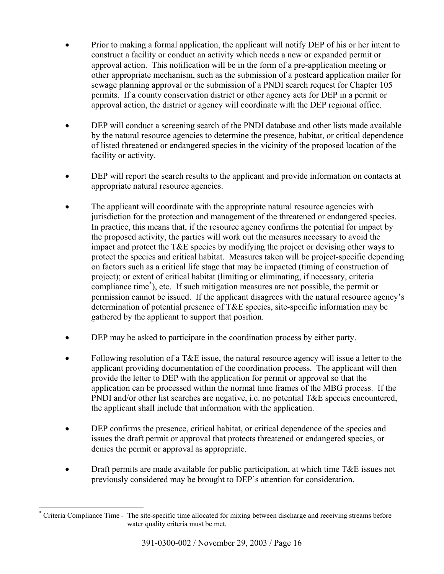- Prior to making a formal application, the applicant will notify DEP of his or her intent to construct a facility or conduct an activity which needs a new or expanded permit or approval action. This notification will be in the form of a pre-application meeting or other appropriate mechanism, such as the submission of a postcard application mailer for sewage planning approval or the submission of a PNDI search request for Chapter 105 permits. If a county conservation district or other agency acts for DEP in a permit or approval action, the district or agency will coordinate with the DEP regional office.
- DEP will conduct a screening search of the PNDI database and other lists made available by the natural resource agencies to determine the presence, habitat, or critical dependence of listed threatened or endangered species in the vicinity of the proposed location of the facility or activity.
- DEP will report the search results to the applicant and provide information on contacts at appropriate natural resource agencies.
- The applicant will coordinate with the appropriate natural resource agencies with jurisdiction for the protection and management of the threatened or endangered species. In practice, this means that, if the resource agency confirms the potential for impact by the proposed activity, the parties will work out the measures necessary to avoid the impact and protect the T&E species by modifying the project or devising other ways to protect the species and critical habitat. Measures taken will be project-specific depending on factors such as a critical life stage that may be impacted (timing of construction of project); or extent of critical habitat (limiting or eliminating, if necessary, criteria compliance time\* ), etc. If such mitigation measures are not possible, the permit or permission cannot be issued. If the applicant disagrees with the natural resource agency's determination of potential presence of T&E species, site-specific information may be gathered by the applicant to support that position.
- DEP may be asked to participate in the coordination process by either party.
- Following resolution of a T&E issue, the natural resource agency will issue a letter to the applicant providing documentation of the coordination process. The applicant will then provide the letter to DEP with the application for permit or approval so that the application can be processed within the normal time frames of the MBG process. If the PNDI and/or other list searches are negative, i.e. no potential T&E species encountered, the applicant shall include that information with the application.
- DEP confirms the presence, critical habitat, or critical dependence of the species and issues the draft permit or approval that protects threatened or endangered species, or denies the permit or approval as appropriate.
- Draft permits are made available for public participation, at which time  $T\&E$  issues not previously considered may be brought to DEP's attention for consideration.

 $\overline{a}$ \* Criteria Compliance Time - The site-specific time allocated for mixing between discharge and receiving streams before water quality criteria must be met.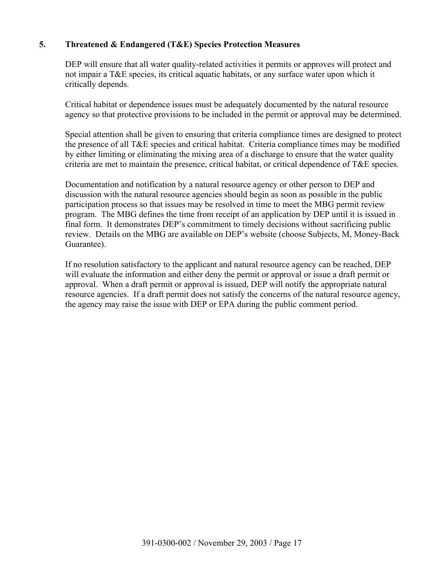# **5. Threatened & Endangered (T&E) Species Protection Measures**

DEP will ensure that all water quality-related activities it permits or approves will protect and not impair a T&E species, its critical aquatic habitats, or any surface water upon which it critically depends.

Critical habitat or dependence issues must be adequately documented by the natural resource agency so that protective provisions to be included in the permit or approval may be determined.

Special attention shall be given to ensuring that criteria compliance times are designed to protect the presence of all T&E species and critical habitat. Criteria compliance times may be modified by either limiting or eliminating the mixing area of a discharge to ensure that the water quality criteria are met to maintain the presence, critical habitat, or critical dependence of T&E species.

Documentation and notification by a natural resource agency or other person to DEP and discussion with the natural resource agencies should begin as soon as possible in the public participation process so that issues may be resolved in time to meet the MBG permit review program. The MBG defines the time from receipt of an application by DEP until it is issued in final form. It demonstrates DEP's commitment to timely decisions without sacrificing public review. Details on the MBG are available on DEP's website (choose Subjects, M, Money-Back Guarantee).

If no resolution satisfactory to the applicant and natural resource agency can be reached, DEP will evaluate the information and either deny the permit or approval or issue a draft permit or approval. When a draft permit or approval is issued, DEP will notify the appropriate natural resource agencies. If a draft permit does not satisfy the concerns of the natural resource agency, the agency may raise the issue with DEP or EPA during the public comment period.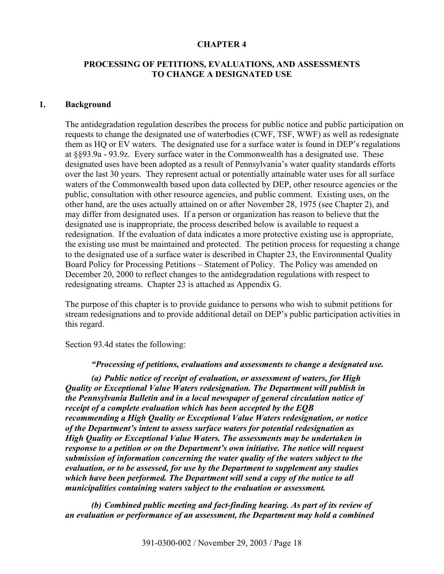#### **CHAPTER 4**

### **PROCESSING OF PETITIONS, EVALUATIONS, AND ASSESSMENTS TO CHANGE A DESIGNATED USE**

#### **1. Background**

The antidegradation regulation describes the process for public notice and public participation on requests to change the designated use of waterbodies (CWF, TSF, WWF) as well as redesignate them as HQ or EV waters. The designated use for a surface water is found in DEP's regulations at §§93.9a - 93.9z. Every surface water in the Commonwealth has a designated use. These designated uses have been adopted as a result of Pennsylvania's water quality standards efforts over the last 30 years. They represent actual or potentially attainable water uses for all surface waters of the Commonwealth based upon data collected by DEP, other resource agencies or the public, consultation with other resource agencies, and public comment. Existing uses, on the other hand, are the uses actually attained on or after November 28, 1975 (see Chapter 2), and may differ from designated uses. If a person or organization has reason to believe that the designated use is inappropriate, the process described below is available to request a redesignation. If the evaluation of data indicates a more protective existing use is appropriate, the existing use must be maintained and protected. The petition process for requesting a change to the designated use of a surface water is described in Chapter 23, the Environmental Quality Board Policy for Processing Petitions – Statement of Policy. The Policy was amended on December 20, 2000 to reflect changes to the antidegradation regulations with respect to redesignating streams. Chapter 23 is attached as Appendix G.

The purpose of this chapter is to provide guidance to persons who wish to submit petitions for stream redesignations and to provide additional detail on DEP's public participation activities in this regard.

Section 93.4d states the following:

*"Processing of petitions, evaluations and assessments to change a designated use.* 

*(a) Public notice of receipt of evaluation, or assessment of waters, for High Quality or Exceptional Value Waters redesignation. The Department will publish in the Pennsylvania Bulletin and in a local newspaper of general circulation notice of receipt of a complete evaluation which has been accepted by the EQB recommending a High Quality or Exceptional Value Waters redesignation, or notice of the Department's intent to assess surface waters for potential redesignation as High Quality or Exceptional Value Waters. The assessments may be undertaken in response to a petition or on the Department's own initiative. The notice will request submission of information concerning the water quality of the waters subject to the evaluation, or to be assessed, for use by the Department to supplement any studies which have been performed. The Department will send a copy of the notice to all municipalities containing waters subject to the evaluation or assessment.* 

*(b) Combined public meeting and fact-finding hearing. As part of its review of an evaluation or performance of an assessment, the Department may hold a combined*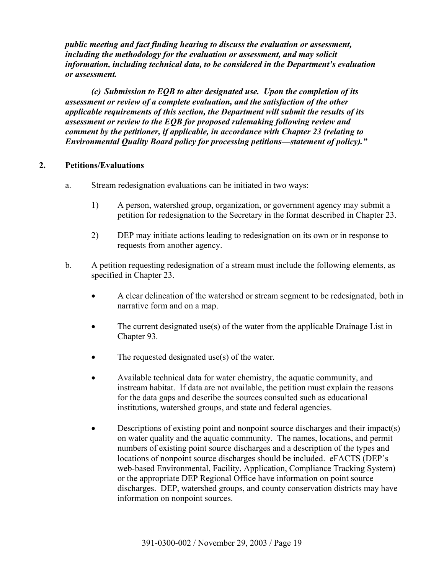*public meeting and fact finding hearing to discuss the evaluation or assessment, including the methodology for the evaluation or assessment, and may solicit information, including technical data, to be considered in the Department's evaluation or assessment.* 

*(c) Submission to EQB to alter designated use. Upon the completion of its assessment or review of a complete evaluation, and the satisfaction of the other applicable requirements of this section, the Department will submit the results of its assessment or review to the EQB for proposed rulemaking following review and comment by the petitioner, if applicable, in accordance with Chapter 23 (relating to Environmental Quality Board policy for processing petitions—statement of policy)."* 

# **2. Petitions/Evaluations**

- a. Stream redesignation evaluations can be initiated in two ways:
	- 1) A person, watershed group, organization, or government agency may submit a petition for redesignation to the Secretary in the format described in Chapter 23.
	- 2) DEP may initiate actions leading to redesignation on its own or in response to requests from another agency.
- b. A petition requesting redesignation of a stream must include the following elements, as specified in Chapter 23.
	- A clear delineation of the watershed or stream segment to be redesignated, both in narrative form and on a map.
	- The current designated use(s) of the water from the applicable Drainage List in Chapter 93.
	- The requested designated use $(s)$  of the water.
	- Available technical data for water chemistry, the aquatic community, and instream habitat. If data are not available, the petition must explain the reasons for the data gaps and describe the sources consulted such as educational institutions, watershed groups, and state and federal agencies.
	- Descriptions of existing point and nonpoint source discharges and their impact(s) on water quality and the aquatic community. The names, locations, and permit numbers of existing point source discharges and a description of the types and locations of nonpoint source discharges should be included. eFACTS (DEP's web-based Environmental, Facility, Application, Compliance Tracking System) or the appropriate DEP Regional Office have information on point source discharges. DEP, watershed groups, and county conservation districts may have information on nonpoint sources.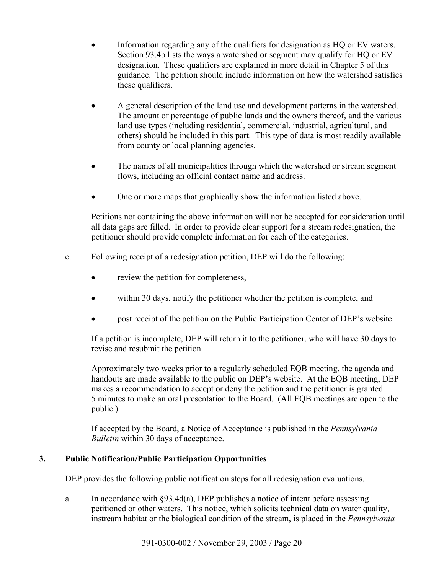- Information regarding any of the qualifiers for designation as HQ or EV waters. Section 93.4b lists the ways a watershed or segment may qualify for HQ or EV designation. These qualifiers are explained in more detail in Chapter 5 of this guidance. The petition should include information on how the watershed satisfies these qualifiers.
- A general description of the land use and development patterns in the watershed. The amount or percentage of public lands and the owners thereof, and the various land use types (including residential, commercial, industrial, agricultural, and others) should be included in this part. This type of data is most readily available from county or local planning agencies.
- The names of all municipalities through which the watershed or stream segment flows, including an official contact name and address.
- One or more maps that graphically show the information listed above.

Petitions not containing the above information will not be accepted for consideration until all data gaps are filled. In order to provide clear support for a stream redesignation, the petitioner should provide complete information for each of the categories.

- c. Following receipt of a redesignation petition, DEP will do the following:
	- review the petition for completeness,
	- within 30 days, notify the petitioner whether the petition is complete, and
	- post receipt of the petition on the Public Participation Center of DEP's website

If a petition is incomplete, DEP will return it to the petitioner, who will have 30 days to revise and resubmit the petition.

Approximately two weeks prior to a regularly scheduled EQB meeting, the agenda and handouts are made available to the public on DEP's website. At the EQB meeting, DEP makes a recommendation to accept or deny the petition and the petitioner is granted 5 minutes to make an oral presentation to the Board. (All EQB meetings are open to the public.)

If accepted by the Board, a Notice of Acceptance is published in the *Pennsylvania Bulletin* within 30 days of acceptance.

# **3. Public Notification/Public Participation Opportunities**

DEP provides the following public notification steps for all redesignation evaluations.

a. In accordance with §93.4d(a), DEP publishes a notice of intent before assessing petitioned or other waters. This notice, which solicits technical data on water quality, instream habitat or the biological condition of the stream, is placed in the *Pennsylvania*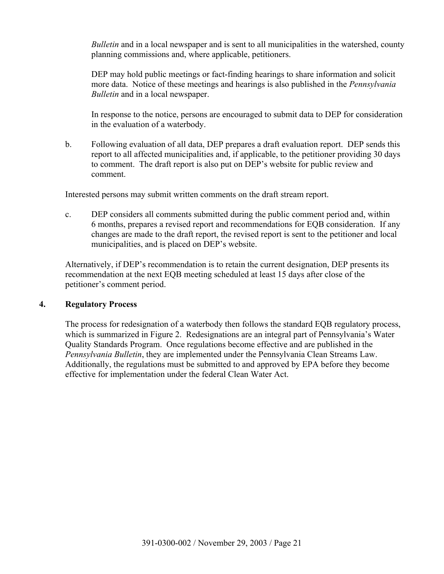*Bulletin* and in a local newspaper and is sent to all municipalities in the watershed, county planning commissions and, where applicable, petitioners.

DEP may hold public meetings or fact-finding hearings to share information and solicit more data. Notice of these meetings and hearings is also published in the *Pennsylvania Bulletin* and in a local newspaper.

In response to the notice, persons are encouraged to submit data to DEP for consideration in the evaluation of a waterbody.

b. Following evaluation of all data, DEP prepares a draft evaluation report. DEP sends this report to all affected municipalities and, if applicable, to the petitioner providing 30 days to comment. The draft report is also put on DEP's website for public review and comment.

Interested persons may submit written comments on the draft stream report.

c. DEP considers all comments submitted during the public comment period and, within 6 months, prepares a revised report and recommendations for EQB consideration. If any changes are made to the draft report, the revised report is sent to the petitioner and local municipalities, and is placed on DEP's website.

Alternatively, if DEP's recommendation is to retain the current designation, DEP presents its recommendation at the next EQB meeting scheduled at least 15 days after close of the petitioner's comment period.

### **4. Regulatory Process**

The process for redesignation of a waterbody then follows the standard EQB regulatory process, which is summarized in Figure 2. Redesignations are an integral part of Pennsylvania's Water Quality Standards Program. Once regulations become effective and are published in the *Pennsylvania Bulletin*, they are implemented under the Pennsylvania Clean Streams Law. Additionally, the regulations must be submitted to and approved by EPA before they become effective for implementation under the federal Clean Water Act.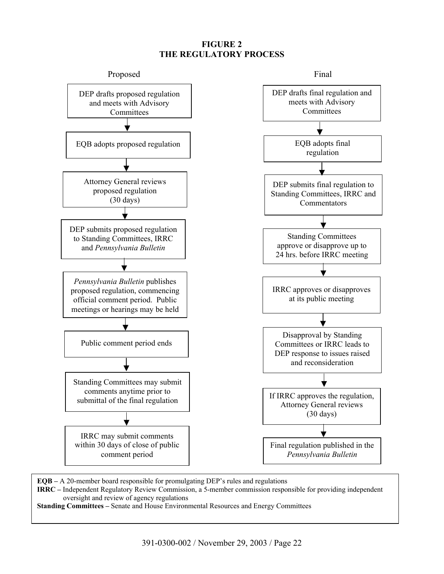## **FIGURE 2 THE REGULATORY PROCESS**



**EQB –** A 20-member board responsible for promulgating DEP's rules and regulations

**IRRC –** Independent Regulatory Review Commission, a 5-member commission responsible for providing independent oversight and review of agency regulations

**Standing Committees –** Senate and House Environmental Resources and Energy Committees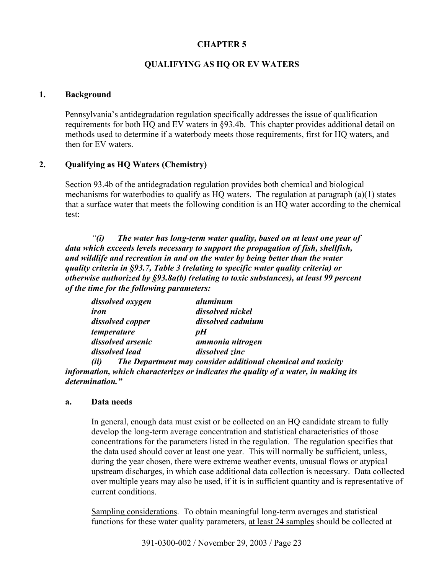# **CHAPTER 5**

# **QUALIFYING AS HQ OR EV WATERS**

### **1. Background**

Pennsylvania's antidegradation regulation specifically addresses the issue of qualification requirements for both HQ and EV waters in §93.4b. This chapter provides additional detail on methods used to determine if a waterbody meets those requirements, first for HQ waters, and then for EV waters.

# **2. Qualifying as HQ Waters (Chemistry)**

Section 93.4b of the antidegradation regulation provides both chemical and biological mechanisms for waterbodies to qualify as HQ waters. The regulation at paragraph (a)(1) states that a surface water that meets the following condition is an HQ water according to the chemical test:

*"(i) The water has long-term water quality, based on at least one year of data which exceeds levels necessary to support the propagation of fish, shellfish, and wildlife and recreation in and on the water by being better than the water quality criteria in §93.7, Table 3 (relating to specific water quality criteria) or otherwise authorized by §93.8a(b) (relating to toxic substances), at least 99 percent of the time for the following parameters:* 

| dissolved oxygen  | aluminum          |
|-------------------|-------------------|
| iron              | dissolved nickel  |
| dissolved copper  | dissolved cadmium |
| temperature       | pH                |
| dissolved arsenic | ammonia nitrogen  |
| dissolved lead    | dissolved zinc    |
| $\mathbf{m}$      |                   |

*(ii) The Department may consider additional chemical and toxicity information, which characterizes or indicates the quality of a water, in making its determination."* 

### **a. Data needs**

In general, enough data must exist or be collected on an HQ candidate stream to fully develop the long-term average concentration and statistical characteristics of those concentrations for the parameters listed in the regulation. The regulation specifies that the data used should cover at least one year. This will normally be sufficient, unless, during the year chosen, there were extreme weather events, unusual flows or atypical upstream discharges, in which case additional data collection is necessary. Data collected over multiple years may also be used, if it is in sufficient quantity and is representative of current conditions.

Sampling considerations.To obtain meaningful long-term averages and statistical functions for these water quality parameters, at least 24 samples should be collected at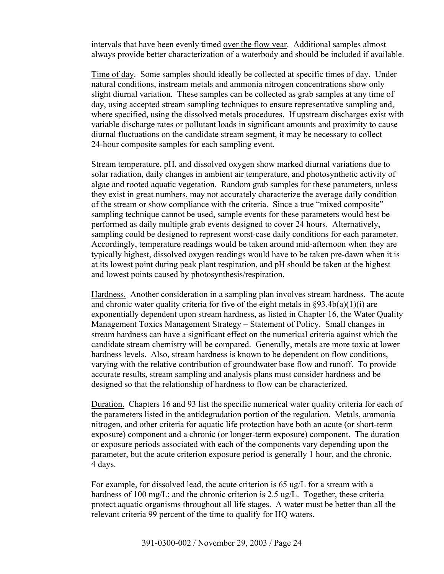intervals that have been evenly timed over the flow year. Additional samples almost always provide better characterization of a waterbody and should be included if available.

Time of day.Some samples should ideally be collected at specific times of day. Under natural conditions, instream metals and ammonia nitrogen concentrations show only slight diurnal variation. These samples can be collected as grab samples at any time of day, using accepted stream sampling techniques to ensure representative sampling and, where specified, using the dissolved metals procedures. If upstream discharges exist with variable discharge rates or pollutant loads in significant amounts and proximity to cause diurnal fluctuations on the candidate stream segment, it may be necessary to collect 24-hour composite samples for each sampling event.

Stream temperature, pH, and dissolved oxygen show marked diurnal variations due to solar radiation, daily changes in ambient air temperature, and photosynthetic activity of algae and rooted aquatic vegetation. Random grab samples for these parameters, unless they exist in great numbers, may not accurately characterize the average daily condition of the stream or show compliance with the criteria. Since a true "mixed composite" sampling technique cannot be used, sample events for these parameters would best be performed as daily multiple grab events designed to cover 24 hours. Alternatively, sampling could be designed to represent worst-case daily conditions for each parameter. Accordingly, temperature readings would be taken around mid-afternoon when they are typically highest, dissolved oxygen readings would have to be taken pre-dawn when it is at its lowest point during peak plant respiration, and pH should be taken at the highest and lowest points caused by photosynthesis/respiration.

Hardness.Another consideration in a sampling plan involves stream hardness. The acute and chronic water quality criteria for five of the eight metals in  $\S 93.4b(a)(1)(i)$  are exponentially dependent upon stream hardness, as listed in Chapter 16, the Water Quality Management Toxics Management Strategy – Statement of Policy. Small changes in stream hardness can have a significant effect on the numerical criteria against which the candidate stream chemistry will be compared. Generally, metals are more toxic at lower hardness levels. Also, stream hardness is known to be dependent on flow conditions, varying with the relative contribution of groundwater base flow and runoff. To provide accurate results, stream sampling and analysis plans must consider hardness and be designed so that the relationship of hardness to flow can be characterized.

Duration.Chapters 16 and 93 list the specific numerical water quality criteria for each of the parameters listed in the antidegradation portion of the regulation. Metals, ammonia nitrogen, and other criteria for aquatic life protection have both an acute (or short-term exposure) component and a chronic (or longer-term exposure) component. The duration or exposure periods associated with each of the components vary depending upon the parameter, but the acute criterion exposure period is generally 1 hour, and the chronic, 4 days.

For example, for dissolved lead, the acute criterion is 65 ug/L for a stream with a hardness of 100 mg/L; and the chronic criterion is 2.5 ug/L. Together, these criteria protect aquatic organisms throughout all life stages. A water must be better than all the relevant criteria 99 percent of the time to qualify for HQ waters.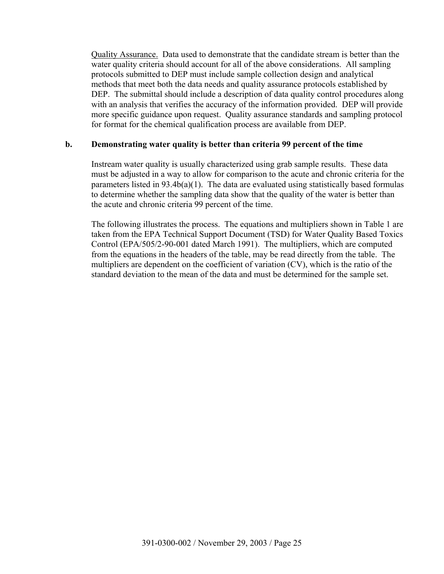Quality Assurance.Data used to demonstrate that the candidate stream is better than the water quality criteria should account for all of the above considerations. All sampling protocols submitted to DEP must include sample collection design and analytical methods that meet both the data needs and quality assurance protocols established by DEP. The submittal should include a description of data quality control procedures along with an analysis that verifies the accuracy of the information provided. DEP will provide more specific guidance upon request. Quality assurance standards and sampling protocol for format for the chemical qualification process are available from DEP.

### **b. Demonstrating water quality is better than criteria 99 percent of the time**

Instream water quality is usually characterized using grab sample results. These data must be adjusted in a way to allow for comparison to the acute and chronic criteria for the parameters listed in 93.4b(a)(1). The data are evaluated using statistically based formulas to determine whether the sampling data show that the quality of the water is better than the acute and chronic criteria 99 percent of the time.

The following illustrates the process. The equations and multipliers shown in Table 1 are taken from the EPA Technical Support Document (TSD) for Water Quality Based Toxics Control (EPA/505/2-90-001 dated March 1991). The multipliers, which are computed from the equations in the headers of the table, may be read directly from the table. The multipliers are dependent on the coefficient of variation (CV), which is the ratio of the standard deviation to the mean of the data and must be determined for the sample set.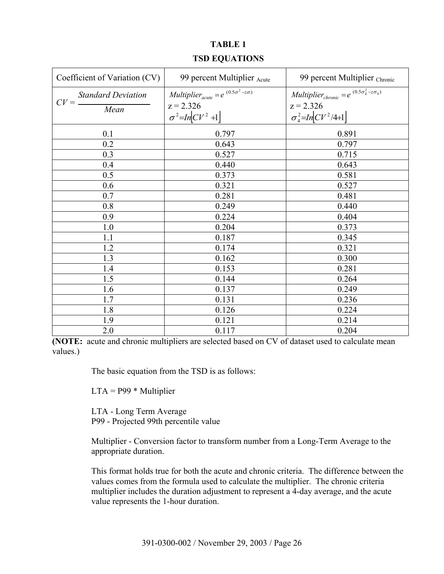# **TABLE 1 TSD EQUATIONS**

| Coefficient of Variation (CV)               | 99 percent Multiplier Acute                                                                                     | 99 percent Multiplier Chronic                                                                                            |
|---------------------------------------------|-----------------------------------------------------------------------------------------------------------------|--------------------------------------------------------------------------------------------------------------------------|
| <b>Standard Deviation</b><br>$CV =$<br>Mean | <i>Multiplier</i> <sub>acute</sub> = $e^{(0.5\sigma^2 - z\sigma)}$<br>$z = 2.326$<br>$\sigma^2$ =In $[CV^2 +1]$ | <i>Multiplier</i> <sub>chronic</sub> = $e^{(0.5\sigma_4^2 - z\sigma_4)}$<br>$z = 2.326$<br>$\sigma_4^2$ =In $[CV^2/4+1]$ |
| 0.1                                         | 0.797                                                                                                           | 0.891                                                                                                                    |
| 0.2                                         | 0.643                                                                                                           | 0.797                                                                                                                    |
| 0.3                                         | 0.527                                                                                                           | 0.715                                                                                                                    |
| 0.4                                         | 0.440                                                                                                           | 0.643                                                                                                                    |
| 0.5                                         | 0.373                                                                                                           | 0.581                                                                                                                    |
| 0.6                                         | 0.321                                                                                                           | 0.527                                                                                                                    |
| 0.7                                         | 0.281                                                                                                           | 0.481                                                                                                                    |
| 0.8                                         | 0.249                                                                                                           | 0.440                                                                                                                    |
| 0.9                                         | 0.224                                                                                                           | 0.404                                                                                                                    |
| 1.0                                         | 0.204                                                                                                           | 0.373                                                                                                                    |
| 1.1                                         | 0.187                                                                                                           | 0.345                                                                                                                    |
| 1.2                                         | 0.174                                                                                                           | 0.321                                                                                                                    |
| 1.3                                         | 0.162                                                                                                           | 0.300                                                                                                                    |
| 1.4                                         | 0.153                                                                                                           | 0.281                                                                                                                    |
| 1.5                                         | 0.144                                                                                                           | 0.264                                                                                                                    |
| 1.6                                         | 0.137                                                                                                           | 0.249                                                                                                                    |
| 1.7                                         | 0.131                                                                                                           | 0.236                                                                                                                    |
| 1.8                                         | 0.126                                                                                                           | 0.224                                                                                                                    |
| 1.9                                         | 0.121                                                                                                           | 0.214                                                                                                                    |
| 2.0                                         | 0.117                                                                                                           | 0.204                                                                                                                    |

**(NOTE:** acute and chronic multipliers are selected based on CV of dataset used to calculate mean values.)

The basic equation from the TSD is as follows:

 $LTA = P99 * Multiplier$ 

LTA - Long Term Average P99 - Projected 99th percentile value

Multiplier - Conversion factor to transform number from a Long-Term Average to the appropriate duration.

This format holds true for both the acute and chronic criteria. The difference between the values comes from the formula used to calculate the multiplier. The chronic criteria multiplier includes the duration adjustment to represent a 4-day average, and the acute value represents the 1-hour duration.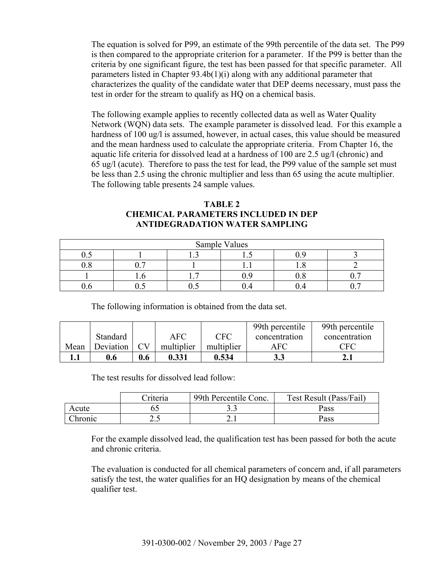The equation is solved for P99, an estimate of the 99th percentile of the data set. The P99 is then compared to the appropriate criterion for a parameter. If the P99 is better than the criteria by one significant figure, the test has been passed for that specific parameter. All parameters listed in Chapter 93.4b(1)(i) along with any additional parameter that characterizes the quality of the candidate water that DEP deems necessary, must pass the test in order for the stream to qualify as HQ on a chemical basis.

The following example applies to recently collected data as well as Water Quality Network (WQN) data sets. The example parameter is dissolved lead. For this example a hardness of 100 ug/l is assumed, however, in actual cases, this value should be measured and the mean hardness used to calculate the appropriate criteria. From Chapter 16, the aquatic life criteria for dissolved lead at a hardness of 100 are 2.5 ug/l (chronic) and 65 ug/l (acute). Therefore to pass the test for lead, the P99 value of the sample set must be less than 2.5 using the chronic multiplier and less than 65 using the acute multiplier. The following table presents 24 sample values.

## **TABLE 2 CHEMICAL PARAMETERS INCLUDED IN DEP ANTIDEGRADATION WATER SAMPLING**

| Sample Values |      |   |    |  |  |
|---------------|------|---|----|--|--|
| ∪.∪           |      |   | л. |  |  |
|               | -    |   |    |  |  |
|               | 1. J | - |    |  |  |
|               |      |   |    |  |  |

The following information is obtained from the data set.

|      |           |     |            |            | 99th percentile | 99th percentile |
|------|-----------|-----|------------|------------|-----------------|-----------------|
|      | Standard  |     | <b>AFC</b> | <b>CFC</b> | concentration   | concentration   |
| Mean | Deviation |     | multiplier | multiplier | AFC             | <b>CFC</b>      |
|      | 0.6       | 0.6 | 0.331      | 0.534      | 3.3             | 2.1             |

The test results for dissolved lead follow:

|         | Criteria | 99th Percentile Conc. | Test Result (Pass/Fail) |
|---------|----------|-----------------------|-------------------------|
| Acute   |          |                       | Pass                    |
| Chronic | ن . ب    |                       | Pass                    |

For the example dissolved lead, the qualification test has been passed for both the acute and chronic criteria.

The evaluation is conducted for all chemical parameters of concern and, if all parameters satisfy the test, the water qualifies for an HQ designation by means of the chemical qualifier test.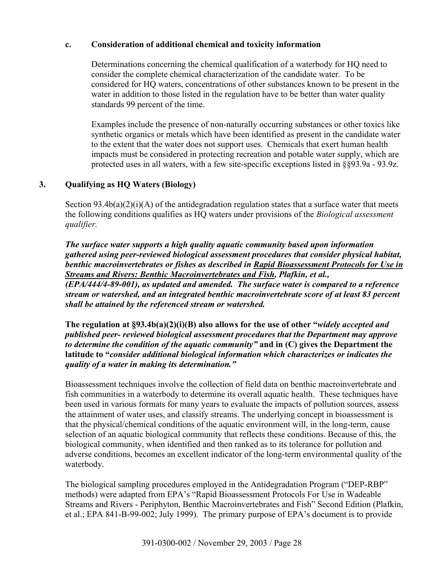## **c. Consideration of additional chemical and toxicity information**

Determinations concerning the chemical qualification of a waterbody for HQ need to consider the complete chemical characterization of the candidate water. To be considered for HQ waters, concentrations of other substances known to be present in the water in addition to those listed in the regulation have to be better than water quality standards 99 percent of the time.

Examples include the presence of non-naturally occurring substances or other toxics like synthetic organics or metals which have been identified as present in the candidate water to the extent that the water does not support uses. Chemicals that exert human health impacts must be considered in protecting recreation and potable water supply, which are protected uses in all waters, with a few site-specific exceptions listed in §§93.9a - 93.9z.

# **3. Qualifying as HQ Waters (Biology)**

Section  $93.4b(a)(2)(i)(A)$  of the antidegradation regulation states that a surface water that meets the following conditions qualifies as HQ waters under provisions of the *Biological assessment qualifier.* 

*The surface water supports a high quality aquatic community based upon information gathered using peer-reviewed biological assessment procedures that consider physical habitat, benthic macroinvertebrates or fishes as described in Rapid Bioassessment Protocols for Use in Streams and Rivers: Benthic Macroinvertebrates and Fish, Plafkin, et al., (EPA/444/4-89-001), as updated and amended. The surface water is compared to a reference stream or watershed, and an integrated benthic macroinvertebrate score of at least 83 percent shall be attained by the referenced stream or watershed.* 

**The regulation at §93.4b(a)(2)(i)(B) also allows for the use of other "***widely accepted and published peer- reviewed biological assessment procedures that the Department may approve to determine the condition of the aquatic community"* **and in (C) gives the Department the latitude to "***consider additional biological information which characterizes or indicates the quality of a water in making its determination."*

Bioassessment techniques involve the collection of field data on benthic macroinvertebrate and fish communities in a waterbody to determine its overall aquatic health. These techniques have been used in various formats for many years to evaluate the impacts of pollution sources, assess the attainment of water uses, and classify streams. The underlying concept in bioassessment is that the physical/chemical conditions of the aquatic environment will, in the long-term, cause selection of an aquatic biological community that reflects these conditions. Because of this, the biological community, when identified and then ranked as to its tolerance for pollution and adverse conditions, becomes an excellent indicator of the long-term environmental quality of the waterbody.

The biological sampling procedures employed in the Antidegradation Program ("DEP-RBP" methods) were adapted from EPA's "Rapid Bioassessment Protocols For Use in Wadeable Streams and Rivers - Periphyton, Benthic Macroinvertebrates and Fish" Second Edition (Plafkin, et al.; EPA 841-B-99-002; July 1999). The primary purpose of EPA's document is to provide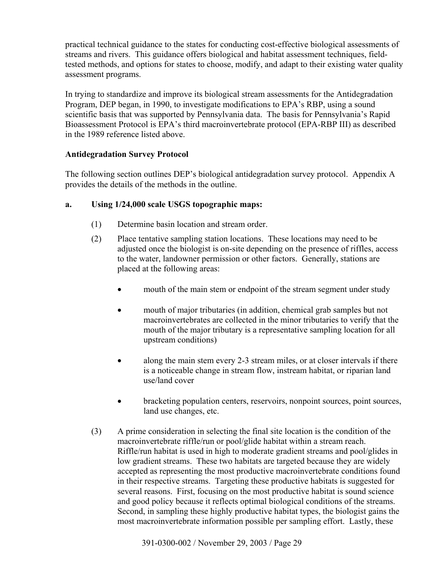practical technical guidance to the states for conducting cost-effective biological assessments of streams and rivers. This guidance offers biological and habitat assessment techniques, fieldtested methods, and options for states to choose, modify, and adapt to their existing water quality assessment programs.

In trying to standardize and improve its biological stream assessments for the Antidegradation Program, DEP began, in 1990, to investigate modifications to EPA's RBP, using a sound scientific basis that was supported by Pennsylvania data. The basis for Pennsylvania's Rapid Bioassessment Protocol is EPA's third macroinvertebrate protocol (EPA-RBP III) as described in the 1989 reference listed above.

# **Antidegradation Survey Protocol**

The following section outlines DEP's biological antidegradation survey protocol. Appendix A provides the details of the methods in the outline.

# **a. Using 1/24,000 scale USGS topographic maps:**

- (1) Determine basin location and stream order.
- (2) Place tentative sampling station locations. These locations may need to be adjusted once the biologist is on-site depending on the presence of riffles, access to the water, landowner permission or other factors. Generally, stations are placed at the following areas:
	- mouth of the main stem or endpoint of the stream segment under study
	- mouth of major tributaries (in addition, chemical grab samples but not macroinvertebrates are collected in the minor tributaries to verify that the mouth of the major tributary is a representative sampling location for all upstream conditions)
	- along the main stem every 2-3 stream miles, or at closer intervals if there is a noticeable change in stream flow, instream habitat, or riparian land use/land cover
	- bracketing population centers, reservoirs, nonpoint sources, point sources, land use changes, etc.
- (3) A prime consideration in selecting the final site location is the condition of the macroinvertebrate riffle/run or pool/glide habitat within a stream reach. Riffle/run habitat is used in high to moderate gradient streams and pool/glides in low gradient streams. These two habitats are targeted because they are widely accepted as representing the most productive macroinvertebrate conditions found in their respective streams. Targeting these productive habitats is suggested for several reasons. First, focusing on the most productive habitat is sound science and good policy because it reflects optimal biological conditions of the streams. Second, in sampling these highly productive habitat types, the biologist gains the most macroinvertebrate information possible per sampling effort. Lastly, these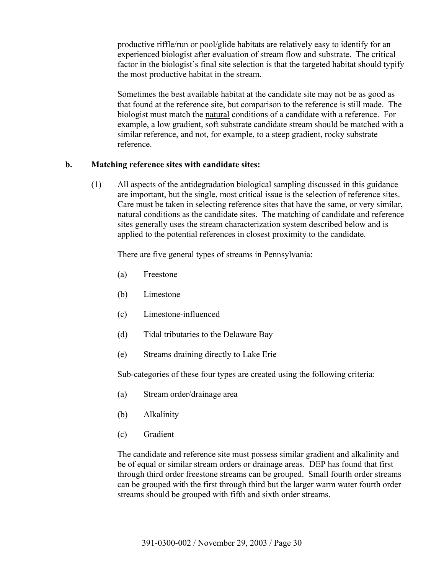productive riffle/run or pool/glide habitats are relatively easy to identify for an experienced biologist after evaluation of stream flow and substrate. The critical factor in the biologist's final site selection is that the targeted habitat should typify the most productive habitat in the stream.

Sometimes the best available habitat at the candidate site may not be as good as that found at the reference site, but comparison to the reference is still made. The biologist must match the natural conditions of a candidate with a reference. For example, a low gradient, soft substrate candidate stream should be matched with a similar reference, and not, for example, to a steep gradient, rocky substrate reference.

### **b. Matching reference sites with candidate sites:**

(1) All aspects of the antidegradation biological sampling discussed in this guidance are important, but the single, most critical issue is the selection of reference sites. Care must be taken in selecting reference sites that have the same, or very similar, natural conditions as the candidate sites. The matching of candidate and reference sites generally uses the stream characterization system described below and is applied to the potential references in closest proximity to the candidate.

There are five general types of streams in Pennsylvania:

- (a) Freestone
- (b) Limestone
- (c) Limestone-influenced
- (d) Tidal tributaries to the Delaware Bay
- (e) Streams draining directly to Lake Erie

Sub-categories of these four types are created using the following criteria:

- (a) Stream order/drainage area
- (b) Alkalinity
- (c) Gradient

The candidate and reference site must possess similar gradient and alkalinity and be of equal or similar stream orders or drainage areas. DEP has found that first through third order freestone streams can be grouped. Small fourth order streams can be grouped with the first through third but the larger warm water fourth order streams should be grouped with fifth and sixth order streams.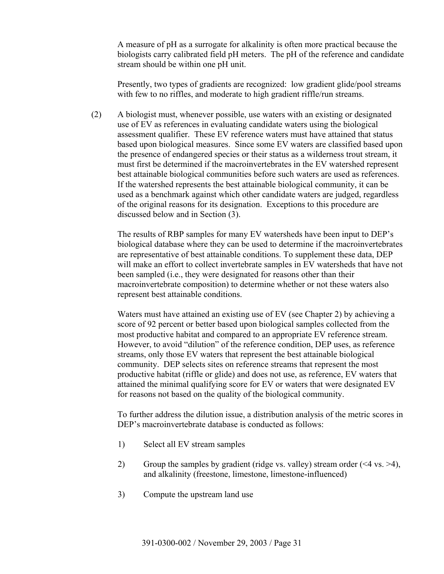A measure of pH as a surrogate for alkalinity is often more practical because the biologists carry calibrated field pH meters. The pH of the reference and candidate stream should be within one pH unit.

Presently, two types of gradients are recognized: low gradient glide/pool streams with few to no riffles, and moderate to high gradient riffle/run streams.

(2) A biologist must, whenever possible, use waters with an existing or designated use of EV as references in evaluating candidate waters using the biological assessment qualifier. These EV reference waters must have attained that status based upon biological measures. Since some EV waters are classified based upon the presence of endangered species or their status as a wilderness trout stream, it must first be determined if the macroinvertebrates in the EV watershed represent best attainable biological communities before such waters are used as references. If the watershed represents the best attainable biological community, it can be used as a benchmark against which other candidate waters are judged, regardless of the original reasons for its designation. Exceptions to this procedure are discussed below and in Section (3).

The results of RBP samples for many EV watersheds have been input to DEP's biological database where they can be used to determine if the macroinvertebrates are representative of best attainable conditions. To supplement these data, DEP will make an effort to collect invertebrate samples in EV watersheds that have not been sampled (i.e., they were designated for reasons other than their macroinvertebrate composition) to determine whether or not these waters also represent best attainable conditions.

Waters must have attained an existing use of EV (see Chapter 2) by achieving a score of 92 percent or better based upon biological samples collected from the most productive habitat and compared to an appropriate EV reference stream. However, to avoid "dilution" of the reference condition, DEP uses, as reference streams, only those EV waters that represent the best attainable biological community. DEP selects sites on reference streams that represent the most productive habitat (riffle or glide) and does not use, as reference, EV waters that attained the minimal qualifying score for EV or waters that were designated EV for reasons not based on the quality of the biological community.

To further address the dilution issue, a distribution analysis of the metric scores in DEP's macroinvertebrate database is conducted as follows:

- 1) Select all EV stream samples
- 2) Group the samples by gradient (ridge vs. valley) stream order  $(\leq 4 \text{ vs. } >4)$ , and alkalinity (freestone, limestone, limestone-influenced)
- 3) Compute the upstream land use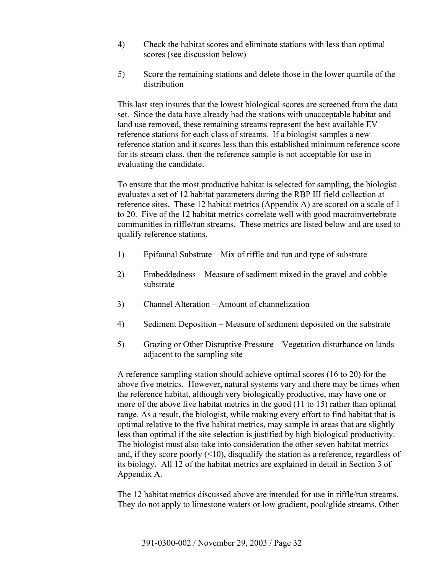- 4) Check the habitat scores and eliminate stations with less than optimal scores (see discussion below)
- 5) Score the remaining stations and delete those in the lower quartile of the distribution

This last step insures that the lowest biological scores are screened from the data set. Since the data have already had the stations with unacceptable habitat and land use removed, these remaining streams represent the best available EV reference stations for each class of streams. If a biologist samples a new reference station and it scores less than this established minimum reference score for its stream class, then the reference sample is not acceptable for use in evaluating the candidate.

To ensure that the most productive habitat is selected for sampling, the biologist evaluates a set of 12 habitat parameters during the RBP III field collection at reference sites. These 12 habitat metrics (Appendix A) are scored on a scale of 1 to 20. Five of the 12 habitat metrics correlate well with good macroinvertebrate communities in riffle/run streams. These metrics are listed below and are used to qualify reference stations.

- 1) Epifaunal Substrate Mix of riffle and run and type of substrate
- 2) Embeddedness Measure of sediment mixed in the gravel and cobble substrate
- 3) Channel Alteration Amount of channelization
- 4) Sediment Deposition Measure of sediment deposited on the substrate
- 5) Grazing or Other Disruptive Pressure Vegetation disturbance on lands adjacent to the sampling site

A reference sampling station should achieve optimal scores (16 to 20) for the above five metrics. However, natural systems vary and there may be times when the reference habitat, although very biologically productive, may have one or more of the above five habitat metrics in the good (11 to 15) rather than optimal range. As a result, the biologist, while making every effort to find habitat that is optimal relative to the five habitat metrics, may sample in areas that are slightly less than optimal if the site selection is justified by high biological productivity. The biologist must also take into consideration the other seven habitat metrics and, if they score poorly (<10), disqualify the station as a reference, regardless of its biology. All 12 of the habitat metrics are explained in detail in Section 3 of Appendix A.

The 12 habitat metrics discussed above are intended for use in riffle/run streams. They do not apply to limestone waters or low gradient, pool/glide streams. Other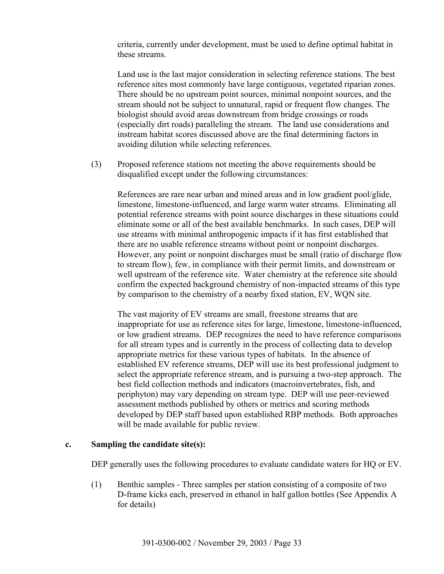criteria, currently under development, must be used to define optimal habitat in these streams.

Land use is the last major consideration in selecting reference stations. The best reference sites most commonly have large contiguous, vegetated riparian zones. There should be no upstream point sources, minimal nonpoint sources, and the stream should not be subject to unnatural, rapid or frequent flow changes. The biologist should avoid areas downstream from bridge crossings or roads (especially dirt roads) paralleling the stream. The land use considerations and instream habitat scores discussed above are the final determining factors in avoiding dilution while selecting references.

(3) Proposed reference stations not meeting the above requirements should be disqualified except under the following circumstances:

References are rare near urban and mined areas and in low gradient pool/glide, limestone, limestone-influenced, and large warm water streams. Eliminating all potential reference streams with point source discharges in these situations could eliminate some or all of the best available benchmarks. In such cases, DEP will use streams with minimal anthropogenic impacts if it has first established that there are no usable reference streams without point or nonpoint discharges. However, any point or nonpoint discharges must be small (ratio of discharge flow to stream flow), few, in compliance with their permit limits, and downstream or well upstream of the reference site. Water chemistry at the reference site should confirm the expected background chemistry of non-impacted streams of this type by comparison to the chemistry of a nearby fixed station, EV, WQN site.

The vast majority of EV streams are small, freestone streams that are inappropriate for use as reference sites for large, limestone, limestone-influenced, or low gradient streams. DEP recognizes the need to have reference comparisons for all stream types and is currently in the process of collecting data to develop appropriate metrics for these various types of habitats. In the absence of established EV reference streams, DEP will use its best professional judgment to select the appropriate reference stream, and is pursuing a two-step approach. The best field collection methods and indicators (macroinvertebrates, fish, and periphyton) may vary depending on stream type. DEP will use peer-reviewed assessment methods published by others or metrics and scoring methods developed by DEP staff based upon established RBP methods. Both approaches will be made available for public review.

### **c. Sampling the candidate site(s):**

DEP generally uses the following procedures to evaluate candidate waters for HQ or EV.

(1) Benthic samples - Three samples per station consisting of a composite of two D-frame kicks each, preserved in ethanol in half gallon bottles (See Appendix A for details)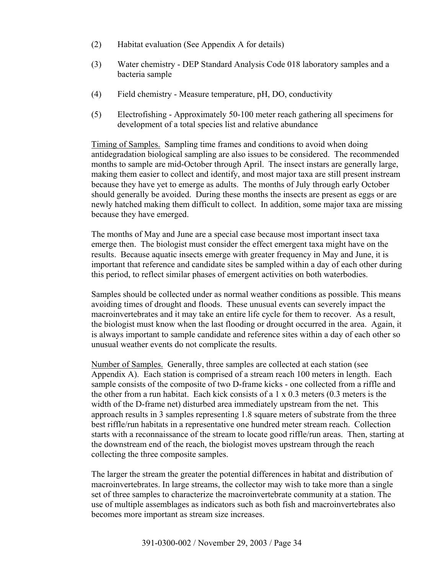- (2) Habitat evaluation (See Appendix A for details)
- (3) Water chemistry DEP Standard Analysis Code 018 laboratory samples and a bacteria sample
- (4) Field chemistry Measure temperature, pH, DO, conductivity
- (5) Electrofishing Approximately 50-100 meter reach gathering all specimens for development of a total species list and relative abundance

Timing of Samples. Sampling time frames and conditions to avoid when doing antidegradation biological sampling are also issues to be considered. The recommended months to sample are mid-October through April. The insect instars are generally large, making them easier to collect and identify, and most major taxa are still present instream because they have yet to emerge as adults. The months of July through early October should generally be avoided. During these months the insects are present as eggs or are newly hatched making them difficult to collect. In addition, some major taxa are missing because they have emerged.

The months of May and June are a special case because most important insect taxa emerge then. The biologist must consider the effect emergent taxa might have on the results. Because aquatic insects emerge with greater frequency in May and June, it is important that reference and candidate sites be sampled within a day of each other during this period, to reflect similar phases of emergent activities on both waterbodies.

Samples should be collected under as normal weather conditions as possible. This means avoiding times of drought and floods. These unusual events can severely impact the macroinvertebrates and it may take an entire life cycle for them to recover. As a result, the biologist must know when the last flooding or drought occurred in the area. Again, it is always important to sample candidate and reference sites within a day of each other so unusual weather events do not complicate the results.

Number of Samples.Generally, three samples are collected at each station (see Appendix A). Each station is comprised of a stream reach 100 meters in length. Each sample consists of the composite of two D-frame kicks - one collected from a riffle and the other from a run habitat. Each kick consists of a 1 x 0.3 meters (0.3 meters is the width of the D-frame net) disturbed area immediately upstream from the net. This approach results in 3 samples representing 1.8 square meters of substrate from the three best riffle/run habitats in a representative one hundred meter stream reach. Collection starts with a reconnaissance of the stream to locate good riffle/run areas. Then, starting at the downstream end of the reach, the biologist moves upstream through the reach collecting the three composite samples.

The larger the stream the greater the potential differences in habitat and distribution of macroinvertebrates. In large streams, the collector may wish to take more than a single set of three samples to characterize the macroinvertebrate community at a station. The use of multiple assemblages as indicators such as both fish and macroinvertebrates also becomes more important as stream size increases.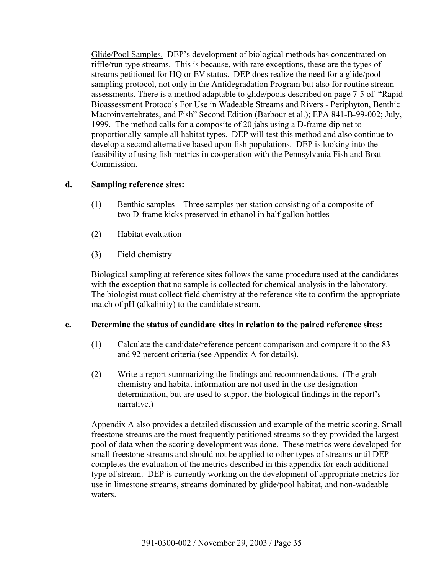Glide/Pool Samples.DEP's development of biological methods has concentrated on riffle/run type streams. This is because, with rare exceptions, these are the types of streams petitioned for HQ or EV status. DEP does realize the need for a glide/pool sampling protocol, not only in the Antidegradation Program but also for routine stream assessments. There is a method adaptable to glide/pools described on page 7-5 of "Rapid Bioassessment Protocols For Use in Wadeable Streams and Rivers - Periphyton, Benthic Macroinvertebrates, and Fish" Second Edition (Barbour et al.); EPA 841-B-99-002; July, 1999. The method calls for a composite of 20 jabs using a D-frame dip net to proportionally sample all habitat types. DEP will test this method and also continue to develop a second alternative based upon fish populations. DEP is looking into the feasibility of using fish metrics in cooperation with the Pennsylvania Fish and Boat Commission.

### **d. Sampling reference sites:**

- (1) Benthic samples Three samples per station consisting of a composite of two D-frame kicks preserved in ethanol in half gallon bottles
- (2) Habitat evaluation
- (3) Field chemistry

Biological sampling at reference sites follows the same procedure used at the candidates with the exception that no sample is collected for chemical analysis in the laboratory. The biologist must collect field chemistry at the reference site to confirm the appropriate match of pH (alkalinity) to the candidate stream.

# **e. Determine the status of candidate sites in relation to the paired reference sites:**

- (1) Calculate the candidate/reference percent comparison and compare it to the 83 and 92 percent criteria (see Appendix A for details).
- (2) Write a report summarizing the findings and recommendations. (The grab chemistry and habitat information are not used in the use designation determination, but are used to support the biological findings in the report's narrative.)

Appendix A also provides a detailed discussion and example of the metric scoring. Small freestone streams are the most frequently petitioned streams so they provided the largest pool of data when the scoring development was done. These metrics were developed for small freestone streams and should not be applied to other types of streams until DEP completes the evaluation of the metrics described in this appendix for each additional type of stream. DEP is currently working on the development of appropriate metrics for use in limestone streams, streams dominated by glide/pool habitat, and non-wadeable waters.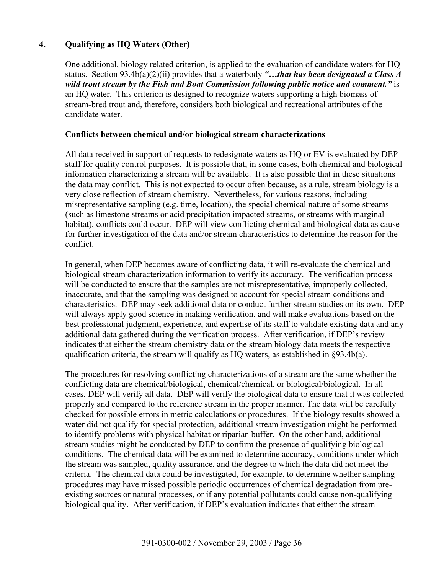# **4. Qualifying as HQ Waters (Other)**

One additional, biology related criterion, is applied to the evaluation of candidate waters for HQ status. Section 93.4b(a)(2)(ii) provides that a waterbody *"…that has been designated a Class A wild trout stream by the Fish and Boat Commission following public notice and comment."* is an HQ water. This criterion is designed to recognize waters supporting a high biomass of stream-bred trout and, therefore, considers both biological and recreational attributes of the candidate water.

### **Conflicts between chemical and/or biological stream characterizations**

All data received in support of requests to redesignate waters as HQ or EV is evaluated by DEP staff for quality control purposes. It is possible that, in some cases, both chemical and biological information characterizing a stream will be available. It is also possible that in these situations the data may conflict. This is not expected to occur often because, as a rule, stream biology is a very close reflection of stream chemistry. Nevertheless, for various reasons, including misrepresentative sampling (e.g. time, location), the special chemical nature of some streams (such as limestone streams or acid precipitation impacted streams, or streams with marginal habitat), conflicts could occur. DEP will view conflicting chemical and biological data as cause for further investigation of the data and/or stream characteristics to determine the reason for the conflict.

In general, when DEP becomes aware of conflicting data, it will re-evaluate the chemical and biological stream characterization information to verify its accuracy. The verification process will be conducted to ensure that the samples are not misrepresentative, improperly collected, inaccurate, and that the sampling was designed to account for special stream conditions and characteristics. DEP may seek additional data or conduct further stream studies on its own. DEP will always apply good science in making verification, and will make evaluations based on the best professional judgment, experience, and expertise of its staff to validate existing data and any additional data gathered during the verification process. After verification, if DEP's review indicates that either the stream chemistry data or the stream biology data meets the respective qualification criteria, the stream will qualify as HQ waters, as established in §93.4b(a).

The procedures for resolving conflicting characterizations of a stream are the same whether the conflicting data are chemical/biological, chemical/chemical, or biological/biological. In all cases, DEP will verify all data. DEP will verify the biological data to ensure that it was collected properly and compared to the reference stream in the proper manner. The data will be carefully checked for possible errors in metric calculations or procedures. If the biology results showed a water did not qualify for special protection, additional stream investigation might be performed to identify problems with physical habitat or riparian buffer. On the other hand, additional stream studies might be conducted by DEP to confirm the presence of qualifying biological conditions. The chemical data will be examined to determine accuracy, conditions under which the stream was sampled, quality assurance, and the degree to which the data did not meet the criteria. The chemical data could be investigated, for example, to determine whether sampling procedures may have missed possible periodic occurrences of chemical degradation from preexisting sources or natural processes, or if any potential pollutants could cause non-qualifying biological quality. After verification, if DEP's evaluation indicates that either the stream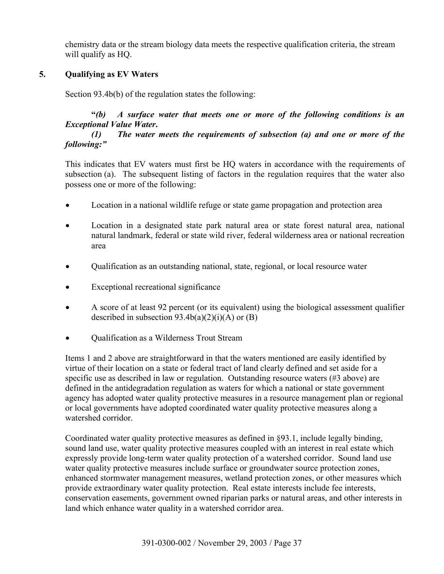chemistry data or the stream biology data meets the respective qualification criteria, the stream will qualify as HQ.

# **5. Qualifying as EV Waters**

Section 93.4b(b) of the regulation states the following:

# **"***(b) A surface water that meets one or more of the following conditions is an Exceptional Value Water***.**

# *(1) The water meets the requirements of subsection (a) and one or more of the following:"*

This indicates that EV waters must first be HQ waters in accordance with the requirements of subsection (a). The subsequent listing of factors in the regulation requires that the water also possess one or more of the following:

- Location in a national wildlife refuge or state game propagation and protection area
- Location in a designated state park natural area or state forest natural area, national natural landmark, federal or state wild river, federal wilderness area or national recreation area
- Qualification as an outstanding national, state, regional, or local resource water
- Exceptional recreational significance
- A score of at least 92 percent (or its equivalent) using the biological assessment qualifier described in subsection  $93.4b(a)(2)(i)(A)$  or  $(B)$
- Oualification as a Wilderness Trout Stream

Items 1 and 2 above are straightforward in that the waters mentioned are easily identified by virtue of their location on a state or federal tract of land clearly defined and set aside for a specific use as described in law or regulation. Outstanding resource waters (#3 above) are defined in the antidegradation regulation as waters for which a national or state government agency has adopted water quality protective measures in a resource management plan or regional or local governments have adopted coordinated water quality protective measures along a watershed corridor.

Coordinated water quality protective measures as defined in §93.1, include legally binding, sound land use, water quality protective measures coupled with an interest in real estate which expressly provide long-term water quality protection of a watershed corridor. Sound land use water quality protective measures include surface or groundwater source protection zones, enhanced stormwater management measures, wetland protection zones, or other measures which provide extraordinary water quality protection. Real estate interests include fee interests, conservation easements, government owned riparian parks or natural areas, and other interests in land which enhance water quality in a watershed corridor area.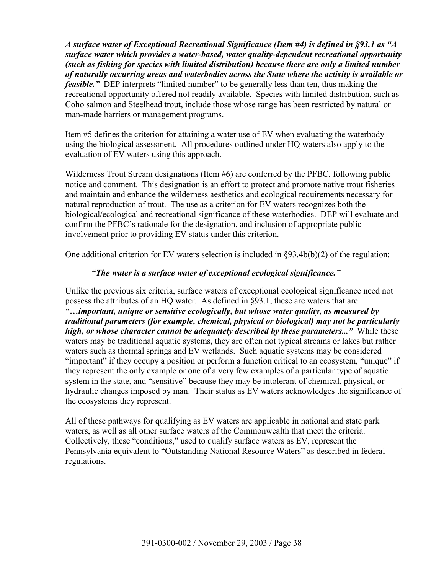*A surface water of Exceptional Recreational Significance (Item #4) is defined in §93.1 as "A surface water which provides a water-based, water quality-dependent recreational opportunity (such as fishing for species with limited distribution) because there are only a limited number of naturally occurring areas and waterbodies across the State where the activity is available or feasible.*" DEP interprets "limited number" to be generally less than ten, thus making the recreational opportunity offered not readily available. Species with limited distribution, such as Coho salmon and Steelhead trout, include those whose range has been restricted by natural or man-made barriers or management programs.

Item #5 defines the criterion for attaining a water use of EV when evaluating the waterbody using the biological assessment. All procedures outlined under HQ waters also apply to the evaluation of EV waters using this approach.

Wilderness Trout Stream designations (Item #6) are conferred by the PFBC, following public notice and comment. This designation is an effort to protect and promote native trout fisheries and maintain and enhance the wilderness aesthetics and ecological requirements necessary for natural reproduction of trout. The use as a criterion for EV waters recognizes both the biological/ecological and recreational significance of these waterbodies. DEP will evaluate and confirm the PFBC's rationale for the designation, and inclusion of appropriate public involvement prior to providing EV status under this criterion.

One additional criterion for EV waters selection is included in §93.4b(b)(2) of the regulation:

# *"The water is a surface water of exceptional ecological significance."*

Unlike the previous six criteria, surface waters of exceptional ecological significance need not possess the attributes of an HQ water. As defined in §93.1, these are waters that are *"…important, unique or sensitive ecologically, but whose water quality, as measured by traditional parameters (for example, chemical, physical or biological) may not be particularly high, or whose character cannot be adequately described by these parameters..."* While these waters may be traditional aquatic systems, they are often not typical streams or lakes but rather waters such as thermal springs and EV wetlands. Such aquatic systems may be considered "important" if they occupy a position or perform a function critical to an ecosystem, "unique" if they represent the only example or one of a very few examples of a particular type of aquatic system in the state, and "sensitive" because they may be intolerant of chemical, physical, or hydraulic changes imposed by man. Their status as EV waters acknowledges the significance of the ecosystems they represent.

All of these pathways for qualifying as EV waters are applicable in national and state park waters, as well as all other surface waters of the Commonwealth that meet the criteria. Collectively, these "conditions," used to qualify surface waters as EV, represent the Pennsylvania equivalent to "Outstanding National Resource Waters" as described in federal regulations.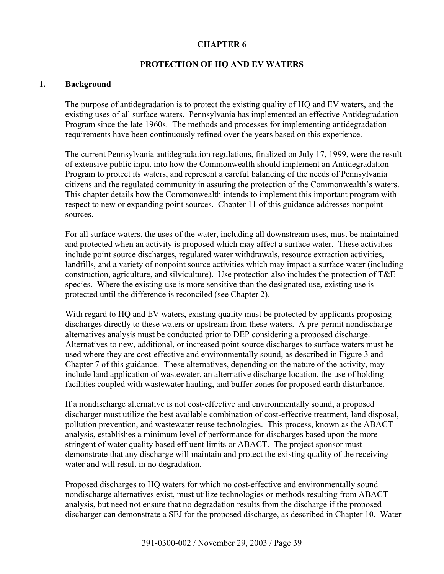### **CHAPTER 6**

### **PROTECTION OF HQ AND EV WATERS**

#### **1. Background**

The purpose of antidegradation is to protect the existing quality of HQ and EV waters, and the existing uses of all surface waters. Pennsylvania has implemented an effective Antidegradation Program since the late 1960s. The methods and processes for implementing antidegradation requirements have been continuously refined over the years based on this experience.

The current Pennsylvania antidegradation regulations, finalized on July 17, 1999, were the result of extensive public input into how the Commonwealth should implement an Antidegradation Program to protect its waters, and represent a careful balancing of the needs of Pennsylvania citizens and the regulated community in assuring the protection of the Commonwealth's waters. This chapter details how the Commonwealth intends to implement this important program with respect to new or expanding point sources. Chapter 11 of this guidance addresses nonpoint sources.

For all surface waters, the uses of the water, including all downstream uses, must be maintained and protected when an activity is proposed which may affect a surface water. These activities include point source discharges, regulated water withdrawals, resource extraction activities, landfills, and a variety of nonpoint source activities which may impact a surface water (including construction, agriculture, and silviculture). Use protection also includes the protection of T&E species. Where the existing use is more sensitive than the designated use, existing use is protected until the difference is reconciled (see Chapter 2).

With regard to HQ and EV waters, existing quality must be protected by applicants proposing discharges directly to these waters or upstream from these waters. A pre-permit nondischarge alternatives analysis must be conducted prior to DEP considering a proposed discharge. Alternatives to new, additional, or increased point source discharges to surface waters must be used where they are cost-effective and environmentally sound, as described in Figure 3 and Chapter 7 of this guidance. These alternatives, depending on the nature of the activity, may include land application of wastewater, an alternative discharge location, the use of holding facilities coupled with wastewater hauling, and buffer zones for proposed earth disturbance.

If a nondischarge alternative is not cost-effective and environmentally sound, a proposed discharger must utilize the best available combination of cost-effective treatment, land disposal, pollution prevention, and wastewater reuse technologies. This process, known as the ABACT analysis, establishes a minimum level of performance for discharges based upon the more stringent of water quality based effluent limits or ABACT. The project sponsor must demonstrate that any discharge will maintain and protect the existing quality of the receiving water and will result in no degradation.

Proposed discharges to HQ waters for which no cost-effective and environmentally sound nondischarge alternatives exist, must utilize technologies or methods resulting from ABACT analysis, but need not ensure that no degradation results from the discharge if the proposed discharger can demonstrate a SEJ for the proposed discharge, as described in Chapter 10. Water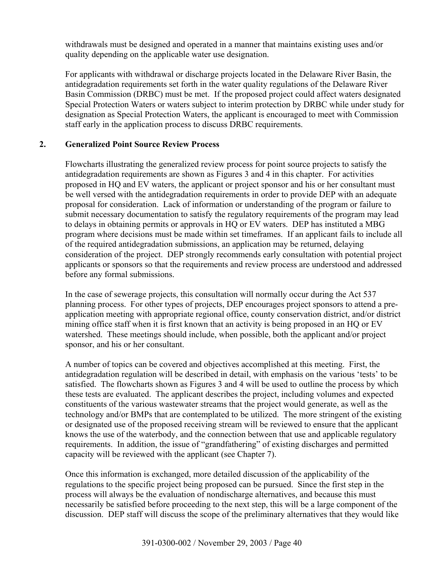withdrawals must be designed and operated in a manner that maintains existing uses and/or quality depending on the applicable water use designation.

For applicants with withdrawal or discharge projects located in the Delaware River Basin, the antidegradation requirements set forth in the water quality regulations of the Delaware River Basin Commission (DRBC) must be met. If the proposed project could affect waters designated Special Protection Waters or waters subject to interim protection by DRBC while under study for designation as Special Protection Waters, the applicant is encouraged to meet with Commission staff early in the application process to discuss DRBC requirements.

### **2. Generalized Point Source Review Process**

Flowcharts illustrating the generalized review process for point source projects to satisfy the antidegradation requirements are shown as Figures 3 and 4 in this chapter. For activities proposed in HQ and EV waters, the applicant or project sponsor and his or her consultant must be well versed with the antidegradation requirements in order to provide DEP with an adequate proposal for consideration. Lack of information or understanding of the program or failure to submit necessary documentation to satisfy the regulatory requirements of the program may lead to delays in obtaining permits or approvals in HQ or EV waters. DEP has instituted a MBG program where decisions must be made within set timeframes. If an applicant fails to include all of the required antidegradation submissions, an application may be returned, delaying consideration of the project. DEP strongly recommends early consultation with potential project applicants or sponsors so that the requirements and review process are understood and addressed before any formal submissions.

In the case of sewerage projects, this consultation will normally occur during the Act 537 planning process. For other types of projects, DEP encourages project sponsors to attend a preapplication meeting with appropriate regional office, county conservation district, and/or district mining office staff when it is first known that an activity is being proposed in an HQ or EV watershed. These meetings should include, when possible, both the applicant and/or project sponsor, and his or her consultant.

A number of topics can be covered and objectives accomplished at this meeting. First, the antidegradation regulation will be described in detail, with emphasis on the various 'tests' to be satisfied. The flowcharts shown as Figures 3 and 4 will be used to outline the process by which these tests are evaluated. The applicant describes the project, including volumes and expected constituents of the various wastewater streams that the project would generate, as well as the technology and/or BMPs that are contemplated to be utilized. The more stringent of the existing or designated use of the proposed receiving stream will be reviewed to ensure that the applicant knows the use of the waterbody, and the connection between that use and applicable regulatory requirements. In addition, the issue of "grandfathering" of existing discharges and permitted capacity will be reviewed with the applicant (see Chapter 7).

Once this information is exchanged, more detailed discussion of the applicability of the regulations to the specific project being proposed can be pursued. Since the first step in the process will always be the evaluation of nondischarge alternatives, and because this must necessarily be satisfied before proceeding to the next step, this will be a large component of the discussion. DEP staff will discuss the scope of the preliminary alternatives that they would like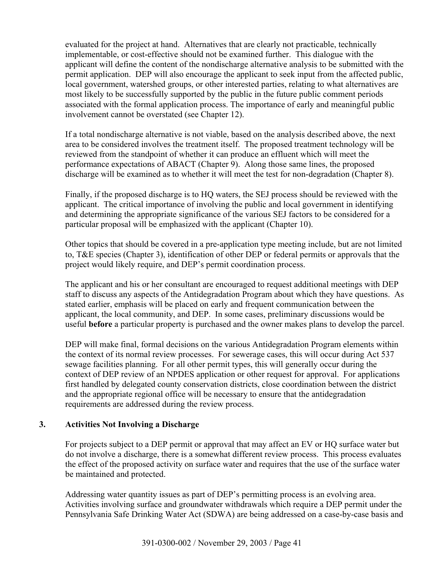evaluated for the project at hand. Alternatives that are clearly not practicable, technically implementable, or cost-effective should not be examined further. This dialogue with the applicant will define the content of the nondischarge alternative analysis to be submitted with the permit application. DEP will also encourage the applicant to seek input from the affected public, local government, watershed groups, or other interested parties, relating to what alternatives are most likely to be successfully supported by the public in the future public comment periods associated with the formal application process. The importance of early and meaningful public involvement cannot be overstated (see Chapter 12).

If a total nondischarge alternative is not viable, based on the analysis described above, the next area to be considered involves the treatment itself. The proposed treatment technology will be reviewed from the standpoint of whether it can produce an effluent which will meet the performance expectations of ABACT (Chapter 9).Along those same lines, the proposed discharge will be examined as to whether it will meet the test for non-degradation (Chapter 8).

Finally, if the proposed discharge is to HQ waters, the SEJ process should be reviewed with the applicant. The critical importance of involving the public and local government in identifying and determining the appropriate significance of the various SEJ factors to be considered for a particular proposal will be emphasized with the applicant (Chapter 10).

Other topics that should be covered in a pre-application type meeting include, but are not limited to, T&E species (Chapter 3), identification of other DEP or federal permits or approvals that the project would likely require, and DEP's permit coordination process.

The applicant and his or her consultant are encouraged to request additional meetings with DEP staff to discuss any aspects of the Antidegradation Program about which they have questions. As stated earlier, emphasis will be placed on early and frequent communication between the applicant, the local community, and DEP. In some cases, preliminary discussions would be useful **before** a particular property is purchased and the owner makes plans to develop the parcel.

DEP will make final, formal decisions on the various Antidegradation Program elements within the context of its normal review processes. For sewerage cases, this will occur during Act 537 sewage facilities planning. For all other permit types, this will generally occur during the context of DEP review of an NPDES application or other request for approval. For applications first handled by delegated county conservation districts, close coordination between the district and the appropriate regional office will be necessary to ensure that the antidegradation requirements are addressed during the review process.

# **3. Activities Not Involving a Discharge**

For projects subject to a DEP permit or approval that may affect an EV or HQ surface water but do not involve a discharge, there is a somewhat different review process. This process evaluates the effect of the proposed activity on surface water and requires that the use of the surface water be maintained and protected.

Addressing water quantity issues as part of DEP's permitting process is an evolving area. Activities involving surface and groundwater withdrawals which require a DEP permit under the Pennsylvania Safe Drinking Water Act (SDWA) are being addressed on a case-by-case basis and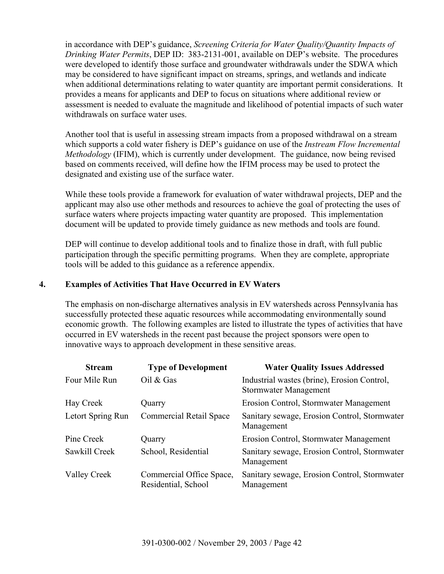in accordance with DEP's guidance, *Screening Criteria for Water Quality/Quantity Impacts of Drinking Water Permits*, DEP ID: 383-2131-001, available on DEP's website. The procedures were developed to identify those surface and groundwater withdrawals under the SDWA which may be considered to have significant impact on streams, springs, and wetlands and indicate when additional determinations relating to water quantity are important permit considerations. It provides a means for applicants and DEP to focus on situations where additional review or assessment is needed to evaluate the magnitude and likelihood of potential impacts of such water withdrawals on surface water uses.

Another tool that is useful in assessing stream impacts from a proposed withdrawal on a stream which supports a cold water fishery is DEP's guidance on use of the *Instream Flow Incremental Methodology* (IFIM), which is currently under development. The guidance, now being revised based on comments received, will define how the IFIM process may be used to protect the designated and existing use of the surface water.

While these tools provide a framework for evaluation of water withdrawal projects, DEP and the applicant may also use other methods and resources to achieve the goal of protecting the uses of surface waters where projects impacting water quantity are proposed. This implementation document will be updated to provide timely guidance as new methods and tools are found.

DEP will continue to develop additional tools and to finalize those in draft, with full public participation through the specific permitting programs. When they are complete, appropriate tools will be added to this guidance as a reference appendix.

# **4. Examples of Activities That Have Occurred in EV Waters**

The emphasis on non-discharge alternatives analysis in EV watersheds across Pennsylvania has successfully protected these aquatic resources while accommodating environmentally sound economic growth. The following examples are listed to illustrate the types of activities that have occurred in EV watersheds in the recent past because the project sponsors were open to innovative ways to approach development in these sensitive areas.

| <b>Stream</b>     | <b>Type of Development</b>                      | <b>Water Quality Issues Addressed</b>                                       |
|-------------------|-------------------------------------------------|-----------------------------------------------------------------------------|
| Four Mile Run     | Oil $&$ Gas                                     | Industrial wastes (brine), Erosion Control,<br><b>Stormwater Management</b> |
| Hay Creek         | Quarry                                          | Erosion Control, Stormwater Management                                      |
| Letort Spring Run | <b>Commercial Retail Space</b>                  | Sanitary sewage, Erosion Control, Stormwater<br>Management                  |
| Pine Creek        | Quarry                                          | Erosion Control, Stormwater Management                                      |
| Sawkill Creek     | School, Residential                             | Sanitary sewage, Erosion Control, Stormwater<br>Management                  |
| Valley Creek      | Commercial Office Space,<br>Residential, School | Sanitary sewage, Erosion Control, Stormwater<br>Management                  |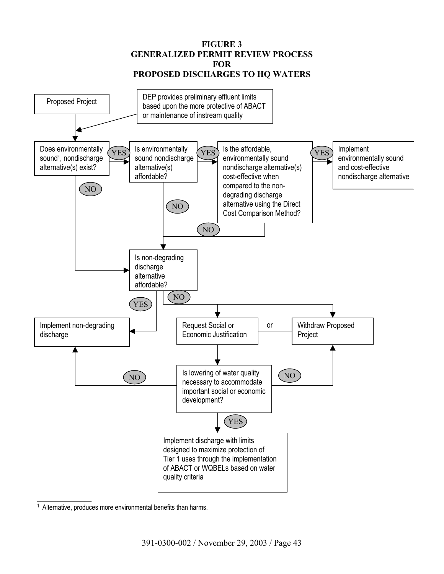**FIGURE 3 GENERALIZED PERMIT REVIEW PROCESS FOR PROPOSED DISCHARGES TO HQ WATERS** 



<sup>&</sup>lt;sup>1</sup> Alternative, produces more environmental benefits than harms.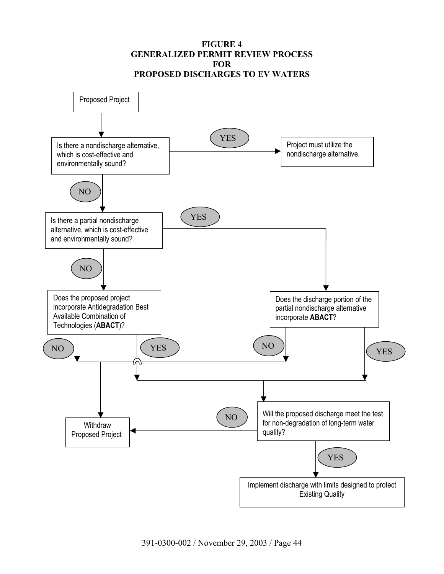### **FIGURE 4 GENERALIZED PERMIT REVIEW PROCESS FOR PROPOSED DISCHARGES TO EV WATERS**

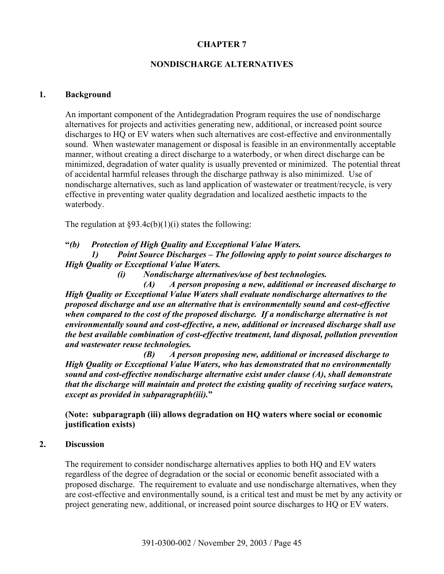# **CHAPTER 7**

# **NONDISCHARGE ALTERNATIVES**

### **1. Background**

An important component of the Antidegradation Program requires the use of nondischarge alternatives for projects and activities generating new, additional, or increased point source discharges to HQ or EV waters when such alternatives are cost-effective and environmentally sound. When wastewater management or disposal is feasible in an environmentally acceptable manner, without creating a direct discharge to a waterbody, or when direct discharge can be minimized, degradation of water quality is usually prevented or minimized. The potential threat of accidental harmful releases through the discharge pathway is also minimized. Use of nondischarge alternatives, such as land application of wastewater or treatment/recycle, is very effective in preventing water quality degradation and localized aesthetic impacts to the waterbody.

The regulation at  $\S 93.4c(b)(1)(i)$  states the following:

**"***(b) Protection of High Quality and Exceptional Value Waters.* 

*1) Point Source Discharges – The following apply to point source discharges to High Quality or Exceptional Value Waters.* 

*(i) Nondischarge alternatives/use of best technologies.* 

*(A) A person proposing a new, additional or increased discharge to High Quality or Exceptional Value Waters shall evaluate nondischarge alternatives to the proposed discharge and use an alternative that is environmentally sound and cost-effective when compared to the cost of the proposed discharge. If a nondischarge alternative is not environmentally sound and cost-effective, a new, additional or increased discharge shall use the best available combination of cost-effective treatment, land disposal, pollution prevention and wastewater reuse technologies.*

*(B) A person proposing new, additional or increased discharge to High Quality or Exceptional Value Waters, who has demonstrated that no environmentally sound and cost-effective nondischarge alternative exist under clause (A), shall demonstrate that the discharge will maintain and protect the existing quality of receiving surface waters, except as provided in subparagraph(iii).***"**

# **(Note: subparagraph (iii) allows degradation on HQ waters where social or economic justification exists)**

### **2. Discussion**

The requirement to consider nondischarge alternatives applies to both HQ and EV waters regardless of the degree of degradation or the social or economic benefit associated with a proposed discharge. The requirement to evaluate and use nondischarge alternatives, when they are cost-effective and environmentally sound, is a critical test and must be met by any activity or project generating new, additional, or increased point source discharges to HQ or EV waters.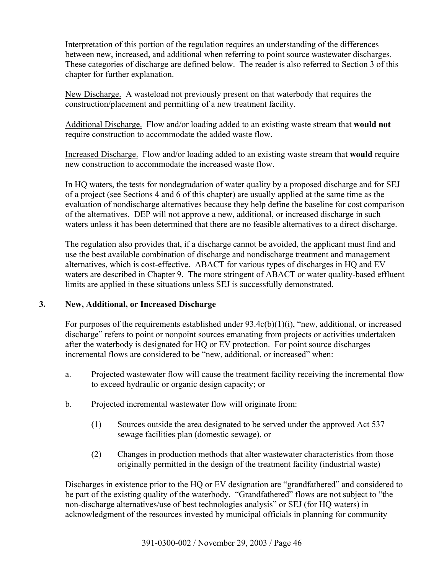Interpretation of this portion of the regulation requires an understanding of the differences between new, increased, and additional when referring to point source wastewater discharges. These categories of discharge are defined below. The reader is also referred to Section 3 of this chapter for further explanation.

New Discharge. A wasteload not previously present on that waterbody that requires the construction/placement and permitting of a new treatment facility.

Additional Discharge. Flow and/or loading added to an existing waste stream that **would not** require construction to accommodate the added waste flow.

Increased Discharge. Flow and/or loading added to an existing waste stream that **would** require new construction to accommodate the increased waste flow.

In HQ waters, the tests for nondegradation of water quality by a proposed discharge and for SEJ of a project (see Sections 4 and 6 of this chapter) are usually applied at the same time as the evaluation of nondischarge alternatives because they help define the baseline for cost comparison of the alternatives. DEP will not approve a new, additional, or increased discharge in such waters unless it has been determined that there are no feasible alternatives to a direct discharge.

The regulation also provides that, if a discharge cannot be avoided, the applicant must find and use the best available combination of discharge and nondischarge treatment and management alternatives, which is cost-effective. ABACT for various types of discharges in HQ and EV waters are described in Chapter 9. The more stringent of ABACT or water quality-based effluent limits are applied in these situations unless SEJ is successfully demonstrated.

# **3. New, Additional, or Increased Discharge**

For purposes of the requirements established under 93.4c(b)(1)(i), "new, additional, or increased discharge" refers to point or nonpoint sources emanating from projects or activities undertaken after the waterbody is designated for HQ or EV protection. For point source discharges incremental flows are considered to be "new, additional, or increased" when:

- a. Projected wastewater flow will cause the treatment facility receiving the incremental flow to exceed hydraulic or organic design capacity; or
- b. Projected incremental wastewater flow will originate from:
	- (1) Sources outside the area designated to be served under the approved Act 537 sewage facilities plan (domestic sewage), or
	- (2) Changes in production methods that alter wastewater characteristics from those originally permitted in the design of the treatment facility (industrial waste)

Discharges in existence prior to the HQ or EV designation are "grandfathered" and considered to be part of the existing quality of the waterbody. "Grandfathered" flows are not subject to "the non-discharge alternatives/use of best technologies analysis" or SEJ (for HQ waters) in acknowledgment of the resources invested by municipal officials in planning for community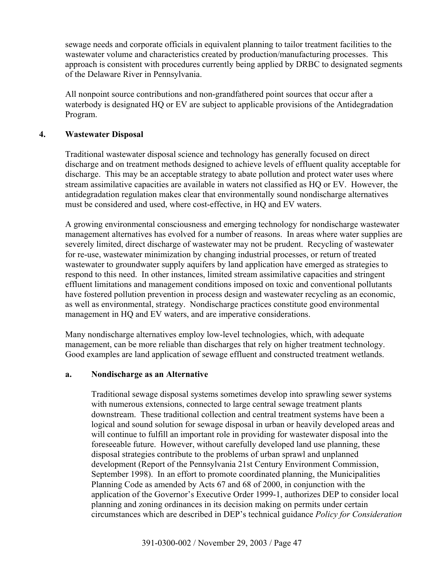sewage needs and corporate officials in equivalent planning to tailor treatment facilities to the wastewater volume and characteristics created by production/manufacturing processes. This approach is consistent with procedures currently being applied by DRBC to designated segments of the Delaware River in Pennsylvania.

All nonpoint source contributions and non-grandfathered point sources that occur after a waterbody is designated HQ or EV are subject to applicable provisions of the Antidegradation Program.

### **4. Wastewater Disposal**

Traditional wastewater disposal science and technology has generally focused on direct discharge and on treatment methods designed to achieve levels of effluent quality acceptable for discharge. This may be an acceptable strategy to abate pollution and protect water uses where stream assimilative capacities are available in waters not classified as HQ or EV. However, the antidegradation regulation makes clear that environmentally sound nondischarge alternatives must be considered and used, where cost-effective, in HQ and EV waters.

A growing environmental consciousness and emerging technology for nondischarge wastewater management alternatives has evolved for a number of reasons. In areas where water supplies are severely limited, direct discharge of wastewater may not be prudent. Recycling of wastewater for re-use, wastewater minimization by changing industrial processes, or return of treated wastewater to groundwater supply aquifers by land application have emerged as strategies to respond to this need. In other instances, limited stream assimilative capacities and stringent effluent limitations and management conditions imposed on toxic and conventional pollutants have fostered pollution prevention in process design and wastewater recycling as an economic, as well as environmental, strategy. Nondischarge practices constitute good environmental management in HQ and EV waters, and are imperative considerations.

Many nondischarge alternatives employ low-level technologies, which, with adequate management, can be more reliable than discharges that rely on higher treatment technology. Good examples are land application of sewage effluent and constructed treatment wetlands.

### **a. Nondischarge as an Alternative**

Traditional sewage disposal systems sometimes develop into sprawling sewer systems with numerous extensions, connected to large central sewage treatment plants downstream. These traditional collection and central treatment systems have been a logical and sound solution for sewage disposal in urban or heavily developed areas and will continue to fulfill an important role in providing for wastewater disposal into the foreseeable future. However, without carefully developed land use planning, these disposal strategies contribute to the problems of urban sprawl and unplanned development (Report of the Pennsylvania 21st Century Environment Commission, September 1998). In an effort to promote coordinated planning, the Municipalities Planning Code as amended by Acts 67 and 68 of 2000, in conjunction with the application of the Governor's Executive Order 1999-1, authorizes DEP to consider local planning and zoning ordinances in its decision making on permits under certain circumstances which are described in DEP's technical guidance *Policy for Consideration*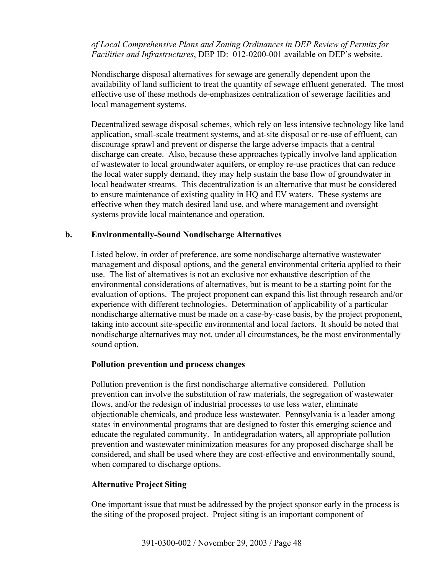*of Local Comprehensive Plans and Zoning Ordinances in DEP Review of Permits for Facilities and Infrastructures*, DEP ID: 012-0200-001 available on DEP's website.

Nondischarge disposal alternatives for sewage are generally dependent upon the availability of land sufficient to treat the quantity of sewage effluent generated. The most effective use of these methods de-emphasizes centralization of sewerage facilities and local management systems.

Decentralized sewage disposal schemes, which rely on less intensive technology like land application, small-scale treatment systems, and at-site disposal or re-use of effluent, can discourage sprawl and prevent or disperse the large adverse impacts that a central discharge can create. Also, because these approaches typically involve land application of wastewater to local groundwater aquifers, or employ re-use practices that can reduce the local water supply demand, they may help sustain the base flow of groundwater in local headwater streams. This decentralization is an alternative that must be considered to ensure maintenance of existing quality in HQ and EV waters. These systems are effective when they match desired land use, and where management and oversight systems provide local maintenance and operation.

### **b. Environmentally-Sound Nondischarge Alternatives**

Listed below, in order of preference, are some nondischarge alternative wastewater management and disposal options, and the general environmental criteria applied to their use. The list of alternatives is not an exclusive nor exhaustive description of the environmental considerations of alternatives, but is meant to be a starting point for the evaluation of options. The project proponent can expand this list through research and/or experience with different technologies. Determination of applicability of a particular nondischarge alternative must be made on a case-by-case basis, by the project proponent, taking into account site-specific environmental and local factors. It should be noted that nondischarge alternatives may not, under all circumstances, be the most environmentally sound option.

### **Pollution prevention and process changes**

Pollution prevention is the first nondischarge alternative considered. Pollution prevention can involve the substitution of raw materials, the segregation of wastewater flows, and/or the redesign of industrial processes to use less water, eliminate objectionable chemicals, and produce less wastewater. Pennsylvania is a leader among states in environmental programs that are designed to foster this emerging science and educate the regulated community. In antidegradation waters, all appropriate pollution prevention and wastewater minimization measures for any proposed discharge shall be considered, and shall be used where they are cost-effective and environmentally sound, when compared to discharge options.

### **Alternative Project Siting**

One important issue that must be addressed by the project sponsor early in the process is the siting of the proposed project. Project siting is an important component of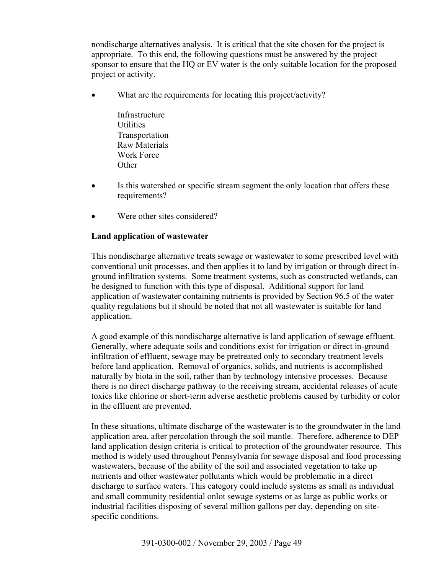nondischarge alternatives analysis. It is critical that the site chosen for the project is appropriate. To this end, the following questions must be answered by the project sponsor to ensure that the HQ or EV water is the only suitable location for the proposed project or activity.

- What are the requirements for locating this project/activity?
	- Infrastructure **Utilities** Transportation Raw Materials Work Force **Other**
- Is this watershed or specific stream segment the only location that offers these requirements?
- Were other sites considered?

### **Land application of wastewater**

This nondischarge alternative treats sewage or wastewater to some prescribed level with conventional unit processes, and then applies it to land by irrigation or through direct inground infiltration systems. Some treatment systems, such as constructed wetlands, can be designed to function with this type of disposal. Additional support for land application of wastewater containing nutrients is provided by Section 96.5 of the water quality regulations but it should be noted that not all wastewater is suitable for land application.

A good example of this nondischarge alternative is land application of sewage effluent. Generally, where adequate soils and conditions exist for irrigation or direct in-ground infiltration of effluent, sewage may be pretreated only to secondary treatment levels before land application. Removal of organics, solids, and nutrients is accomplished naturally by biota in the soil, rather than by technology intensive processes. Because there is no direct discharge pathway to the receiving stream, accidental releases of acute toxics like chlorine or short-term adverse aesthetic problems caused by turbidity or color in the effluent are prevented.

In these situations, ultimate discharge of the wastewater is to the groundwater in the land application area, after percolation through the soil mantle. Therefore, adherence to DEP land application design criteria is critical to protection of the groundwater resource. This method is widely used throughout Pennsylvania for sewage disposal and food processing wastewaters, because of the ability of the soil and associated vegetation to take up nutrients and other wastewater pollutants which would be problematic in a direct discharge to surface waters. This category could include systems as small as individual and small community residential onlot sewage systems or as large as public works or industrial facilities disposing of several million gallons per day, depending on sitespecific conditions.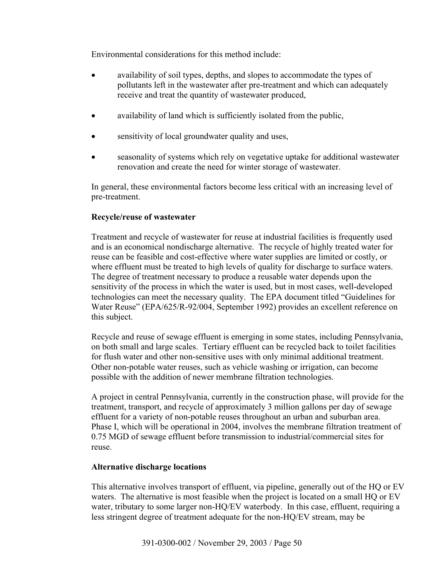Environmental considerations for this method include:

- availability of soil types, depths, and slopes to accommodate the types of pollutants left in the wastewater after pre-treatment and which can adequately receive and treat the quantity of wastewater produced,
- availability of land which is sufficiently isolated from the public,
- sensitivity of local groundwater quality and uses,
- seasonality of systems which rely on vegetative uptake for additional wastewater renovation and create the need for winter storage of wastewater.

In general, these environmental factors become less critical with an increasing level of pre-treatment.

### **Recycle/reuse of wastewater**

Treatment and recycle of wastewater for reuse at industrial facilities is frequently used and is an economical nondischarge alternative. The recycle of highly treated water for reuse can be feasible and cost-effective where water supplies are limited or costly, or where effluent must be treated to high levels of quality for discharge to surface waters. The degree of treatment necessary to produce a reusable water depends upon the sensitivity of the process in which the water is used, but in most cases, well-developed technologies can meet the necessary quality. The EPA document titled "Guidelines for Water Reuse" (EPA/625/R-92/004, September 1992) provides an excellent reference on this subject.

Recycle and reuse of sewage effluent is emerging in some states, including Pennsylvania, on both small and large scales. Tertiary effluent can be recycled back to toilet facilities for flush water and other non-sensitive uses with only minimal additional treatment. Other non-potable water reuses, such as vehicle washing or irrigation, can become possible with the addition of newer membrane filtration technologies.

A project in central Pennsylvania, currently in the construction phase, will provide for the treatment, transport, and recycle of approximately 3 million gallons per day of sewage effluent for a variety of non-potable reuses throughout an urban and suburban area. Phase I, which will be operational in 2004, involves the membrane filtration treatment of 0.75 MGD of sewage effluent before transmission to industrial/commercial sites for reuse.

### **Alternative discharge locations**

This alternative involves transport of effluent, via pipeline, generally out of the HQ or EV waters. The alternative is most feasible when the project is located on a small HQ or EV water, tributary to some larger non-HQ/EV waterbody. In this case, effluent, requiring a less stringent degree of treatment adequate for the non-HQ/EV stream, may be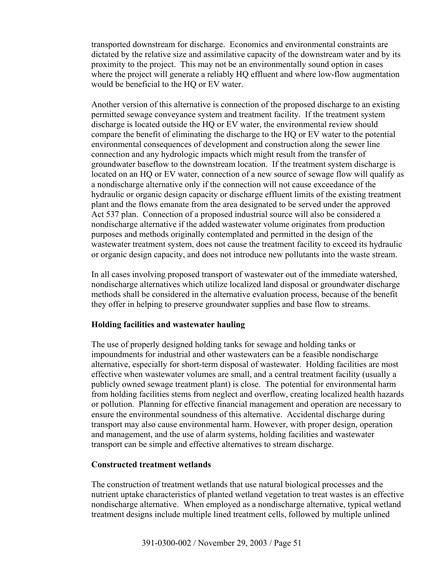transported downstream for discharge. Economics and environmental constraints are dictated by the relative size and assimilative capacity of the downstream water and by its proximity to the project. This may not be an environmentally sound option in cases where the project will generate a reliably HQ effluent and where low-flow augmentation would be beneficial to the HQ or EV water.

Another version of this alternative is connection of the proposed discharge to an existing permitted sewage conveyance system and treatment facility. If the treatment system discharge is located outside the HQ or EV water, the environmental review should compare the benefit of eliminating the discharge to the HQ or EV water to the potential environmental consequences of development and construction along the sewer line connection and any hydrologic impacts which might result from the transfer of groundwater baseflow to the downstream location. If the treatment system discharge is located on an HQ or EV water, connection of a new source of sewage flow will qualify as a nondischarge alternative only if the connection will not cause exceedance of the hydraulic or organic design capacity or discharge effluent limits of the existing treatment plant and the flows emanate from the area designated to be served under the approved Act 537 plan. Connection of a proposed industrial source will also be considered a nondischarge alternative if the added wastewater volume originates from production purposes and methods originally contemplated and permitted in the design of the wastewater treatment system, does not cause the treatment facility to exceed its hydraulic or organic design capacity, and does not introduce new pollutants into the waste stream.

In all cases involving proposed transport of wastewater out of the immediate watershed, nondischarge alternatives which utilize localized land disposal or groundwater discharge methods shall be considered in the alternative evaluation process, because of the benefit they offer in helping to preserve groundwater supplies and base flow to streams.

### **Holding facilities and wastewater hauling**

The use of properly designed holding tanks for sewage and holding tanks or impoundments for industrial and other wastewaters can be a feasible nondischarge alternative, especially for short-term disposal of wastewater. Holding facilities are most effective when wastewater volumes are small, and a central treatment facility (usually a publicly owned sewage treatment plant) is close. The potential for environmental harm from holding facilities stems from neglect and overflow, creating localized health hazards or pollution. Planning for effective financial management and operation are necessary to ensure the environmental soundness of this alternative. Accidental discharge during transport may also cause environmental harm. However, with proper design, operation and management, and the use of alarm systems, holding facilities and wastewater transport can be simple and effective alternatives to stream discharge.

#### **Constructed treatment wetlands**

The construction of treatment wetlands that use natural biological processes and the nutrient uptake characteristics of planted wetland vegetation to treat wastes is an effective nondischarge alternative. When employed as a nondischarge alternative, typical wetland treatment designs include multiple lined treatment cells, followed by multiple unlined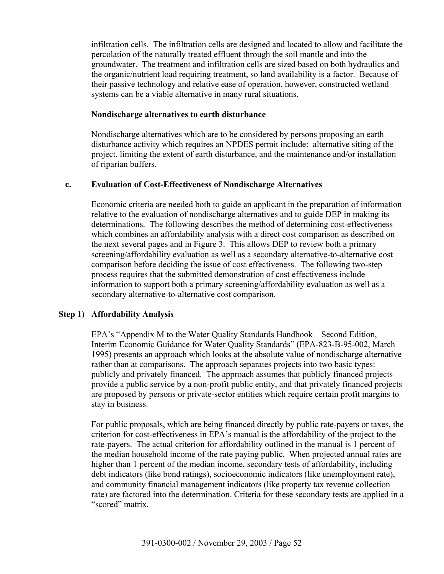infiltration cells. The infiltration cells are designed and located to allow and facilitate the percolation of the naturally treated effluent through the soil mantle and into the groundwater. The treatment and infiltration cells are sized based on both hydraulics and the organic/nutrient load requiring treatment, so land availability is a factor. Because of their passive technology and relative ease of operation, however, constructed wetland systems can be a viable alternative in many rural situations.

### **Nondischarge alternatives to earth disturbance**

Nondischarge alternatives which are to be considered by persons proposing an earth disturbance activity which requires an NPDES permit include: alternative siting of the project, limiting the extent of earth disturbance, and the maintenance and/or installation of riparian buffers.

### **c. Evaluation of Cost-Effectiveness of Nondischarge Alternatives**

Economic criteria are needed both to guide an applicant in the preparation of information relative to the evaluation of nondischarge alternatives and to guide DEP in making its determinations. The following describes the method of determining cost-effectiveness which combines an affordability analysis with a direct cost comparison as described on the next several pages and in Figure 3. This allows DEP to review both a primary screening/affordability evaluation as well as a secondary alternative-to-alternative cost comparison before deciding the issue of cost effectiveness. The following two-step process requires that the submitted demonstration of cost effectiveness include information to support both a primary screening/affordability evaluation as well as a secondary alternative-to-alternative cost comparison.

# **Step 1) Affordability Analysis**

EPA's "Appendix M to the Water Quality Standards Handbook – Second Edition, Interim Economic Guidance for Water Quality Standards" (EPA-823-B-95-002, March 1995) presents an approach which looks at the absolute value of nondischarge alternative rather than at comparisons. The approach separates projects into two basic types: publicly and privately financed. The approach assumes that publicly financed projects provide a public service by a non-profit public entity, and that privately financed projects are proposed by persons or private-sector entities which require certain profit margins to stay in business.

For public proposals, which are being financed directly by public rate-payers or taxes, the criterion for cost-effectiveness in EPA's manual is the affordability of the project to the rate-payers. The actual criterion for affordability outlined in the manual is 1 percent of the median household income of the rate paying public. When projected annual rates are higher than 1 percent of the median income, secondary tests of affordability, including debt indicators (like bond ratings), socioeconomic indicators (like unemployment rate), and community financial management indicators (like property tax revenue collection rate) are factored into the determination. Criteria for these secondary tests are applied in a "scored" matrix.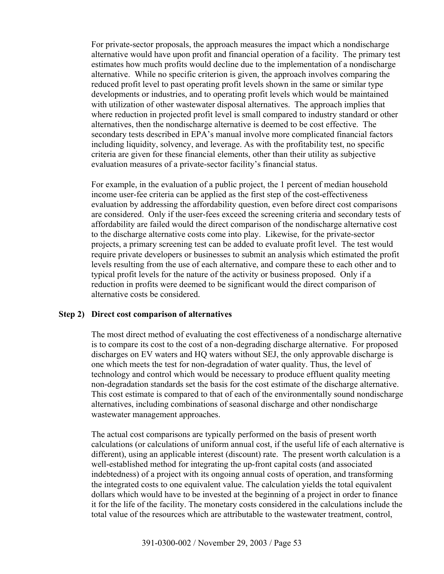For private-sector proposals, the approach measures the impact which a nondischarge alternative would have upon profit and financial operation of a facility. The primary test estimates how much profits would decline due to the implementation of a nondischarge alternative. While no specific criterion is given, the approach involves comparing the reduced profit level to past operating profit levels shown in the same or similar type developments or industries, and to operating profit levels which would be maintained with utilization of other wastewater disposal alternatives. The approach implies that where reduction in projected profit level is small compared to industry standard or other alternatives, then the nondischarge alternative is deemed to be cost effective. The secondary tests described in EPA's manual involve more complicated financial factors including liquidity, solvency, and leverage. As with the profitability test, no specific criteria are given for these financial elements, other than their utility as subjective evaluation measures of a private-sector facility's financial status.

For example, in the evaluation of a public project, the 1 percent of median household income user-fee criteria can be applied as the first step of the cost-effectiveness evaluation by addressing the affordability question, even before direct cost comparisons are considered. Only if the user-fees exceed the screening criteria and secondary tests of affordability are failed would the direct comparison of the nondischarge alternative cost to the discharge alternative costs come into play. Likewise, for the private-sector projects, a primary screening test can be added to evaluate profit level. The test would require private developers or businesses to submit an analysis which estimated the profit levels resulting from the use of each alternative, and compare these to each other and to typical profit levels for the nature of the activity or business proposed. Only if a reduction in profits were deemed to be significant would the direct comparison of alternative costs be considered.

### **Step 2) Direct cost comparison of alternatives**

The most direct method of evaluating the cost effectiveness of a nondischarge alternative is to compare its cost to the cost of a non-degrading discharge alternative. For proposed discharges on EV waters and HQ waters without SEJ, the only approvable discharge is one which meets the test for non-degradation of water quality. Thus, the level of technology and control which would be necessary to produce effluent quality meeting non-degradation standards set the basis for the cost estimate of the discharge alternative. This cost estimate is compared to that of each of the environmentally sound nondischarge alternatives, including combinations of seasonal discharge and other nondischarge wastewater management approaches.

The actual cost comparisons are typically performed on the basis of present worth calculations (or calculations of uniform annual cost, if the useful life of each alternative is different), using an applicable interest (discount) rate. The present worth calculation is a well-established method for integrating the up-front capital costs (and associated indebtedness) of a project with its ongoing annual costs of operation, and transforming the integrated costs to one equivalent value. The calculation yields the total equivalent dollars which would have to be invested at the beginning of a project in order to finance it for the life of the facility. The monetary costs considered in the calculations include the total value of the resources which are attributable to the wastewater treatment, control,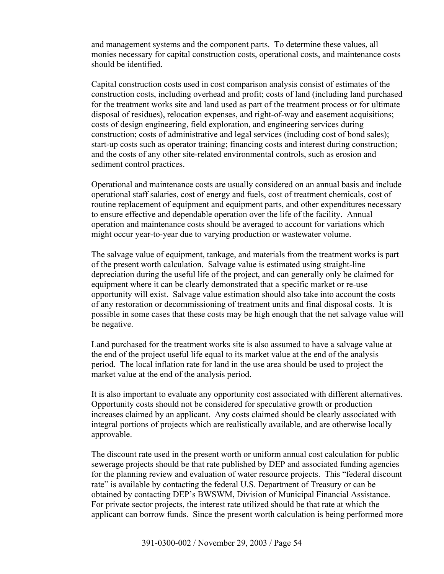and management systems and the component parts. To determine these values, all monies necessary for capital construction costs, operational costs, and maintenance costs should be identified.

Capital construction costs used in cost comparison analysis consist of estimates of the construction costs, including overhead and profit; costs of land (including land purchased for the treatment works site and land used as part of the treatment process or for ultimate disposal of residues), relocation expenses, and right-of-way and easement acquisitions; costs of design engineering, field exploration, and engineering services during construction; costs of administrative and legal services (including cost of bond sales); start-up costs such as operator training; financing costs and interest during construction; and the costs of any other site-related environmental controls, such as erosion and sediment control practices.

Operational and maintenance costs are usually considered on an annual basis and include operational staff salaries, cost of energy and fuels, cost of treatment chemicals, cost of routine replacement of equipment and equipment parts, and other expenditures necessary to ensure effective and dependable operation over the life of the facility. Annual operation and maintenance costs should be averaged to account for variations which might occur year-to-year due to varying production or wastewater volume.

The salvage value of equipment, tankage, and materials from the treatment works is part of the present worth calculation. Salvage value is estimated using straight-line depreciation during the useful life of the project, and can generally only be claimed for equipment where it can be clearly demonstrated that a specific market or re-use opportunity will exist. Salvage value estimation should also take into account the costs of any restoration or decommissioning of treatment units and final disposal costs. It is possible in some cases that these costs may be high enough that the net salvage value will be negative.

Land purchased for the treatment works site is also assumed to have a salvage value at the end of the project useful life equal to its market value at the end of the analysis period. The local inflation rate for land in the use area should be used to project the market value at the end of the analysis period.

It is also important to evaluate any opportunity cost associated with different alternatives. Opportunity costs should not be considered for speculative growth or production increases claimed by an applicant. Any costs claimed should be clearly associated with integral portions of projects which are realistically available, and are otherwise locally approvable.

The discount rate used in the present worth or uniform annual cost calculation for public sewerage projects should be that rate published by DEP and associated funding agencies for the planning review and evaluation of water resource projects. This "federal discount rate" is available by contacting the federal U.S. Department of Treasury or can be obtained by contacting DEP's BWSWM, Division of Municipal Financial Assistance. For private sector projects, the interest rate utilized should be that rate at which the applicant can borrow funds. Since the present worth calculation is being performed more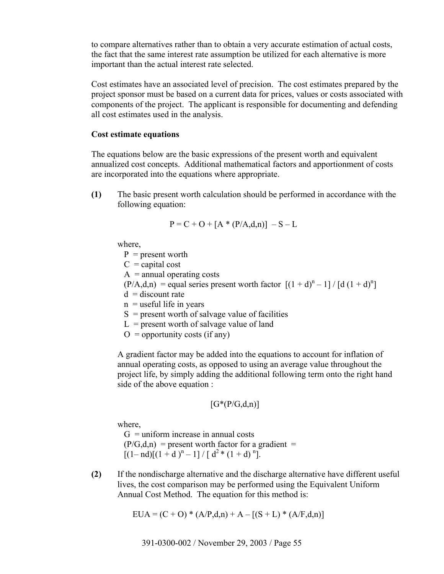to compare alternatives rather than to obtain a very accurate estimation of actual costs, the fact that the same interest rate assumption be utilized for each alternative is more important than the actual interest rate selected.

Cost estimates have an associated level of precision. The cost estimates prepared by the project sponsor must be based on a current data for prices, values or costs associated with components of the project. The applicant is responsible for documenting and defending all cost estimates used in the analysis.

#### **Cost estimate equations**

The equations below are the basic expressions of the present worth and equivalent annualized cost concepts. Additional mathematical factors and apportionment of costs are incorporated into the equations where appropriate.

**(1)** The basic present worth calculation should be performed in accordance with the following equation:

$$
P = C + O + [A * (P/A, d, n)] - S - L
$$

where,

- $P =$  present worth
- $C =$ capital cost

 $A =$ annual operating costs

- $(P/A,d,n)$  = equal series present worth factor  $[(1+d)^n 1] / [d (1+d)^n]$
- $d =$  discount rate
- $n$  = useful life in years
- $S$  = present worth of salvage value of facilities
- $L =$  present worth of salvage value of land
- $O =$  opportunity costs (if any)

A gradient factor may be added into the equations to account for inflation of annual operating costs, as opposed to using an average value throughout the project life, by simply adding the additional following term onto the right hand side of the above equation :

$$
[G^*(P/G,d,n)]
$$

where,

 $G =$  uniform increase in annual costs  $(P/G,d,n)$  = present worth factor for a gradient =  $[(1-\text{nd})[(1+\text{d})^n-1]/[d^2*(1+\text{d})^n]$ .

**(2)** If the nondischarge alternative and the discharge alternative have different useful lives, the cost comparison may be performed using the Equivalent Uniform Annual Cost Method. The equation for this method is:

$$
EUA = (C + O) * (A/P,d,n) + A - [(S + L) * (A/F,d,n)]
$$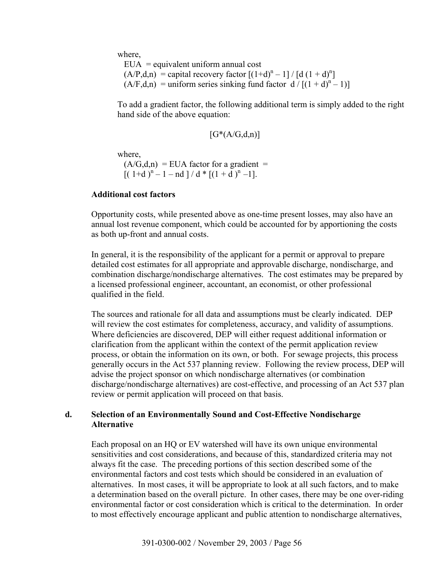where,

 $EUA =$  equivalent uniform annual cost  $(A/P,d,n)$  = capital recovery factor  $[(1+d)^n - 1] / [d (1+d)^n]$  $(A/F,d,n)$  = uniform series sinking fund factor  $d / [(1 + d)^{n} - 1]$ 

To add a gradient factor, the following additional term is simply added to the right hand side of the above equation:

$$
[G^{\ast}(A/G,d,n)]
$$

where,

 $(A/G,d,n)$  = EUA factor for a gradient =  $[(1+d)^n - 1 - nd]/d * [(1+d)^n - 1].$ 

#### **Additional cost factors**

Opportunity costs, while presented above as one-time present losses, may also have an annual lost revenue component, which could be accounted for by apportioning the costs as both up-front and annual costs.

In general, it is the responsibility of the applicant for a permit or approval to prepare detailed cost estimates for all appropriate and approvable discharge, nondischarge, and combination discharge/nondischarge alternatives. The cost estimates may be prepared by a licensed professional engineer, accountant, an economist, or other professional qualified in the field.

The sources and rationale for all data and assumptions must be clearly indicated. DEP will review the cost estimates for completeness, accuracy, and validity of assumptions. Where deficiencies are discovered, DEP will either request additional information or clarification from the applicant within the context of the permit application review process, or obtain the information on its own, or both. For sewage projects, this process generally occurs in the Act 537 planning review. Following the review process, DEP will advise the project sponsor on which nondischarge alternatives (or combination discharge/nondischarge alternatives) are cost-effective, and processing of an Act 537 plan review or permit application will proceed on that basis.

### **d. Selection of an Environmentally Sound and Cost-Effective Nondischarge Alternative**

Each proposal on an HQ or EV watershed will have its own unique environmental sensitivities and cost considerations, and because of this, standardized criteria may not always fit the case. The preceding portions of this section described some of the environmental factors and cost tests which should be considered in an evaluation of alternatives. In most cases, it will be appropriate to look at all such factors, and to make a determination based on the overall picture. In other cases, there may be one over-riding environmental factor or cost consideration which is critical to the determination. In order to most effectively encourage applicant and public attention to nondischarge alternatives,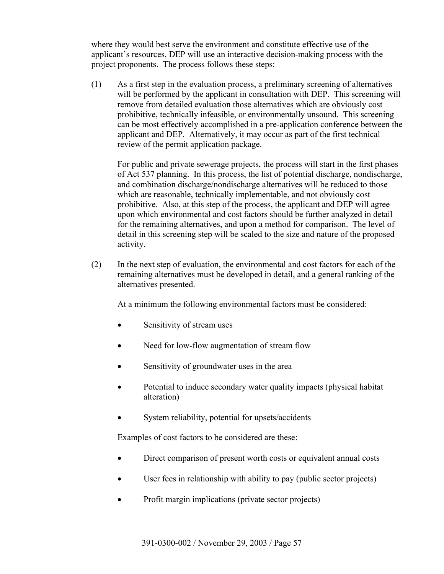where they would best serve the environment and constitute effective use of the applicant's resources, DEP will use an interactive decision-making process with the project proponents. The process follows these steps:

(1) As a first step in the evaluation process, a preliminary screening of alternatives will be performed by the applicant in consultation with DEP. This screening will remove from detailed evaluation those alternatives which are obviously cost prohibitive, technically infeasible, or environmentally unsound. This screening can be most effectively accomplished in a pre-application conference between the applicant and DEP. Alternatively, it may occur as part of the first technical review of the permit application package.

For public and private sewerage projects, the process will start in the first phases of Act 537 planning. In this process, the list of potential discharge, nondischarge, and combination discharge/nondischarge alternatives will be reduced to those which are reasonable, technically implementable, and not obviously cost prohibitive. Also, at this step of the process, the applicant and DEP will agree upon which environmental and cost factors should be further analyzed in detail for the remaining alternatives, and upon a method for comparison. The level of detail in this screening step will be scaled to the size and nature of the proposed activity.

(2) In the next step of evaluation, the environmental and cost factors for each of the remaining alternatives must be developed in detail, and a general ranking of the alternatives presented.

At a minimum the following environmental factors must be considered:

- Sensitivity of stream uses
- Need for low-flow augmentation of stream flow
- Sensitivity of groundwater uses in the area
- Potential to induce secondary water quality impacts (physical habitat alteration)
- System reliability, potential for upsets/accidents

Examples of cost factors to be considered are these:

- Direct comparison of present worth costs or equivalent annual costs
- User fees in relationship with ability to pay (public sector projects)
- Profit margin implications (private sector projects)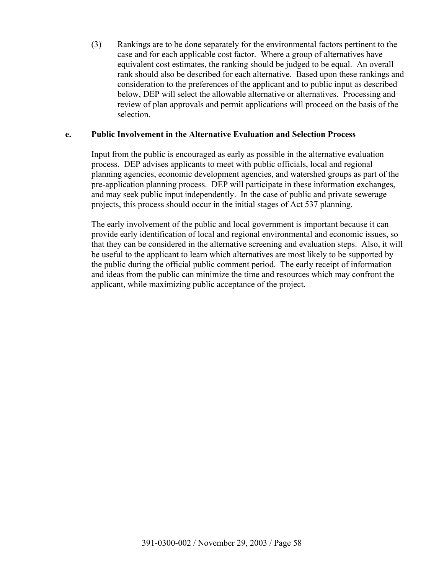(3) Rankings are to be done separately for the environmental factors pertinent to the case and for each applicable cost factor. Where a group of alternatives have equivalent cost estimates, the ranking should be judged to be equal. An overall rank should also be described for each alternative. Based upon these rankings and consideration to the preferences of the applicant and to public input as described below, DEP will select the allowable alternative or alternatives. Processing and review of plan approvals and permit applications will proceed on the basis of the selection.

### **e. Public Involvement in the Alternative Evaluation and Selection Process**

Input from the public is encouraged as early as possible in the alternative evaluation process. DEP advises applicants to meet with public officials, local and regional planning agencies, economic development agencies, and watershed groups as part of the pre-application planning process. DEP will participate in these information exchanges, and may seek public input independently. In the case of public and private sewerage projects, this process should occur in the initial stages of Act 537 planning.

The early involvement of the public and local government is important because it can provide early identification of local and regional environmental and economic issues, so that they can be considered in the alternative screening and evaluation steps. Also, it will be useful to the applicant to learn which alternatives are most likely to be supported by the public during the official public comment period. The early receipt of information and ideas from the public can minimize the time and resources which may confront the applicant, while maximizing public acceptance of the project.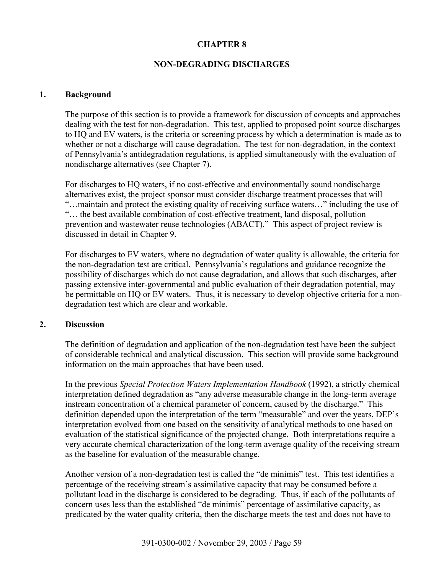### **CHAPTER 8**

### **NON-DEGRADING DISCHARGES**

#### **1. Background**

The purpose of this section is to provide a framework for discussion of concepts and approaches dealing with the test for non-degradation. This test, applied to proposed point source discharges to HQ and EV waters, is the criteria or screening process by which a determination is made as to whether or not a discharge will cause degradation. The test for non-degradation, in the context of Pennsylvania's antidegradation regulations, is applied simultaneously with the evaluation of nondischarge alternatives (see Chapter 7).

For discharges to HQ waters, if no cost-effective and environmentally sound nondischarge alternatives exist, the project sponsor must consider discharge treatment processes that will "…maintain and protect the existing quality of receiving surface waters…" including the use of "… the best available combination of cost-effective treatment, land disposal, pollution prevention and wastewater reuse technologies (ABACT)." This aspect of project review is discussed in detail in Chapter 9.

For discharges to EV waters, where no degradation of water quality is allowable, the criteria for the non-degradation test are critical. Pennsylvania's regulations and guidance recognize the possibility of discharges which do not cause degradation, and allows that such discharges, after passing extensive inter-governmental and public evaluation of their degradation potential, may be permittable on HQ or EV waters. Thus, it is necessary to develop objective criteria for a nondegradation test which are clear and workable.

#### **2. Discussion**

The definition of degradation and application of the non-degradation test have been the subject of considerable technical and analytical discussion. This section will provide some background information on the main approaches that have been used.

In the previous *Special Protection Waters Implementation Handbook* (1992), a strictly chemical interpretation defined degradation as "any adverse measurable change in the long-term average instream concentration of a chemical parameter of concern, caused by the discharge." This definition depended upon the interpretation of the term "measurable" and over the years, DEP's interpretation evolved from one based on the sensitivity of analytical methods to one based on evaluation of the statistical significance of the projected change. Both interpretations require a very accurate chemical characterization of the long-term average quality of the receiving stream as the baseline for evaluation of the measurable change.

Another version of a non-degradation test is called the "de minimis" test. This test identifies a percentage of the receiving stream's assimilative capacity that may be consumed before a pollutant load in the discharge is considered to be degrading. Thus, if each of the pollutants of concern uses less than the established "de minimis" percentage of assimilative capacity, as predicated by the water quality criteria, then the discharge meets the test and does not have to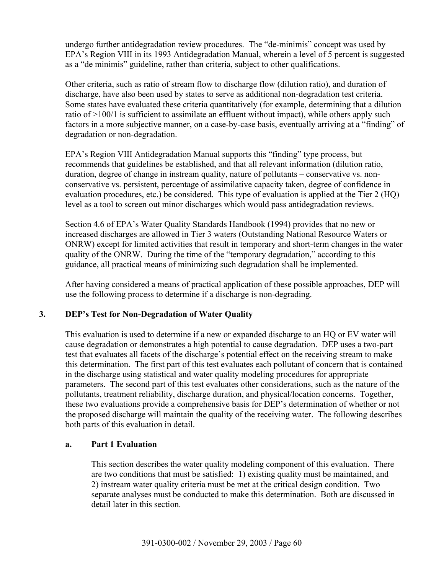undergo further antidegradation review procedures. The "de-minimis" concept was used by EPA's Region VIII in its 1993 Antidegradation Manual, wherein a level of 5 percent is suggested as a "de minimis" guideline, rather than criteria, subject to other qualifications.

Other criteria, such as ratio of stream flow to discharge flow (dilution ratio), and duration of discharge, have also been used by states to serve as additional non-degradation test criteria. Some states have evaluated these criteria quantitatively (for example, determining that a dilution ratio of >100/1 is sufficient to assimilate an effluent without impact), while others apply such factors in a more subjective manner, on a case-by-case basis, eventually arriving at a "finding" of degradation or non-degradation.

EPA's Region VIII Antidegradation Manual supports this "finding" type process, but recommends that guidelines be established, and that all relevant information (dilution ratio, duration, degree of change in instream quality, nature of pollutants – conservative vs. nonconservative vs. persistent, percentage of assimilative capacity taken, degree of confidence in evaluation procedures, etc.) be considered. This type of evaluation is applied at the Tier 2 (HQ) level as a tool to screen out minor discharges which would pass antidegradation reviews.

Section 4.6 of EPA's Water Quality Standards Handbook (1994) provides that no new or increased discharges are allowed in Tier 3 waters (Outstanding National Resource Waters or ONRW) except for limited activities that result in temporary and short-term changes in the water quality of the ONRW. During the time of the "temporary degradation," according to this guidance, all practical means of minimizing such degradation shall be implemented.

After having considered a means of practical application of these possible approaches, DEP will use the following process to determine if a discharge is non-degrading.

# **3. DEP's Test for Non-Degradation of Water Quality**

This evaluation is used to determine if a new or expanded discharge to an HQ or EV water will cause degradation or demonstrates a high potential to cause degradation. DEP uses a two-part test that evaluates all facets of the discharge's potential effect on the receiving stream to make this determination. The first part of this test evaluates each pollutant of concern that is contained in the discharge using statistical and water quality modeling procedures for appropriate parameters. The second part of this test evaluates other considerations, such as the nature of the pollutants, treatment reliability, discharge duration, and physical/location concerns. Together, these two evaluations provide a comprehensive basis for DEP's determination of whether or not the proposed discharge will maintain the quality of the receiving water. The following describes both parts of this evaluation in detail.

# **a. Part 1 Evaluation**

This section describes the water quality modeling component of this evaluation. There are two conditions that must be satisfied: 1) existing quality must be maintained, and 2) instream water quality criteria must be met at the critical design condition. Two separate analyses must be conducted to make this determination. Both are discussed in detail later in this section.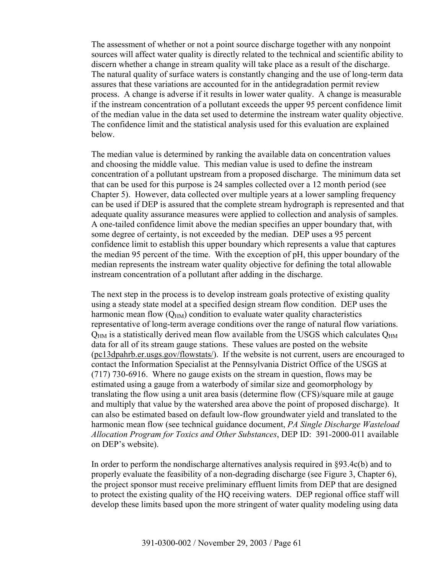The assessment of whether or not a point source discharge together with any nonpoint sources will affect water quality is directly related to the technical and scientific ability to discern whether a change in stream quality will take place as a result of the discharge. The natural quality of surface waters is constantly changing and the use of long-term data assures that these variations are accounted for in the antidegradation permit review process. A change is adverse if it results in lower water quality. A change is measurable if the instream concentration of a pollutant exceeds the upper 95 percent confidence limit of the median value in the data set used to determine the instream water quality objective. The confidence limit and the statistical analysis used for this evaluation are explained below.

The median value is determined by ranking the available data on concentration values and choosing the middle value. This median value is used to define the instream concentration of a pollutant upstream from a proposed discharge. The minimum data set that can be used for this purpose is 24 samples collected over a 12 month period (see Chapter 5). However, data collected over multiple years at a lower sampling frequency can be used if DEP is assured that the complete stream hydrograph is represented and that adequate quality assurance measures were applied to collection and analysis of samples. A one-tailed confidence limit above the median specifies an upper boundary that, with some degree of certainty, is not exceeded by the median. DEP uses a 95 percent confidence limit to establish this upper boundary which represents a value that captures the median 95 percent of the time. With the exception of pH, this upper boundary of the median represents the instream water quality objective for defining the total allowable instream concentration of a pollutant after adding in the discharge.

The next step in the process is to develop instream goals protective of existing quality using a steady state model at a specified design stream flow condition. DEP uses the harmonic mean flow  $(Q<sub>HM</sub>)$  condition to evaluate water quality characteristics representative of long-term average conditions over the range of natural flow variations.  $Q<sub>HM</sub>$  is a statistically derived mean flow available from the USGS which calculates  $Q<sub>HM</sub>$ data for all of its stream gauge stations. These values are posted on the website (pc13dpahrb.er.usgs.gov/flowstats/). If the website is not current, users are encouraged to contact the Information Specialist at the Pennsylvania District Office of the USGS at (717) 730-6916. Where no gauge exists on the stream in question, flows may be estimated using a gauge from a waterbody of similar size and geomorphology by translating the flow using a unit area basis (determine flow (CFS)/square mile at gauge and multiply that value by the watershed area above the point of proposed discharge). It can also be estimated based on default low-flow groundwater yield and translated to the harmonic mean flow (see technical guidance document, *PA Single Discharge Wasteload Allocation Program for Toxics and Other Substances*, DEP ID: 391-2000-011 available on DEP's website).

In order to perform the nondischarge alternatives analysis required in §93.4c(b) and to properly evaluate the feasibility of a non-degrading discharge (see Figure 3, Chapter 6), the project sponsor must receive preliminary effluent limits from DEP that are designed to protect the existing quality of the HQ receiving waters. DEP regional office staff will develop these limits based upon the more stringent of water quality modeling using data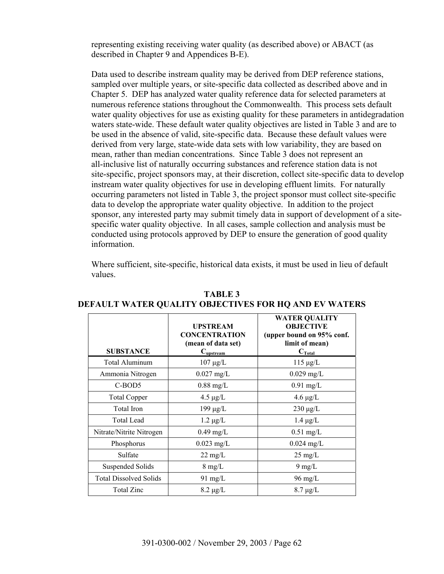representing existing receiving water quality (as described above) or ABACT (as described in Chapter 9 and Appendices B-E).

Data used to describe instream quality may be derived from DEP reference stations, sampled over multiple years, or site-specific data collected as described above and in Chapter 5. DEP has analyzed water quality reference data for selected parameters at numerous reference stations throughout the Commonwealth. This process sets default water quality objectives for use as existing quality for these parameters in antidegradation waters state-wide. These default water quality objectives are listed in Table 3 and are to be used in the absence of valid, site-specific data. Because these default values were derived from very large, state-wide data sets with low variability, they are based on mean, rather than median concentrations. Since Table 3 does not represent an all-inclusive list of naturally occurring substances and reference station data is not site-specific, project sponsors may, at their discretion, collect site-specific data to develop instream water quality objectives for use in developing effluent limits. For naturally occurring parameters not listed in Table 3, the project sponsor must collect site-specific data to develop the appropriate water quality objective. In addition to the project sponsor, any interested party may submit timely data in support of development of a sitespecific water quality objective. In all cases, sample collection and analysis must be conducted using protocols approved by DEP to ensure the generation of good quality information.

Where sufficient, site-specific, historical data exists, it must be used in lieu of default values.

| <b>SUBSTANCE</b>              | <b>UPSTREAM</b><br><b>CONCENTRATION</b><br>(mean of data set)<br>$C_{\text{upstream}}$ | <b>WATER QUALITY</b><br><b>OBJECTIVE</b><br>(upper bound on 95% conf.<br>limit of mean)<br>$C_{\text{Total}}$ |
|-------------------------------|----------------------------------------------------------------------------------------|---------------------------------------------------------------------------------------------------------------|
| Total Aluminum                | $107 \mu g/L$                                                                          | $115 \mu g/L$                                                                                                 |
| Ammonia Nitrogen              | $0.027$ mg/L                                                                           | $0.029$ mg/L                                                                                                  |
| C-BOD5                        | $0.88$ mg/L                                                                            | $0.91$ mg/L                                                                                                   |
| <b>Total Copper</b>           | $4.5 \mu g/L$                                                                          | $4.6 \mu g/L$                                                                                                 |
| Total Iron                    | $199 \mu g/L$                                                                          | $230 \mu g/L$                                                                                                 |
| <b>Total Lead</b>             | $1.2 \mu g/L$                                                                          | $1.4 \mu g/L$                                                                                                 |
| Nitrate/Nitrite Nitrogen      | $0.49$ mg/L                                                                            | $0.51$ mg/L                                                                                                   |
| Phosphorus                    | $0.023$ mg/L                                                                           | $0.024$ mg/L                                                                                                  |
| Sulfate                       | $22 \text{ mg/L}$                                                                      | $25 \text{ mg/L}$                                                                                             |
| <b>Suspended Solids</b>       | $8 \text{ mg/L}$                                                                       | $9 \text{ mg/L}$                                                                                              |
| <b>Total Dissolved Solids</b> | $91 \text{ mg/L}$                                                                      | 96 mg/L                                                                                                       |
| <b>Total Zinc</b>             | $8.2 \mu g/L$                                                                          | $8.7 \mu g/L$                                                                                                 |

**TABLE 3 DEFAULT WATER QUALITY OBJECTIVES FOR HQ AND EV WATERS**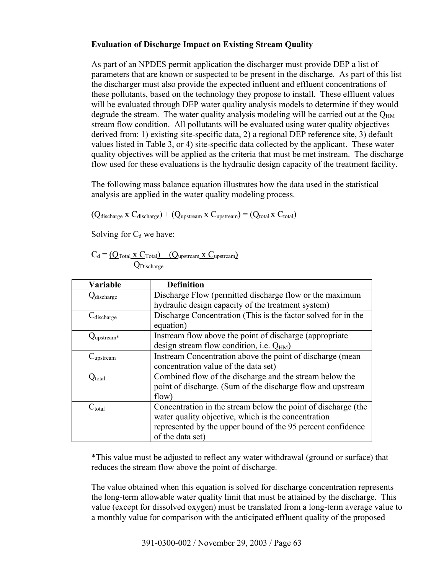### **Evaluation of Discharge Impact on Existing Stream Quality**

As part of an NPDES permit application the discharger must provide DEP a list of parameters that are known or suspected to be present in the discharge. As part of this list the discharger must also provide the expected influent and effluent concentrations of these pollutants, based on the technology they propose to install. These effluent values will be evaluated through DEP water quality analysis models to determine if they would degrade the stream. The water quality analysis modeling will be carried out at the  $Q_{HM}$ stream flow condition. All pollutants will be evaluated using water quality objectives derived from: 1) existing site-specific data, 2) a regional DEP reference site, 3) default values listed in Table 3, or 4) site-specific data collected by the applicant. These water quality objectives will be applied as the criteria that must be met instream. The discharge flow used for these evaluations is the hydraulic design capacity of the treatment facility.

The following mass balance equation illustrates how the data used in the statistical analysis are applied in the water quality modeling process.

 $(Q_{\text{discharge}} \times C_{\text{discharge}}) + (Q_{\text{upstream}} \times C_{\text{upstream}}) = (Q_{\text{total}} \times C_{\text{total}})$ 

Solving for  $C_d$  we have:

$$
C_d = \underbrace{(Q_{Total} \times C_{Total}) - (Q_{upstream} \times C_{upstream})}_{Q_{Discharge}}
$$

| <b>Variable</b>       | <b>Definition</b>                                             |  |
|-----------------------|---------------------------------------------------------------|--|
| <b>Q</b> discharge    | Discharge Flow (permitted discharge flow or the maximum       |  |
|                       | hydraulic design capacity of the treatment system)            |  |
| $C_{discharge}$       | Discharge Concentration (This is the factor solved for in the |  |
|                       | equation)                                                     |  |
| $Q_{\rm upstream*}$   | Instream flow above the point of discharge (appropriate)      |  |
|                       | design stream flow condition, i.e. $Q_{HM}$ )                 |  |
| C <sub>upstream</sub> | Instream Concentration above the point of discharge (mean     |  |
|                       | concentration value of the data set)                          |  |
| $Q_{total}$           | Combined flow of the discharge and the stream below the       |  |
|                       | point of discharge. (Sum of the discharge flow and upstream   |  |
|                       | flow)                                                         |  |
| $C_{total}$           | Concentration in the stream below the point of discharge (the |  |
|                       | water quality objective, which is the concentration           |  |
|                       | represented by the upper bound of the 95 percent confidence   |  |
|                       | of the data set)                                              |  |

\*This value must be adjusted to reflect any water withdrawal (ground or surface) that reduces the stream flow above the point of discharge.

The value obtained when this equation is solved for discharge concentration represents the long-term allowable water quality limit that must be attained by the discharge. This value (except for dissolved oxygen) must be translated from a long-term average value to a monthly value for comparison with the anticipated effluent quality of the proposed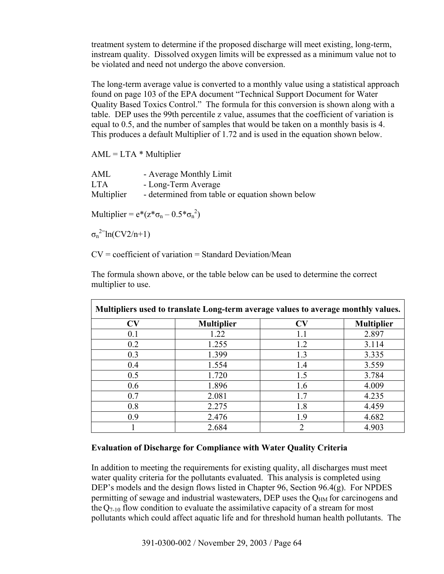treatment system to determine if the proposed discharge will meet existing, long-term, instream quality. Dissolved oxygen limits will be expressed as a minimum value not to be violated and need not undergo the above conversion.

The long-term average value is converted to a monthly value using a statistical approach found on page 103 of the EPA document "Technical Support Document for Water Quality Based Toxics Control." The formula for this conversion is shown along with a table. DEP uses the 99th percentile z value, assumes that the coefficient of variation is equal to 0.5, and the number of samples that would be taken on a monthly basis is 4. This produces a default Multiplier of 1.72 and is used in the equation shown below.

 $AML = LTA * Multiplier$ 

| AML        | - Average Monthly Limit                         |
|------------|-------------------------------------------------|
| <b>LTA</b> | - Long-Term Average                             |
| Multiplier | - determined from table or equation shown below |

Multiplier =  $e^*(z*\sigma_n - 0.5*\sigma_n^2)$ 

 $\sigma_n^2$ <sup>2=</sup>ln(CV2/n+1)

 $CV = coefficient of variation = Standard Deviation/Mean$ 

The formula shown above, or the table below can be used to determine the correct multiplier to use.

| Multipliers used to translate Long-term average values to average monthly values. |                   |                |                   |
|-----------------------------------------------------------------------------------|-------------------|----------------|-------------------|
| $\bf{CV}$                                                                         | <b>Multiplier</b> | <b>CV</b>      | <b>Multiplier</b> |
| 0.1                                                                               | 1.22              | 1.1            | 2.897             |
| 0.2                                                                               | 1.255             | 1.2            | 3.114             |
| 0.3                                                                               | 1.399             | 1.3            | 3.335             |
| 0.4                                                                               | 1.554             | 1.4            | 3.559             |
| 0.5                                                                               | 1.720             | 1.5            | 3.784             |
| 0.6                                                                               | 1.896             | 1.6            | 4.009             |
| 0.7                                                                               | 2.081             | 1.7            | 4.235             |
| 0.8                                                                               | 2.275             | 1.8            | 4.459             |
| 0.9                                                                               | 2.476             | 1.9            | 4.682             |
|                                                                                   | 2.684             | $\mathfrak{D}$ | 4.903             |

# **Evaluation of Discharge for Compliance with Water Quality Criteria**

In addition to meeting the requirements for existing quality, all discharges must meet water quality criteria for the pollutants evaluated. This analysis is completed using DEP's models and the design flows listed in Chapter 96, Section 96.4(g). For NPDES permitting of sewage and industrial wastewaters, DEP uses the  $Q<sub>HM</sub>$  for carcinogens and the  $Q_{7-10}$  flow condition to evaluate the assimilative capacity of a stream for most pollutants which could affect aquatic life and for threshold human health pollutants. The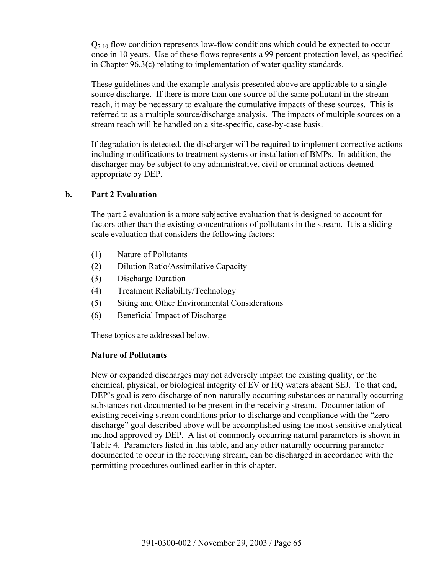$Q_{7-10}$  flow condition represents low-flow conditions which could be expected to occur once in 10 years. Use of these flows represents a 99 percent protection level, as specified in Chapter 96.3(c) relating to implementation of water quality standards.

These guidelines and the example analysis presented above are applicable to a single source discharge. If there is more than one source of the same pollutant in the stream reach, it may be necessary to evaluate the cumulative impacts of these sources. This is referred to as a multiple source/discharge analysis. The impacts of multiple sources on a stream reach will be handled on a site-specific, case-by-case basis.

If degradation is detected, the discharger will be required to implement corrective actions including modifications to treatment systems or installation of BMPs. In addition, the discharger may be subject to any administrative, civil or criminal actions deemed appropriate by DEP.

### **b. Part 2 Evaluation**

The part 2 evaluation is a more subjective evaluation that is designed to account for factors other than the existing concentrations of pollutants in the stream. It is a sliding scale evaluation that considers the following factors:

- (1) Nature of Pollutants
- (2) Dilution Ratio/Assimilative Capacity
- (3) Discharge Duration
- (4) Treatment Reliability/Technology
- (5) Siting and Other Environmental Considerations
- (6) Beneficial Impact of Discharge

These topics are addressed below.

# **Nature of Pollutants**

New or expanded discharges may not adversely impact the existing quality, or the chemical, physical, or biological integrity of EV or HQ waters absent SEJ. To that end, DEP's goal is zero discharge of non-naturally occurring substances or naturally occurring substances not documented to be present in the receiving stream. Documentation of existing receiving stream conditions prior to discharge and compliance with the "zero discharge" goal described above will be accomplished using the most sensitive analytical method approved by DEP. A list of commonly occurring natural parameters is shown in Table 4. Parameters listed in this table, and any other naturally occurring parameter documented to occur in the receiving stream, can be discharged in accordance with the permitting procedures outlined earlier in this chapter.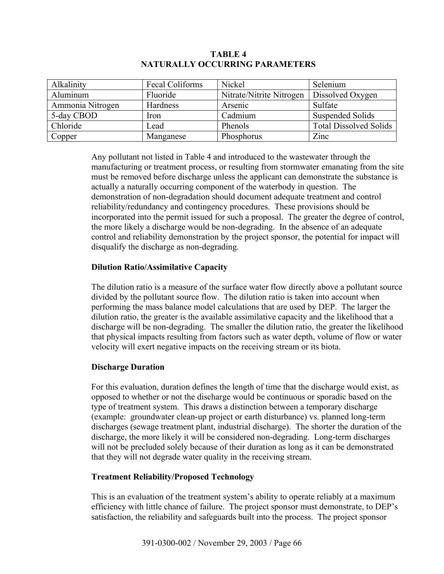| Alkalinity       | Fecal Coliforms | Nickel                   | Selenium                      |
|------------------|-----------------|--------------------------|-------------------------------|
| Aluminum         | Fluoride        | Nitrate/Nitrite Nitrogen | Dissolved Oxygen              |
| Ammonia Nitrogen | Hardness        | Arsenic                  | Sulfate                       |
| 5-day CBOD       | Iron            | Cadmium                  | <b>Suspended Solids</b>       |
| Chloride         | Lead            | Phenols                  | <b>Total Dissolved Solids</b> |
| Copper           | Manganese       | Phosphorus               | Zinc                          |

# **TABLE 4 NATURALLY OCCURRING PARAMETERS**

Any pollutant not listed in Table 4 and introduced to the wastewater through the manufacturing or treatment process, or resulting from stormwater emanating from the site must be removed before discharge unless the applicant can demonstrate the substance is actually a naturally occurring component of the waterbody in question. The demonstration of non-degradation should document adequate treatment and control reliability/redundancy and contingency procedures. These provisions should be incorporated into the permit issued for such a proposal. The greater the degree of control, the more likely a discharge would be non-degrading. In the absence of an adequate control and reliability demonstration by the project sponsor, the potential for impact will disqualify the discharge as non-degrading.

# **Dilution Ratio/Assimilative Capacity**

The dilution ratio is a measure of the surface water flow directly above a pollutant source divided by the pollutant source flow. The dilution ratio is taken into account when performing the mass balance model calculations that are used by DEP. The larger the dilution ratio, the greater is the available assimilative capacity and the likelihood that a discharge will be non-degrading. The smaller the dilution ratio, the greater the likelihood that physical impacts resulting from factors such as water depth, volume of flow or water velocity will exert negative impacts on the receiving stream or its biota.

# **Discharge Duration**

For this evaluation, duration defines the length of time that the discharge would exist, as opposed to whether or not the discharge would be continuous or sporadic based on the type of treatment system. This draws a distinction between a temporary discharge (example: groundwater clean-up project or earth disturbance) vs. planned long-term discharges (sewage treatment plant, industrial discharge). The shorter the duration of the discharge, the more likely it will be considered non-degrading. Long-term discharges will not be precluded solely because of their duration as long as it can be demonstrated that they will not degrade water quality in the receiving stream.

# **Treatment Reliability/Proposed Technology**

This is an evaluation of the treatment system's ability to operate reliably at a maximum efficiency with little chance of failure. The project sponsor must demonstrate, to DEP's satisfaction, the reliability and safeguards built into the process. The project sponsor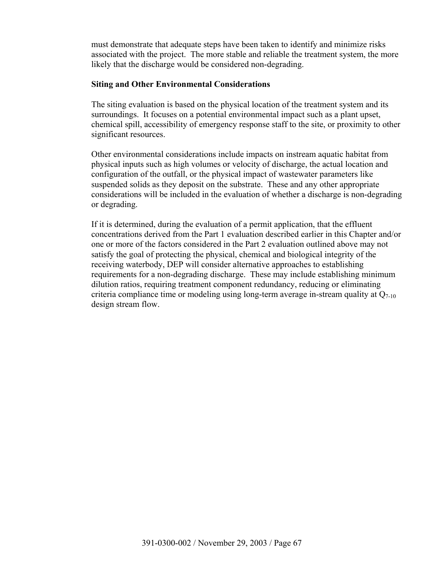must demonstrate that adequate steps have been taken to identify and minimize risks associated with the project. The more stable and reliable the treatment system, the more likely that the discharge would be considered non-degrading.

### **Siting and Other Environmental Considerations**

The siting evaluation is based on the physical location of the treatment system and its surroundings. It focuses on a potential environmental impact such as a plant upset, chemical spill, accessibility of emergency response staff to the site, or proximity to other significant resources.

Other environmental considerations include impacts on instream aquatic habitat from physical inputs such as high volumes or velocity of discharge, the actual location and configuration of the outfall, or the physical impact of wastewater parameters like suspended solids as they deposit on the substrate. These and any other appropriate considerations will be included in the evaluation of whether a discharge is non-degrading or degrading.

 If it is determined, during the evaluation of a permit application, that the effluent concentrations derived from the Part 1 evaluation described earlier in this Chapter and/or one or more of the factors considered in the Part 2 evaluation outlined above may not satisfy the goal of protecting the physical, chemical and biological integrity of the receiving waterbody, DEP will consider alternative approaches to establishing requirements for a non-degrading discharge. These may include establishing minimum dilution ratios, requiring treatment component redundancy, reducing or eliminating criteria compliance time or modeling using long-term average in-stream quality at  $Q_{7-10}$ design stream flow.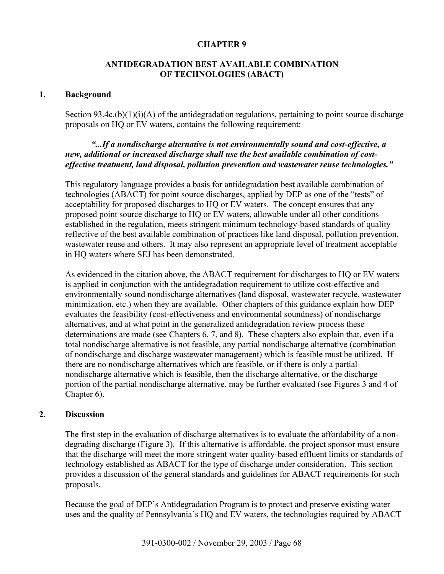### **CHAPTER 9**

### **ANTIDEGRADATION BEST AVAILABLE COMBINATION OF TECHNOLOGIES (ABACT)**

#### **1. Background**

Section 93.4c. $(b)(1)(i)(A)$  of the antidegradation regulations, pertaining to point source discharge proposals on HQ or EV waters, contains the following requirement:

### *"...If a nondischarge alternative is not environmentally sound and cost-effective, a new, additional or increased discharge shall use the best available combination of costeffective treatment, land disposal, pollution prevention and wastewater reuse technologies."*

This regulatory language provides a basis for antidegradation best available combination of technologies (ABACT) for point source discharges, applied by DEP as one of the "tests" of acceptability for proposed discharges to HQ or EV waters. The concept ensures that any proposed point source discharge to HQ or EV waters, allowable under all other conditions established in the regulation, meets stringent minimum technology-based standards of quality reflective of the best available combination of practices like land disposal, pollution prevention, wastewater reuse and others. It may also represent an appropriate level of treatment acceptable in HQ waters where SEJ has been demonstrated.

As evidenced in the citation above, the ABACT requirement for discharges to HQ or EV waters is applied in conjunction with the antidegradation requirement to utilize cost-effective and environmentally sound nondischarge alternatives (land disposal, wastewater recycle, wastewater minimization, etc.) when they are available. Other chapters of this guidance explain how DEP evaluates the feasibility (cost-effectiveness and environmental soundness) of nondischarge alternatives, and at what point in the generalized antidegradation review process these determinations are made (see Chapters 6, 7, and 8). These chapters also explain that, even if a total nondischarge alternative is not feasible, any partial nondischarge alternative (combination of nondischarge and discharge wastewater management) which is feasible must be utilized. If there are no nondischarge alternatives which are feasible, or if there is only a partial nondischarge alternative which is feasible, then the discharge alternative, or the discharge portion of the partial nondischarge alternative, may be further evaluated (see Figures 3 and 4 of Chapter 6).

#### **2. Discussion**

The first step in the evaluation of discharge alternatives is to evaluate the affordability of a nondegrading discharge (Figure 3). If this alternative is affordable, the project sponsor must ensure that the discharge will meet the more stringent water quality-based effluent limits or standards of technology established as ABACT for the type of discharge under consideration. This section provides a discussion of the general standards and guidelines for ABACT requirements for such proposals.

Because the goal of DEP's Antidegradation Program is to protect and preserve existing water uses and the quality of Pennsylvania's HQ and EV waters, the technologies required by ABACT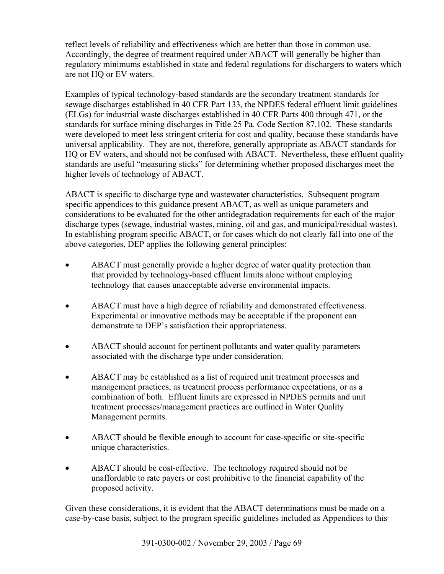reflect levels of reliability and effectiveness which are better than those in common use. Accordingly, the degree of treatment required under ABACT will generally be higher than regulatory minimums established in state and federal regulations for dischargers to waters which are not HQ or EV waters.

Examples of typical technology-based standards are the secondary treatment standards for sewage discharges established in 40 CFR Part 133, the NPDES federal effluent limit guidelines (ELGs) for industrial waste discharges established in 40 CFR Parts 400 through 471, or the standards for surface mining discharges in Title 25 Pa. Code Section 87.102. These standards were developed to meet less stringent criteria for cost and quality, because these standards have universal applicability. They are not, therefore, generally appropriate as ABACT standards for HQ or EV waters, and should not be confused with ABACT. Nevertheless, these effluent quality standards are useful "measuring sticks" for determining whether proposed discharges meet the higher levels of technology of ABACT.

ABACT is specific to discharge type and wastewater characteristics. Subsequent program specific appendices to this guidance present ABACT, as well as unique parameters and considerations to be evaluated for the other antidegradation requirements for each of the major discharge types (sewage, industrial wastes, mining, oil and gas, and municipal/residual wastes). In establishing program specific ABACT, or for cases which do not clearly fall into one of the above categories, DEP applies the following general principles:

- ABACT must generally provide a higher degree of water quality protection than that provided by technology-based effluent limits alone without employing technology that causes unacceptable adverse environmental impacts.
- ABACT must have a high degree of reliability and demonstrated effectiveness. Experimental or innovative methods may be acceptable if the proponent can demonstrate to DEP's satisfaction their appropriateness.
- ABACT should account for pertinent pollutants and water quality parameters associated with the discharge type under consideration.
- ABACT may be established as a list of required unit treatment processes and management practices, as treatment process performance expectations, or as a combination of both. Effluent limits are expressed in NPDES permits and unit treatment processes/management practices are outlined in Water Quality Management permits.
- ABACT should be flexible enough to account for case-specific or site-specific unique characteristics.
- ABACT should be cost-effective. The technology required should not be unaffordable to rate payers or cost prohibitive to the financial capability of the proposed activity.

Given these considerations, it is evident that the ABACT determinations must be made on a case-by-case basis, subject to the program specific guidelines included as Appendices to this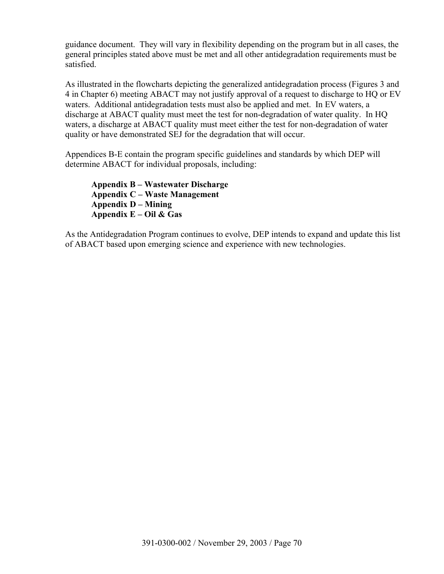guidance document. They will vary in flexibility depending on the program but in all cases, the general principles stated above must be met and all other antidegradation requirements must be satisfied.

As illustrated in the flowcharts depicting the generalized antidegradation process (Figures 3 and 4 in Chapter 6) meeting ABACT may not justify approval of a request to discharge to HQ or EV waters. Additional antidegradation tests must also be applied and met. In EV waters, a discharge at ABACT quality must meet the test for non-degradation of water quality. In HQ waters, a discharge at ABACT quality must meet either the test for non-degradation of water quality or have demonstrated SEJ for the degradation that will occur.

Appendices B-E contain the program specific guidelines and standards by which DEP will determine ABACT for individual proposals, including:

**Appendix B – Wastewater Discharge Appendix C – Waste Management Appendix D – Mining Appendix E – Oil & Gas** 

As the Antidegradation Program continues to evolve, DEP intends to expand and update this list of ABACT based upon emerging science and experience with new technologies.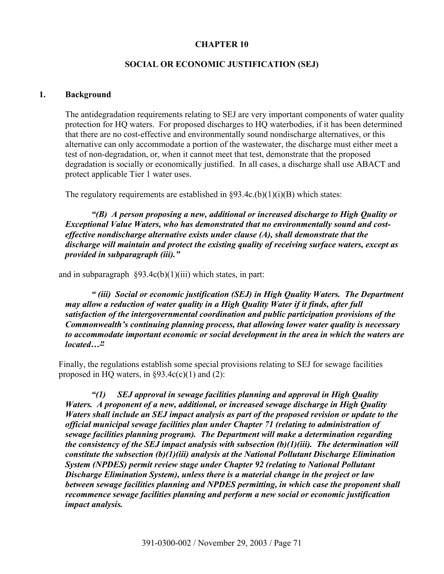### **CHAPTER 10**

### **SOCIAL OR ECONOMIC JUSTIFICATION (SEJ)**

#### **1. Background**

The antidegradation requirements relating to SEJ are very important components of water quality protection for HQ waters. For proposed discharges to HQ waterbodies, if it has been determined that there are no cost-effective and environmentally sound nondischarge alternatives, or this alternative can only accommodate a portion of the wastewater, the discharge must either meet a test of non-degradation, or, when it cannot meet that test, demonstrate that the proposed degradation is socially or economically justified. In all cases, a discharge shall use ABACT and protect applicable Tier 1 water uses.

The regulatory requirements are established in  $\S 93.4c(b)(1)(i)(B)$  which states:

*"(B) A person proposing a new, additional or increased discharge to High Quality or Exceptional Value Waters, who has demonstrated that no environmentally sound and costeffective nondischarge alternative exists under clause (A), shall demonstrate that the discharge will maintain and protect the existing quality of receiving surface waters, except as provided in subparagraph (iii)."* 

and in subparagraph  $\S 93.4c(b)(1)(iii)$  which states, in part:

*" (iii) Social or economic justification (SEJ) in High Quality Waters. The Department may allow a reduction of water quality in a High Quality Water if it finds, after full satisfaction of the intergovernmental coordination and public participation provisions of the Commonwealth's continuing planning process, that allowing lower water quality is necessary to accommodate important economic or social development in the area in which the waters are located…"*

Finally, the regulations establish some special provisions relating to SEJ for sewage facilities proposed in HQ waters, in  $\S 93.4c(c)(1)$  and (2):

*"(1) SEJ approval in sewage facilities planning and approval in High Quality Waters. A proponent of a new, additional, or increased sewage discharge in High Quality Waters shall include an SEJ impact analysis as part of the proposed revision or update to the official municipal sewage facilities plan under Chapter 71 (relating to administration of sewage facilities planning program). The Department will make a determination regarding the consistency of the SEJ impact analysis with subsection (b)(1)(iii). The determination will constitute the subsection (b)(1)(iii) analysis at the National Pollutant Discharge Elimination System (NPDES) permit review stage under Chapter 92 (relating to National Pollutant Discharge Elimination System), unless there is a material change in the project or law between sewage facilities planning and NPDES permitting, in which case the proponent shall recommence sewage facilities planning and perform a new social or economic justification impact analysis.*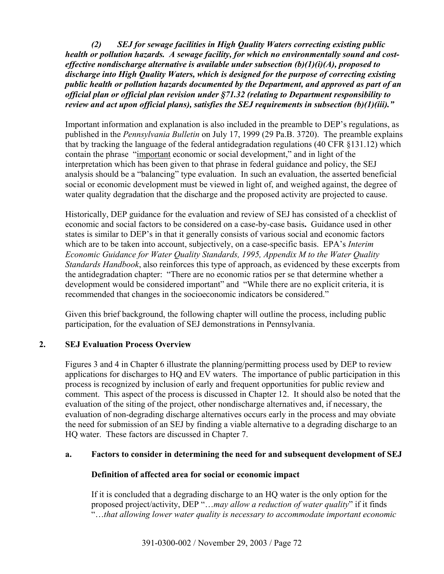*(2) SEJ for sewage facilities in High Quality Waters correcting existing public health or pollution hazards. A sewage facility, for which no environmentally sound and costeffective nondischarge alternative is available under subsection (b)(1)(i)(A), proposed to discharge into High Quality Waters, which is designed for the purpose of correcting existing public health or pollution hazards documented by the Department, and approved as part of an official plan or official plan revision under §71.32 (relating to Department responsibility to review and act upon official plans), satisfies the SEJ requirements in subsection (b)(1)(iii)."*

Important information and explanation is also included in the preamble to DEP's regulations, as published in the *Pennsylvania Bulletin* on July 17, 1999 (29 Pa.B. 3720). The preamble explains that by tracking the language of the federal antidegradation regulations (40 CFR §131.12) which contain the phrase "important economic or social development," and in light of the interpretation which has been given to that phrase in federal guidance and policy, the SEJ analysis should be a "balancing" type evaluation. In such an evaluation, the asserted beneficial social or economic development must be viewed in light of, and weighed against, the degree of water quality degradation that the discharge and the proposed activity are projected to cause.

Historically, DEP guidance for the evaluation and review of SEJ has consisted of a checklist of economic and social factors to be considered on a case-by-case basis**.** Guidance used in other states is similar to DEP's in that it generally consists of various social and economic factors which are to be taken into account, subjectively, on a case-specific basis. EPA's *Interim Economic Guidance for Water Quality Standards, 1995, Appendix M to the Water Quality Standards Handbook*, also reinforces this type of approach, as evidenced by these excerpts from the antidegradation chapter: "There are no economic ratios per se that determine whether a development would be considered important" and "While there are no explicit criteria, it is recommended that changes in the socioeconomic indicators be considered."

Given this brief background, the following chapter will outline the process, including public participation, for the evaluation of SEJ demonstrations in Pennsylvania.

# **2. SEJ Evaluation Process Overview**

Figures 3 and 4 in Chapter 6 illustrate the planning/permitting process used by DEP to review applications for discharges to HQ and EV waters. The importance of public participation in this process is recognized by inclusion of early and frequent opportunities for public review and comment. This aspect of the process is discussed in Chapter 12. It should also be noted that the evaluation of the siting of the project, other nondischarge alternatives and, if necessary, the evaluation of non-degrading discharge alternatives occurs early in the process and may obviate the need for submission of an SEJ by finding a viable alternative to a degrading discharge to an HQ water. These factors are discussed in Chapter 7.

# **a. Factors to consider in determining the need for and subsequent development of SEJ**

# **Definition of affected area for social or economic impact**

If it is concluded that a degrading discharge to an HQ water is the only option for the proposed project/activity, DEP "…*may allow a reduction of water quality*" if it finds "…*that allowing lower water quality is necessary to accommodate important economic*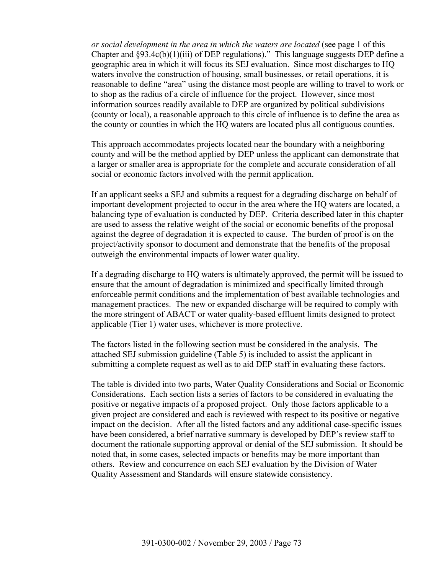*or social development in the area in which the waters are located* (see page 1 of this Chapter and §93.4c(b)(1)(iii) of DEP regulations)." This language suggests DEP define a geographic area in which it will focus its SEJ evaluation. Since most discharges to HQ waters involve the construction of housing, small businesses, or retail operations, it is reasonable to define "area" using the distance most people are willing to travel to work or to shop as the radius of a circle of influence for the project. However, since most information sources readily available to DEP are organized by political subdivisions (county or local), a reasonable approach to this circle of influence is to define the area as the county or counties in which the HQ waters are located plus all contiguous counties.

This approach accommodates projects located near the boundary with a neighboring county and will be the method applied by DEP unless the applicant can demonstrate that a larger or smaller area is appropriate for the complete and accurate consideration of all social or economic factors involved with the permit application.

If an applicant seeks a SEJ and submits a request for a degrading discharge on behalf of important development projected to occur in the area where the HQ waters are located, a balancing type of evaluation is conducted by DEP. Criteria described later in this chapter are used to assess the relative weight of the social or economic benefits of the proposal against the degree of degradation it is expected to cause. The burden of proof is on the project/activity sponsor to document and demonstrate that the benefits of the proposal outweigh the environmental impacts of lower water quality.

If a degrading discharge to HQ waters is ultimately approved, the permit will be issued to ensure that the amount of degradation is minimized and specifically limited through enforceable permit conditions and the implementation of best available technologies and management practices. The new or expanded discharge will be required to comply with the more stringent of ABACT or water quality-based effluent limits designed to protect applicable (Tier 1) water uses, whichever is more protective.

The factors listed in the following section must be considered in the analysis. The attached SEJ submission guideline (Table 5) is included to assist the applicant in submitting a complete request as well as to aid DEP staff in evaluating these factors.

The table is divided into two parts, Water Quality Considerations and Social or Economic Considerations. Each section lists a series of factors to be considered in evaluating the positive or negative impacts of a proposed project. Only those factors applicable to a given project are considered and each is reviewed with respect to its positive or negative impact on the decision. After all the listed factors and any additional case-specific issues have been considered, a brief narrative summary is developed by DEP's review staff to document the rationale supporting approval or denial of the SEJ submission. It should be noted that, in some cases, selected impacts or benefits may be more important than others. Review and concurrence on each SEJ evaluation by the Division of Water Quality Assessment and Standards will ensure statewide consistency.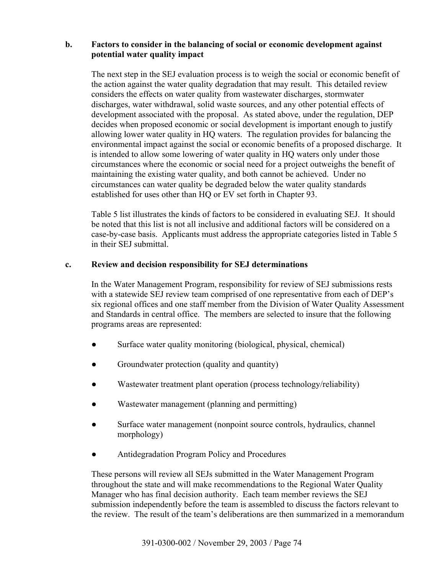### **b. Factors to consider in the balancing of social or economic development against potential water quality impact**

The next step in the SEJ evaluation process is to weigh the social or economic benefit of the action against the water quality degradation that may result. This detailed review considers the effects on water quality from wastewater discharges, stormwater discharges, water withdrawal, solid waste sources, and any other potential effects of development associated with the proposal. As stated above, under the regulation, DEP decides when proposed economic or social development is important enough to justify allowing lower water quality in HQ waters. The regulation provides for balancing the environmental impact against the social or economic benefits of a proposed discharge. It is intended to allow some lowering of water quality in HQ waters only under those circumstances where the economic or social need for a project outweighs the benefit of maintaining the existing water quality, and both cannot be achieved. Under no circumstances can water quality be degraded below the water quality standards established for uses other than HQ or EV set forth in Chapter 93.

Table 5 list illustrates the kinds of factors to be considered in evaluating SEJ. It should be noted that this list is not all inclusive and additional factors will be considered on a case-by-case basis. Applicants must address the appropriate categories listed in Table 5 in their SEJ submittal.

#### **c. Review and decision responsibility for SEJ determinations**

In the Water Management Program, responsibility for review of SEJ submissions rests with a statewide SEJ review team comprised of one representative from each of DEP's six regional offices and one staff member from the Division of Water Quality Assessment and Standards in central office. The members are selected to insure that the following programs areas are represented:

- Surface water quality monitoring (biological, physical, chemical)
- Groundwater protection (quality and quantity)
- Wastewater treatment plant operation (process technology/reliability)
- Wastewater management (planning and permitting)
- Surface water management (nonpoint source controls, hydraulics, channel morphology)
- Antidegradation Program Policy and Procedures

These persons will review all SEJs submitted in the Water Management Program throughout the state and will make recommendations to the Regional Water Quality Manager who has final decision authority. Each team member reviews the SEJ submission independently before the team is assembled to discuss the factors relevant to the review. The result of the team's deliberations are then summarized in a memorandum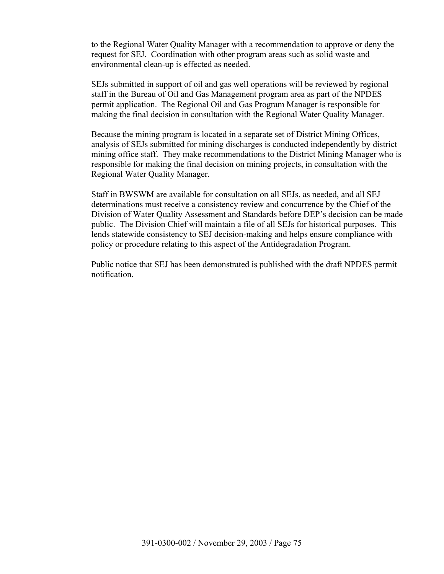to the Regional Water Quality Manager with a recommendation to approve or deny the request for SEJ. Coordination with other program areas such as solid waste and environmental clean-up is effected as needed.

SEJs submitted in support of oil and gas well operations will be reviewed by regional staff in the Bureau of Oil and Gas Management program area as part of the NPDES permit application. The Regional Oil and Gas Program Manager is responsible for making the final decision in consultation with the Regional Water Quality Manager.

Because the mining program is located in a separate set of District Mining Offices, analysis of SEJs submitted for mining discharges is conducted independently by district mining office staff. They make recommendations to the District Mining Manager who is responsible for making the final decision on mining projects, in consultation with the Regional Water Quality Manager.

Staff in BWSWM are available for consultation on all SEJs, as needed, and all SEJ determinations must receive a consistency review and concurrence by the Chief of the Division of Water Quality Assessment and Standards before DEP's decision can be made public. The Division Chief will maintain a file of all SEJs for historical purposes. This lends statewide consistency to SEJ decision-making and helps ensure compliance with policy or procedure relating to this aspect of the Antidegradation Program.

Public notice that SEJ has been demonstrated is published with the draft NPDES permit notification.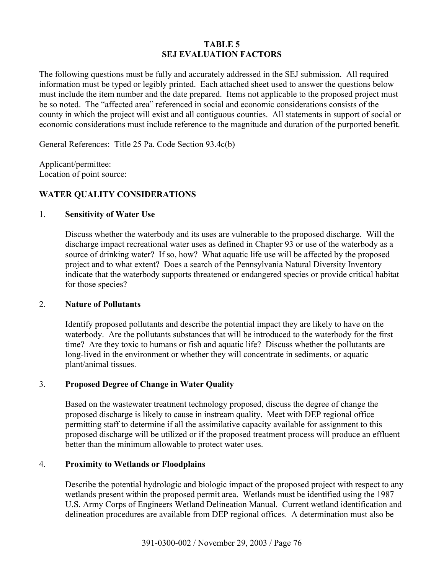### **TABLE 5 SEJ EVALUATION FACTORS**

The following questions must be fully and accurately addressed in the SEJ submission. All required information must be typed or legibly printed. Each attached sheet used to answer the questions below must include the item number and the date prepared. Items not applicable to the proposed project must be so noted. The "affected area" referenced in social and economic considerations consists of the county in which the project will exist and all contiguous counties. All statements in support of social or economic considerations must include reference to the magnitude and duration of the purported benefit.

General References: Title 25 Pa. Code Section 93.4c(b)

Applicant/permittee: Location of point source:

# **WATER QUALITY CONSIDERATIONS**

#### 1. **Sensitivity of Water Use**

Discuss whether the waterbody and its uses are vulnerable to the proposed discharge. Will the discharge impact recreational water uses as defined in Chapter 93 or use of the waterbody as a source of drinking water? If so, how? What aquatic life use will be affected by the proposed project and to what extent? Does a search of the Pennsylvania Natural Diversity Inventory indicate that the waterbody supports threatened or endangered species or provide critical habitat for those species?

#### 2. **Nature of Pollutants**

 Identify proposed pollutants and describe the potential impact they are likely to have on the waterbody. Are the pollutants substances that will be introduced to the waterbody for the first time? Are they toxic to humans or fish and aquatic life? Discuss whether the pollutants are long-lived in the environment or whether they will concentrate in sediments, or aquatic plant/animal tissues.

#### 3. **Proposed Degree of Change in Water Quality**

Based on the wastewater treatment technology proposed, discuss the degree of change the proposed discharge is likely to cause in instream quality. Meet with DEP regional office permitting staff to determine if all the assimilative capacity available for assignment to this proposed discharge will be utilized or if the proposed treatment process will produce an effluent better than the minimum allowable to protect water uses.

#### 4. **Proximity to Wetlands or Floodplains**

Describe the potential hydrologic and biologic impact of the proposed project with respect to any wetlands present within the proposed permit area. Wetlands must be identified using the 1987 U.S. Army Corps of Engineers Wetland Delineation Manual. Current wetland identification and delineation procedures are available from DEP regional offices. A determination must also be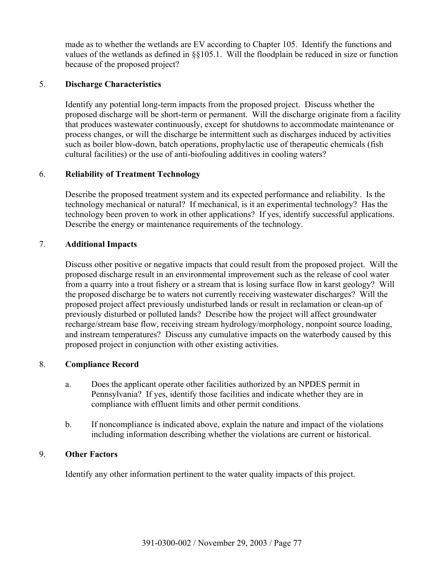made as to whether the wetlands are EV according to Chapter 105. Identify the functions and values of the wetlands as defined in §§105.1. Will the floodplain be reduced in size or function because of the proposed project?

# 5. **Discharge Characteristics**

 Identify any potential long-term impacts from the proposed project. Discuss whether the proposed discharge will be short-term or permanent. Will the discharge originate from a facility that produces wastewater continuously, except for shutdowns to accommodate maintenance or process changes, or will the discharge be intermittent such as discharges induced by activities such as boiler blow-down, batch operations, prophylactic use of therapeutic chemicals (fish cultural facilities) or the use of anti-biofouling additives in cooling waters?

### 6. **Reliability of Treatment Technology**

 Describe the proposed treatment system and its expected performance and reliability. Is the technology mechanical or natural? If mechanical, is it an experimental technology? Has the technology been proven to work in other applications? If yes, identify successful applications. Describe the energy or maintenance requirements of the technology.

### 7. **Additional Impacts**

 Discuss other positive or negative impacts that could result from the proposed project. Will the proposed discharge result in an environmental improvement such as the release of cool water from a quarry into a trout fishery or a stream that is losing surface flow in karst geology? Will the proposed discharge be to waters not currently receiving wastewater discharges? Will the proposed project affect previously undisturbed lands or result in reclamation or clean-up of previously disturbed or polluted lands? Describe how the project will affect groundwater recharge/stream base flow, receiving stream hydrology/morphology, nonpoint source loading, and instream temperatures? Discuss any cumulative impacts on the waterbody caused by this proposed project in conjunction with other existing activities.

# 8. **Compliance Record**

- a. Does the applicant operate other facilities authorized by an NPDES permit in Pennsylvania? If yes, identify those facilities and indicate whether they are in compliance with effluent limits and other permit conditions.
- b. If noncompliance is indicated above, explain the nature and impact of the violations including information describing whether the violations are current or historical.

# 9. **Other Factors**

Identify any other information pertinent to the water quality impacts of this project.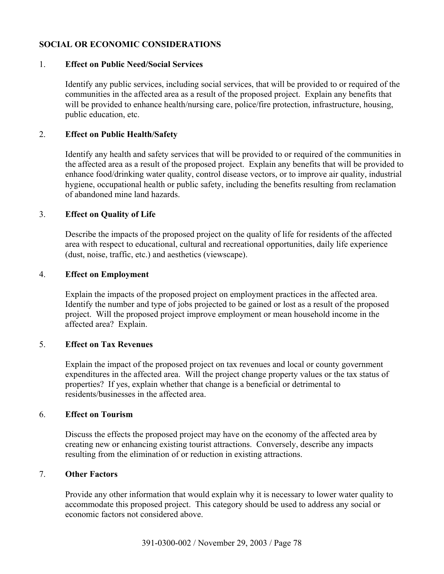# **SOCIAL OR ECONOMIC CONSIDERATIONS**

### 1. **Effect on Public Need/Social Services**

 Identify any public services, including social services, that will be provided to or required of the communities in the affected area as a result of the proposed project. Explain any benefits that will be provided to enhance health/nursing care, police/fire protection, infrastructure, housing, public education, etc.

### 2. **Effect on Public Health/Safety**

 Identify any health and safety services that will be provided to or required of the communities in the affected area as a result of the proposed project. Explain any benefits that will be provided to enhance food/drinking water quality, control disease vectors, or to improve air quality, industrial hygiene, occupational health or public safety, including the benefits resulting from reclamation of abandoned mine land hazards.

### 3. **Effect on Quality of Life**

 Describe the impacts of the proposed project on the quality of life for residents of the affected area with respect to educational, cultural and recreational opportunities, daily life experience (dust, noise, traffic, etc.) and aesthetics (viewscape).

### 4. **Effect on Employment**

 Explain the impacts of the proposed project on employment practices in the affected area. Identify the number and type of jobs projected to be gained or lost as a result of the proposed project. Will the proposed project improve employment or mean household income in the affected area? Explain.

# 5. **Effect on Tax Revenues**

 Explain the impact of the proposed project on tax revenues and local or county government expenditures in the affected area. Will the project change property values or the tax status of properties? If yes, explain whether that change is a beneficial or detrimental to residents/businesses in the affected area.

#### 6. **Effect on Tourism**

Discuss the effects the proposed project may have on the economy of the affected area by creating new or enhancing existing tourist attractions. Conversely, describe any impacts resulting from the elimination of or reduction in existing attractions.

#### 7. **Other Factors**

 Provide any other information that would explain why it is necessary to lower water quality to accommodate this proposed project. This category should be used to address any social or economic factors not considered above.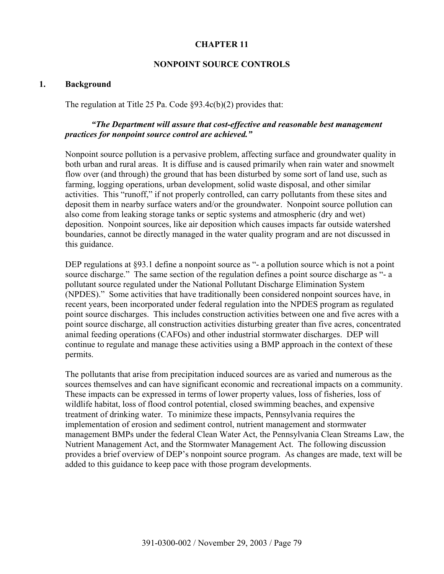### **CHAPTER 11**

#### **NONPOINT SOURCE CONTROLS**

#### **1. Background**

The regulation at Title 25 Pa. Code §93.4c(b)(2) provides that:

### *"The Department will assure that cost-effective and reasonable best management practices for nonpoint source control are achieved."*

Nonpoint source pollution is a pervasive problem, affecting surface and groundwater quality in both urban and rural areas. It is diffuse and is caused primarily when rain water and snowmelt flow over (and through) the ground that has been disturbed by some sort of land use, such as farming, logging operations, urban development, solid waste disposal, and other similar activities. This "runoff," if not properly controlled, can carry pollutants from these sites and deposit them in nearby surface waters and/or the groundwater. Nonpoint source pollution can also come from leaking storage tanks or septic systems and atmospheric (dry and wet) deposition. Nonpoint sources, like air deposition which causes impacts far outside watershed boundaries, cannot be directly managed in the water quality program and are not discussed in this guidance.

DEP regulations at §93.1 define a nonpoint source as "- a pollution source which is not a point source discharge." The same section of the regulation defines a point source discharge as "- a pollutant source regulated under the National Pollutant Discharge Elimination System (NPDES)." Some activities that have traditionally been considered nonpoint sources have, in recent years, been incorporated under federal regulation into the NPDES program as regulated point source discharges. This includes construction activities between one and five acres with a point source discharge, all construction activities disturbing greater than five acres, concentrated animal feeding operations (CAFOs) and other industrial stormwater discharges. DEP will continue to regulate and manage these activities using a BMP approach in the context of these permits.

The pollutants that arise from precipitation induced sources are as varied and numerous as the sources themselves and can have significant economic and recreational impacts on a community. These impacts can be expressed in terms of lower property values, loss of fisheries, loss of wildlife habitat, loss of flood control potential, closed swimming beaches, and expensive treatment of drinking water. To minimize these impacts, Pennsylvania requires the implementation of erosion and sediment control, nutrient management and stormwater management BMPs under the federal Clean Water Act, the Pennsylvania Clean Streams Law, the Nutrient Management Act, and the Stormwater Management Act. The following discussion provides a brief overview of DEP's nonpoint source program. As changes are made, text will be added to this guidance to keep pace with those program developments.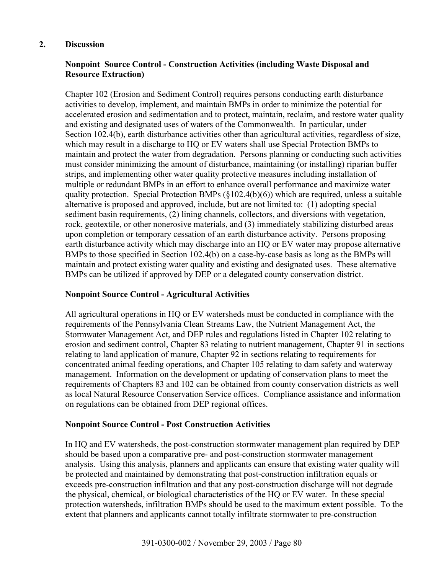#### **2. Discussion**

# **Nonpoint Source Control - Construction Activities (including Waste Disposal and Resource Extraction)**

Chapter 102 (Erosion and Sediment Control) requires persons conducting earth disturbance activities to develop, implement, and maintain BMPs in order to minimize the potential for accelerated erosion and sedimentation and to protect, maintain, reclaim, and restore water quality and existing and designated uses of waters of the Commonwealth. In particular, under Section 102.4(b), earth disturbance activities other than agricultural activities, regardless of size, which may result in a discharge to HQ or EV waters shall use Special Protection BMPs to maintain and protect the water from degradation. Persons planning or conducting such activities must consider minimizing the amount of disturbance, maintaining (or installing) riparian buffer strips, and implementing other water quality protective measures including installation of multiple or redundant BMPs in an effort to enhance overall performance and maximize water quality protection. Special Protection BMPs (§102.4(b)(6)) which are required, unless a suitable alternative is proposed and approved, include, but are not limited to: (1) adopting special sediment basin requirements, (2) lining channels, collectors, and diversions with vegetation, rock, geotextile, or other nonerosive materials, and (3) immediately stabilizing disturbed areas upon completion or temporary cessation of an earth disturbance activity. Persons proposing earth disturbance activity which may discharge into an HQ or EV water may propose alternative BMPs to those specified in Section 102.4(b) on a case-by-case basis as long as the BMPs will maintain and protect existing water quality and existing and designated uses. These alternative BMPs can be utilized if approved by DEP or a delegated county conservation district.

# **Nonpoint Source Control - Agricultural Activities**

All agricultural operations in HQ or EV watersheds must be conducted in compliance with the requirements of the Pennsylvania Clean Streams Law, the Nutrient Management Act, the Stormwater Management Act, and DEP rules and regulations listed in Chapter 102 relating to erosion and sediment control, Chapter 83 relating to nutrient management, Chapter 91 in sections relating to land application of manure, Chapter 92 in sections relating to requirements for concentrated animal feeding operations, and Chapter 105 relating to dam safety and waterway management. Information on the development or updating of conservation plans to meet the requirements of Chapters 83 and 102 can be obtained from county conservation districts as well as local Natural Resource Conservation Service offices. Compliance assistance and information on regulations can be obtained from DEP regional offices.

# **Nonpoint Source Control - Post Construction Activities**

In HQ and EV watersheds, the post-construction stormwater management plan required by DEP should be based upon a comparative pre- and post-construction stormwater management analysis. Using this analysis, planners and applicants can ensure that existing water quality will be protected and maintained by demonstrating that post-construction infiltration equals or exceeds pre-construction infiltration and that any post-construction discharge will not degrade the physical, chemical, or biological characteristics of the HQ or EV water. In these special protection watersheds, infiltration BMPs should be used to the maximum extent possible. To the extent that planners and applicants cannot totally infiltrate stormwater to pre-construction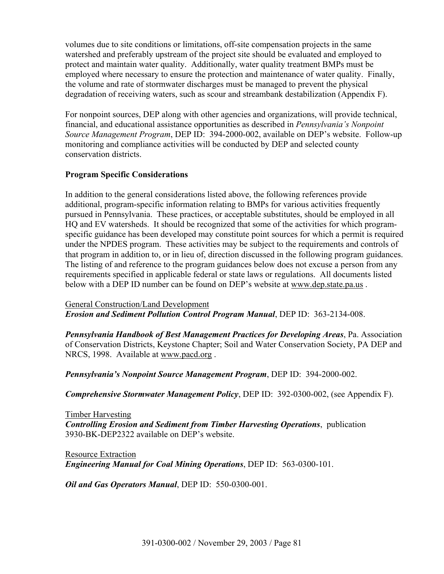volumes due to site conditions or limitations, off-site compensation projects in the same watershed and preferably upstream of the project site should be evaluated and employed to protect and maintain water quality. Additionally, water quality treatment BMPs must be employed where necessary to ensure the protection and maintenance of water quality. Finally, the volume and rate of stormwater discharges must be managed to prevent the physical degradation of receiving waters, such as scour and streambank destabilization (Appendix F).

For nonpoint sources, DEP along with other agencies and organizations, will provide technical, financial, and educational assistance opportunities as described in *Pennsylvania's Nonpoint Source Management Program*, DEP ID: 394-2000-002, available on DEP's website. Follow-up monitoring and compliance activities will be conducted by DEP and selected county conservation districts.

### **Program Specific Considerations**

In addition to the general considerations listed above, the following references provide additional, program-specific information relating to BMPs for various activities frequently pursued in Pennsylvania. These practices, or acceptable substitutes, should be employed in all HQ and EV watersheds. It should be recognized that some of the activities for which programspecific guidance has been developed may constitute point sources for which a permit is required under the NPDES program. These activities may be subject to the requirements and controls of that program in addition to, or in lieu of, direction discussed in the following program guidances. The listing of and reference to the program guidances below does not excuse a person from any requirements specified in applicable federal or state laws or regulations. All documents listed below with a DEP ID number can be found on DEP's website at www.dep.state.pa.us .

General Construction/Land Development *Erosion and Sediment Pollution Control Program Manual*, DEP ID: 363-2134-008.

*Pennsylvania Handbook of Best Management Practices for Developing Areas*, Pa. Association of Conservation Districts, Keystone Chapter; Soil and Water Conservation Society, PA DEP and NRCS, 1998. Available at www.pacd.org.

*Pennsylvania's Nonpoint Source Management Program*, DEP ID: 394-2000-002.

*Comprehensive Stormwater Management Policy*, DEP ID: 392-0300-002, (see Appendix F).

Timber Harvesting *Controlling Erosion and Sediment from Timber Harvesting Operations*,publication 3930-BK-DEP2322 available on DEP's website.

Resource Extraction *Engineering Manual for Coal Mining Operations*, DEP ID: 563-0300-101.

*Oil and Gas Operators Manual*, DEP ID: 550-0300-001.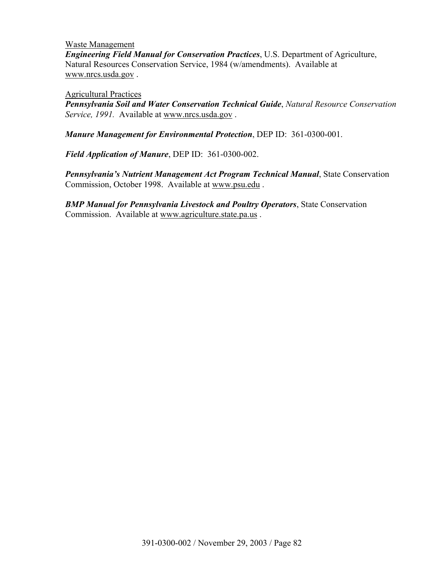Waste Management *Engineering Field Manual for Conservation Practices*, U.S. Department of Agriculture, Natural Resources Conservation Service, 1984 (w/amendments). Available at www.nrcs.usda.gov .

Agricultural Practices

*Pennsylvania Soil and Water Conservation Technical Guide*, *Natural Resource Conservation Service, 1991.* Available at www.nrcs.usda.gov .

*Manure Management for Environmental Protection*, DEP ID: 361-0300-001.

*Field Application of Manure*, DEP ID: 361-0300-002.

*Pennsylvania's Nutrient Management Act Program Technical Manual*, State Conservation Commission, October 1998. Available at www.psu.edu .

*BMP Manual for Pennsylvania Livestock and Poultry Operators*, State Conservation Commission. Available at www.agriculture.state.pa.us .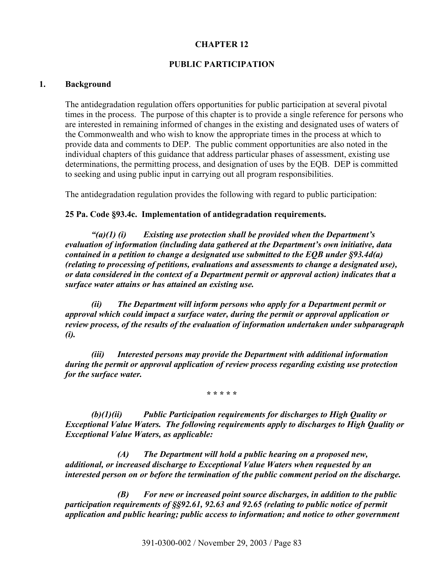### **CHAPTER 12**

### **PUBLIC PARTICIPATION**

#### **1. Background**

The antidegradation regulation offers opportunities for public participation at several pivotal times in the process. The purpose of this chapter is to provide a single reference for persons who are interested in remaining informed of changes in the existing and designated uses of waters of the Commonwealth and who wish to know the appropriate times in the process at which to provide data and comments to DEP. The public comment opportunities are also noted in the individual chapters of this guidance that address particular phases of assessment, existing use determinations, the permitting process, and designation of uses by the EQB. DEP is committed to seeking and using public input in carrying out all program responsibilities.

The antidegradation regulation provides the following with regard to public participation:

#### **25 Pa. Code §93.4c. Implementation of antidegradation requirements.**

*"(a)(1) (i) Existing use protection shall be provided when the Department's evaluation of information (including data gathered at the Department's own initiative, data contained in a petition to change a designated use submitted to the EQB under §93.4d(a) (relating to processing of petitions, evaluations and assessments to change a designated use), or data considered in the context of a Department permit or approval action) indicates that a surface water attains or has attained an existing use.* 

*(ii) The Department will inform persons who apply for a Department permit or approval which could impact a surface water, during the permit or approval application or review process, of the results of the evaluation of information undertaken under subparagraph (i).* 

*(iii) Interested persons may provide the Department with additional information during the permit or approval application of review process regarding existing use protection for the surface water.* 

**\* \* \* \* \*** 

*(b)(1)(ii) Public Participation requirements for discharges to High Quality or Exceptional Value Waters. The following requirements apply to discharges to High Quality or Exceptional Value Waters, as applicable:* 

*(A) The Department will hold a public hearing on a proposed new, additional, or increased discharge to Exceptional Value Waters when requested by an interested person on or before the termination of the public comment period on the discharge.* 

*(B) For new or increased point source discharges, in addition to the public participation requirements of §§92.61, 92.63 and 92.65 (relating to public notice of permit application and public hearing; public access to information; and notice to other government*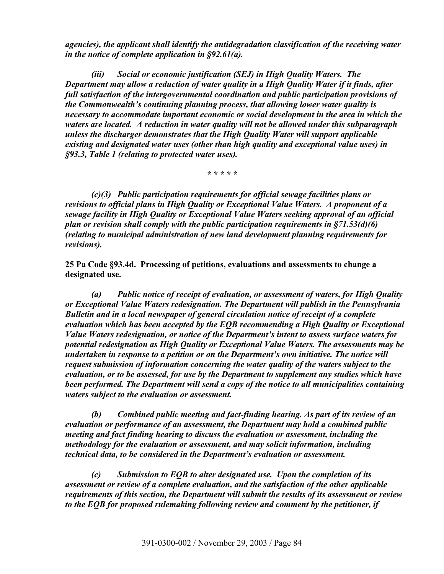*agencies), the applicant shall identify the antidegradation classification of the receiving water in the notice of complete application in §92.61(a).* 

*(iii) Social or economic justification (SEJ) in High Quality Waters. The Department may allow a reduction of water quality in a High Quality Water if it finds, after full satisfaction of the intergovernmental coordination and public participation provisions of the Commonwealth's continuing planning process, that allowing lower water quality is necessary to accommodate important economic or social development in the area in which the waters are located. A reduction in water quality will not be allowed under this subparagraph unless the discharger demonstrates that the High Quality Water will support applicable existing and designated water uses (other than high quality and exceptional value uses) in §93.3, Table 1 (relating to protected water uses).* 

*\* \* \* \* \** 

*(c)(3) Public participation requirements for official sewage facilities plans or revisions to official plans in High Quality or Exceptional Value Waters. A proponent of a sewage facility in High Quality or Exceptional Value Waters seeking approval of an official plan or revision shall comply with the public participation requirements in §71.53(d)(6) (relating to municipal administration of new land development planning requirements for revisions).* 

**25 Pa Code §93.4d. Processing of petitions, evaluations and assessments to change a designated use.** 

*(a) Public notice of receipt of evaluation, or assessment of waters, for High Quality or Exceptional Value Waters redesignation. The Department will publish in the Pennsylvania Bulletin and in a local newspaper of general circulation notice of receipt of a complete evaluation which has been accepted by the EQB recommending a High Quality or Exceptional Value Waters redesignation, or notice of the Department's intent to assess surface waters for potential redesignation as High Quality or Exceptional Value Waters. The assessments may be undertaken in response to a petition or on the Department's own initiative. The notice will request submission of information concerning the water quality of the waters subject to the evaluation, or to be assessed, for use by the Department to supplement any studies which have been performed. The Department will send a copy of the notice to all municipalities containing waters subject to the evaluation or assessment.* 

*(b) Combined public meeting and fact-finding hearing. As part of its review of an evaluation or performance of an assessment, the Department may hold a combined public meeting and fact finding hearing to discuss the evaluation or assessment, including the methodology for the evaluation or assessment, and may solicit information, including technical data, to be considered in the Department's evaluation or assessment.* 

*(c) Submission to EQB to alter designated use. Upon the completion of its assessment or review of a complete evaluation, and the satisfaction of the other applicable requirements of this section, the Department will submit the results of its assessment or review to the EQB for proposed rulemaking following review and comment by the petitioner, if*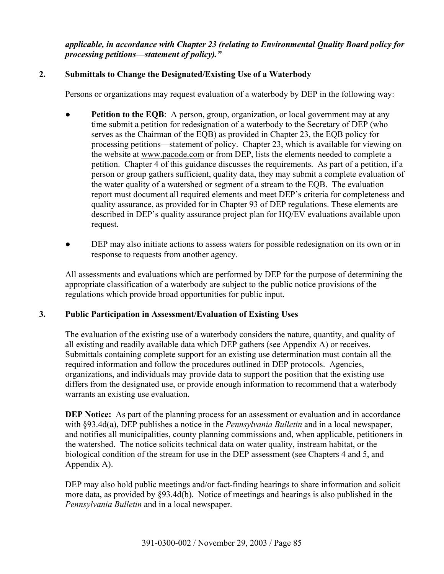*applicable, in accordance with Chapter 23 (relating to Environmental Quality Board policy for processing petitions—statement of policy)."* 

# **2. Submittals to Change the Designated/Existing Use of a Waterbody**

Persons or organizations may request evaluation of a waterbody by DEP in the following way:

- **•** Petition to the EQB: A person, group, organization, or local government may at any time submit a petition for redesignation of a waterbody to the Secretary of DEP (who serves as the Chairman of the EQB) as provided in Chapter 23, the EQB policy for processing petitions—statement of policy. Chapter 23, which is available for viewing on the website at www.pacode.com or from DEP, lists the elements needed to complete a petition. Chapter 4 of this guidance discusses the requirements. As part of a petition, if a person or group gathers sufficient, quality data, they may submit a complete evaluation of the water quality of a watershed or segment of a stream to the EQB. The evaluation report must document all required elements and meet DEP's criteria for completeness and quality assurance, as provided for in Chapter 93 of DEP regulations. These elements are described in DEP's quality assurance project plan for HQ/EV evaluations available upon request.
- **●** DEP may also initiate actions to assess waters for possible redesignation on its own or in response to requests from another agency.

All assessments and evaluations which are performed by DEP for the purpose of determining the appropriate classification of a waterbody are subject to the public notice provisions of the regulations which provide broad opportunities for public input.

# **3. Public Participation in Assessment/Evaluation of Existing Uses**

The evaluation of the existing use of a waterbody considers the nature, quantity, and quality of all existing and readily available data which DEP gathers (see Appendix A) or receives. Submittals containing complete support for an existing use determination must contain all the required information and follow the procedures outlined in DEP protocols. Agencies, organizations, and individuals may provide data to support the position that the existing use differs from the designated use, or provide enough information to recommend that a waterbody warrants an existing use evaluation.

**DEP Notice:** As part of the planning process for an assessment or evaluation and in accordance with §93.4d(a), DEP publishes a notice in the *Pennsylvania Bulletin* and in a local newspaper, and notifies all municipalities, county planning commissions and, when applicable, petitioners in the watershed. The notice solicits technical data on water quality, instream habitat, or the biological condition of the stream for use in the DEP assessment (see Chapters 4 and 5, and Appendix A).

DEP may also hold public meetings and/or fact-finding hearings to share information and solicit more data, as provided by §93.4d(b). Notice of meetings and hearings is also published in the *Pennsylvania Bulletin* and in a local newspaper.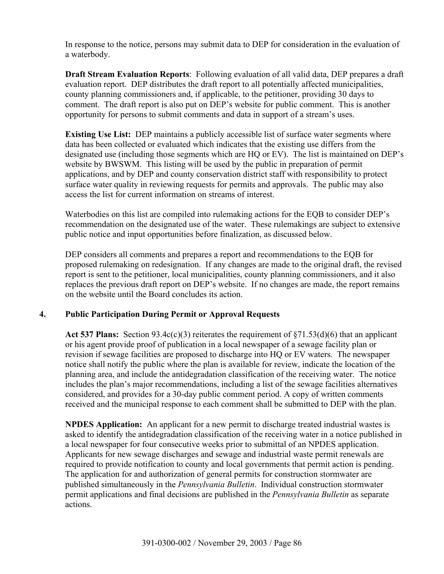In response to the notice, persons may submit data to DEP for consideration in the evaluation of a waterbody.

**Draft Stream Evaluation Reports**: Following evaluation of all valid data, DEP prepares a draft evaluation report. DEP distributes the draft report to all potentially affected municipalities, county planning commissioners and, if applicable, to the petitioner, providing 30 days to comment. The draft report is also put on DEP's website for public comment. This is another opportunity for persons to submit comments and data in support of a stream's uses.

**Existing Use List:** DEP maintains a publicly accessible list of surface water segments where data has been collected or evaluated which indicates that the existing use differs from the designated use (including those segments which are HQ or EV). The list is maintained on DEP's website by BWSWM. This listing will be used by the public in preparation of permit applications, and by DEP and county conservation district staff with responsibility to protect surface water quality in reviewing requests for permits and approvals. The public may also access the list for current information on streams of interest.

Waterbodies on this list are compiled into rulemaking actions for the EQB to consider DEP's recommendation on the designated use of the water. These rulemakings are subject to extensive public notice and input opportunities before finalization, as discussed below.

DEP considers all comments and prepares a report and recommendations to the EQB for proposed rulemaking on redesignation. If any changes are made to the original draft, the revised report is sent to the petitioner, local municipalities, county planning commissioners, and it also replaces the previous draft report on DEP's website. If no changes are made, the report remains on the website until the Board concludes its action.

# **4. Public Participation During Permit or Approval Requests**

Act 537 Plans: Section  $93.4c(c)(3)$  reiterates the requirement of  $\S71.53(d)(6)$  that an applicant or his agent provide proof of publication in a local newspaper of a sewage facility plan or revision if sewage facilities are proposed to discharge into HQ or EV waters. The newspaper notice shall notify the public where the plan is available for review, indicate the location of the planning area, and include the antidegradation classification of the receiving water. The notice includes the plan's major recommendations, including a list of the sewage facilities alternatives considered, and provides for a 30-day public comment period. A copy of written comments received and the municipal response to each comment shall be submitted to DEP with the plan.

**NPDES Application:** An applicant for a new permit to discharge treated industrial wastes is asked to identify the antidegradation classification of the receiving water in a notice published in a local newspaper for four consecutive weeks prior to submittal of an NPDES application. Applicants for new sewage discharges and sewage and industrial waste permit renewals are required to provide notification to county and local governments that permit action is pending. The application for and authorization of general permits for construction stormwater are published simultaneously in the *Pennsylvania Bulletin*. Individual construction stormwater permit applications and final decisions are published in the *Pennsylvania Bulletin* as separate actions.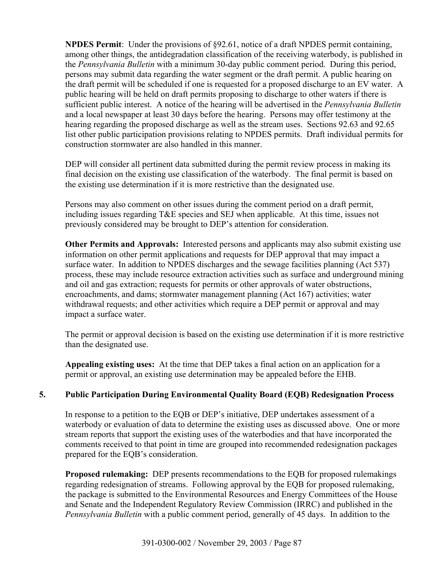**NPDES Permit**: Under the provisions of §92.61, notice of a draft NPDES permit containing, among other things, the antidegradation classification of the receiving waterbody, is published in the *Pennsylvania Bulletin* with a minimum 30-day public comment period. During this period, persons may submit data regarding the water segment or the draft permit. A public hearing on the draft permit will be scheduled if one is requested for a proposed discharge to an EV water. A public hearing will be held on draft permits proposing to discharge to other waters if there is sufficient public interest. A notice of the hearing will be advertised in the *Pennsylvania Bulletin*  and a local newspaper at least 30 days before the hearing. Persons may offer testimony at the hearing regarding the proposed discharge as well as the stream uses. Sections 92.63 and 92.65 list other public participation provisions relating to NPDES permits. Draft individual permits for construction stormwater are also handled in this manner.

DEP will consider all pertinent data submitted during the permit review process in making its final decision on the existing use classification of the waterbody.The final permit is based on the existing use determination if it is more restrictive than the designated use.

Persons may also comment on other issues during the comment period on a draft permit, including issues regarding T&E species and SEJ when applicable. At this time, issues not previously considered may be brought to DEP's attention for consideration.

**Other Permits and Approvals:** Interested persons and applicants may also submit existing use information on other permit applications and requests for DEP approval that may impact a surface water. In addition to NPDES discharges and the sewage facilities planning (Act 537) process, these may include resource extraction activities such as surface and underground mining and oil and gas extraction; requests for permits or other approvals of water obstructions, encroachments, and dams; stormwater management planning (Act 167) activities; water withdrawal requests; and other activities which require a DEP permit or approval and may impact a surface water.

The permit or approval decision is based on the existing use determination if it is more restrictive than the designated use.

**Appealing existing uses:** At the time that DEP takes a final action on an application for a permit or approval, an existing use determination may be appealed before the EHB.

# **5. Public Participation During Environmental Quality Board (EQB) Redesignation Process**

In response to a petition to the EQB or DEP's initiative, DEP undertakes assessment of a waterbody or evaluation of data to determine the existing uses as discussed above. One or more stream reports that support the existing uses of the waterbodies and that have incorporated the comments received to that point in time are grouped into recommended redesignation packages prepared for the EQB's consideration.

**Proposed rulemaking:** DEP presents recommendations to the EQB for proposed rulemakings regarding redesignation of streams. Following approval by the EQB for proposed rulemaking, the package is submitted to the Environmental Resources and Energy Committees of the House and Senate and the Independent Regulatory Review Commission (IRRC) and published in the *Pennsylvania Bulletin* with a public comment period, generally of 45 days. In addition to the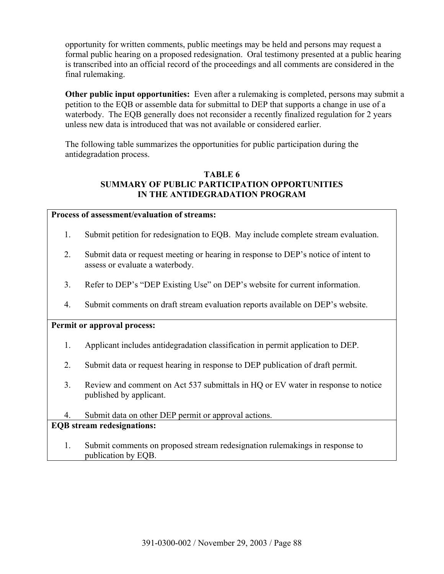opportunity for written comments, public meetings may be held and persons may request a formal public hearing on a proposed redesignation. Oral testimony presented at a public hearing is transcribed into an official record of the proceedings and all comments are considered in the final rulemaking.

**Other public input opportunities:** Even after a rulemaking is completed, persons may submit a petition to the EQB or assemble data for submittal to DEP that supports a change in use of a waterbody. The EQB generally does not reconsider a recently finalized regulation for 2 years unless new data is introduced that was not available or considered earlier.

The following table summarizes the opportunities for public participation during the antidegradation process.

# **TABLE 6 SUMMARY OF PUBLIC PARTICIPATION OPPORTUNITIES IN THE ANTIDEGRADATION PROGRAM**

#### **Process of assessment/evaluation of streams:**

- 1. Submit petition for redesignation to EQB. May include complete stream evaluation.
- 2. Submit data or request meeting or hearing in response to DEP's notice of intent to assess or evaluate a waterbody.
- 3. Refer to DEP's "DEP Existing Use" on DEP's website for current information.
- 4. Submit comments on draft stream evaluation reports available on DEP's website.

## **Permit or approval process:**

- 1. Applicant includes antidegradation classification in permit application to DEP.
- 2. Submit data or request hearing in response to DEP publication of draft permit.
- 3. Review and comment on Act 537 submittals in HQ or EV water in response to notice published by applicant.
- 4. Submit data on other DEP permit or approval actions.

# **EQB stream redesignations:**

1. Submit comments on proposed stream redesignation rulemakings in response to publication by EQB.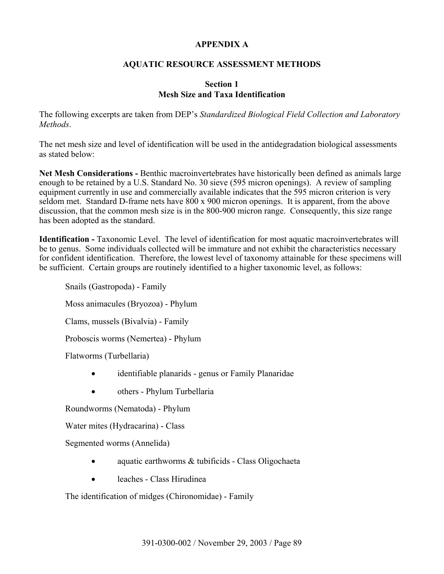### **APPENDIX A**

### **AQUATIC RESOURCE ASSESSMENT METHODS**

#### **Section 1 Mesh Size and Taxa Identification**

The following excerpts are taken from DEP's *Standardized Biological Field Collection and Laboratory Methods*.

The net mesh size and level of identification will be used in the antidegradation biological assessments as stated below:

**Net Mesh Considerations -** Benthic macroinvertebrates have historically been defined as animals large enough to be retained by a U.S. Standard No. 30 sieve (595 micron openings). A review of sampling equipment currently in use and commercially available indicates that the 595 micron criterion is very seldom met. Standard D-frame nets have 800 x 900 micron openings. It is apparent, from the above discussion, that the common mesh size is in the 800-900 micron range. Consequently, this size range has been adopted as the standard.

**Identification -** Taxonomic Level. The level of identification for most aquatic macroinvertebrates will be to genus. Some individuals collected will be immature and not exhibit the characteristics necessary for confident identification. Therefore, the lowest level of taxonomy attainable for these specimens will be sufficient. Certain groups are routinely identified to a higher taxonomic level, as follows:

Snails (Gastropoda) - Family Moss animacules (Bryozoa) - Phylum Clams, mussels (Bivalvia) - Family Proboscis worms (Nemertea) - Phylum

Flatworms (Turbellaria)

- identifiable planarids genus or Family Planaridae
- others Phylum Turbellaria

Roundworms (Nematoda) - Phylum

Water mites (Hydracarina) - Class

Segmented worms (Annelida)

- aquatic earthworms & tubificids Class Oligochaeta
- leaches Class Hirudinea

The identification of midges (Chironomidae) - Family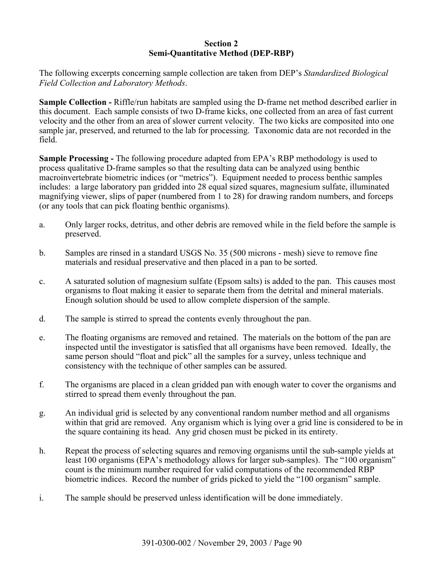#### **Section 2 Semi-Quantitative Method (DEP-RBP)**

The following excerpts concerning sample collection are taken from DEP's *Standardized Biological Field Collection and Laboratory Methods*.

**Sample Collection -** Riffle/run habitats are sampled using the D-frame net method described earlier in this document. Each sample consists of two D-frame kicks, one collected from an area of fast current velocity and the other from an area of slower current velocity. The two kicks are composited into one sample jar, preserved, and returned to the lab for processing. Taxonomic data are not recorded in the field.

**Sample Processing -** The following procedure adapted from EPA's RBP methodology is used to process qualitative D-frame samples so that the resulting data can be analyzed using benthic macroinvertebrate biometric indices (or "metrics"). Equipment needed to process benthic samples includes: a large laboratory pan gridded into 28 equal sized squares, magnesium sulfate, illuminated magnifying viewer, slips of paper (numbered from 1 to 28) for drawing random numbers, and forceps (or any tools that can pick floating benthic organisms).

- a. Only larger rocks, detritus, and other debris are removed while in the field before the sample is preserved.
- b. Samples are rinsed in a standard USGS No. 35 (500 microns mesh) sieve to remove fine materials and residual preservative and then placed in a pan to be sorted.
- c. A saturated solution of magnesium sulfate (Epsom salts) is added to the pan. This causes most organisms to float making it easier to separate them from the detrital and mineral materials. Enough solution should be used to allow complete dispersion of the sample.
- d. The sample is stirred to spread the contents evenly throughout the pan.
- e. The floating organisms are removed and retained. The materials on the bottom of the pan are inspected until the investigator is satisfied that all organisms have been removed. Ideally, the same person should "float and pick" all the samples for a survey, unless technique and consistency with the technique of other samples can be assured.
- f. The organisms are placed in a clean gridded pan with enough water to cover the organisms and stirred to spread them evenly throughout the pan.
- g. An individual grid is selected by any conventional random number method and all organisms within that grid are removed. Any organism which is lying over a grid line is considered to be in the square containing its head. Any grid chosen must be picked in its entirety.
- h. Repeat the process of selecting squares and removing organisms until the sub-sample yields at least 100 organisms (EPA's methodology allows for larger sub-samples). The "100 organism" count is the minimum number required for valid computations of the recommended RBP biometric indices. Record the number of grids picked to yield the "100 organism" sample.
- i. The sample should be preserved unless identification will be done immediately.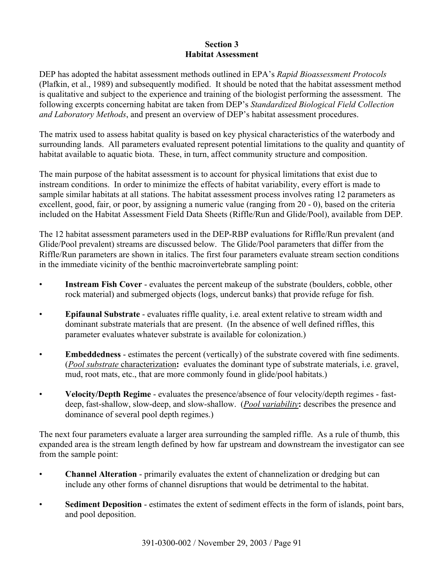### **Section 3 Habitat Assessment**

DEP has adopted the habitat assessment methods outlined in EPA's *Rapid Bioassessment Protocols* (Plafkin, et al., 1989) and subsequently modified. It should be noted that the habitat assessment method is qualitative and subject to the experience and training of the biologist performing the assessment. The following excerpts concerning habitat are taken from DEP's *Standardized Biological Field Collection and Laboratory Methods*, and present an overview of DEP's habitat assessment procedures.

The matrix used to assess habitat quality is based on key physical characteristics of the waterbody and surrounding lands. All parameters evaluated represent potential limitations to the quality and quantity of habitat available to aquatic biota. These, in turn, affect community structure and composition.

The main purpose of the habitat assessment is to account for physical limitations that exist due to instream conditions. In order to minimize the effects of habitat variability, every effort is made to sample similar habitats at all stations. The habitat assessment process involves rating 12 parameters as excellent, good, fair, or poor, by assigning a numeric value (ranging from 20 - 0), based on the criteria included on the Habitat Assessment Field Data Sheets (Riffle/Run and Glide/Pool), available from DEP.

The 12 habitat assessment parameters used in the DEP-RBP evaluations for Riffle/Run prevalent (and Glide/Pool prevalent) streams are discussed below. The Glide/Pool parameters that differ from the Riffle/Run parameters are shown in italics. The first four parameters evaluate stream section conditions in the immediate vicinity of the benthic macroinvertebrate sampling point:

- **Instream Fish Cover** evaluates the percent makeup of the substrate (boulders, cobble, other rock material) and submerged objects (logs, undercut banks) that provide refuge for fish.
- **Epifaunal Substrate** evaluates riffle quality, i.e. areal extent relative to stream width and dominant substrate materials that are present. (In the absence of well defined riffles, this parameter evaluates whatever substrate is available for colonization.)
- **Embeddedness** estimates the percent (vertically) of the substrate covered with fine sediments. (*Pool substrate* characterization**:** evaluates the dominant type of substrate materials, i.e. gravel, mud, root mats, etc., that are more commonly found in glide/pool habitats.)
- **Velocity/Depth Regime** evaluates the presence/absence of four velocity/depth regimes fastdeep, fast-shallow, slow-deep, and slow-shallow. (*Pool variability***:** describes the presence and dominance of several pool depth regimes.)

The next four parameters evaluate a larger area surrounding the sampled riffle. As a rule of thumb, this expanded area is the stream length defined by how far upstream and downstream the investigator can see from the sample point:

- **Channel Alteration** primarily evaluates the extent of channelization or dredging but can include any other forms of channel disruptions that would be detrimental to the habitat.
- **Sediment Deposition** estimates the extent of sediment effects in the form of islands, point bars, and pool deposition.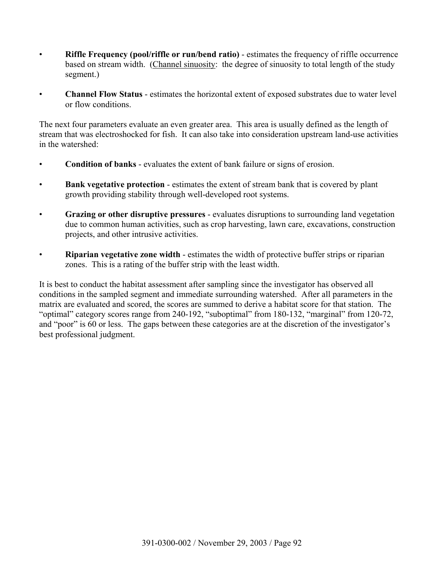- **Riffle Frequency (pool/riffle or run/bend ratio)** estimates the frequency of riffle occurrence based on stream width. (Channel sinuosity: the degree of sinuosity to total length of the study segment.)
- **Channel Flow Status** estimates the horizontal extent of exposed substrates due to water level or flow conditions.

The next four parameters evaluate an even greater area. This area is usually defined as the length of stream that was electroshocked for fish. It can also take into consideration upstream land-use activities in the watershed:

- **Condition of banks** evaluates the extent of bank failure or signs of erosion.
- **Bank vegetative protection** estimates the extent of stream bank that is covered by plant growth providing stability through well-developed root systems.
- **Grazing or other disruptive pressures** evaluates disruptions to surrounding land vegetation due to common human activities, such as crop harvesting, lawn care, excavations, construction projects, and other intrusive activities.
- **Riparian vegetative zone width** estimates the width of protective buffer strips or riparian zones. This is a rating of the buffer strip with the least width.

It is best to conduct the habitat assessment after sampling since the investigator has observed all conditions in the sampled segment and immediate surrounding watershed. After all parameters in the matrix are evaluated and scored, the scores are summed to derive a habitat score for that station. The "optimal" category scores range from 240-192, "suboptimal" from 180-132, "marginal" from 120-72, and "poor" is 60 or less. The gaps between these categories are at the discretion of the investigator's best professional judgment.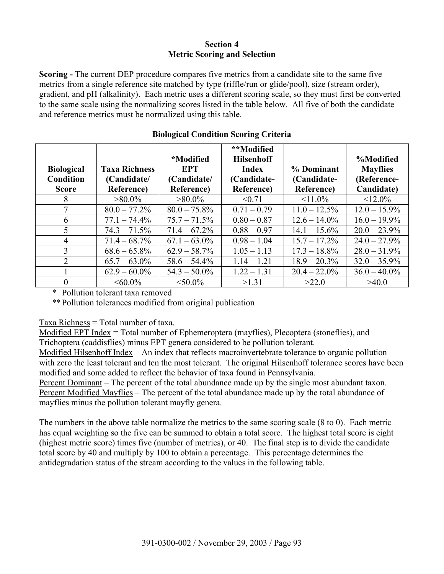### **Section 4 Metric Scoring and Selection**

**Scoring -** The current DEP procedure compares five metrics from a candidate site to the same five metrics from a single reference site matched by type (riffle/run or glide/pool), size (stream order), gradient, and pH (alkalinity). Each metric uses a different scoring scale, so they must first be converted to the same scale using the normalizing scores listed in the table below. All five of both the candidate and reference metrics must be normalized using this table.

| <b>Biological</b><br><b>Condition</b> | <b>Taxa Richness</b><br>(Candidate/ | <i><b>*Modified</b></i><br><b>EPT</b><br>(Candidate/ | **Modified<br><b>Hilsenhoff</b><br><b>Index</b><br>(Candidate- | % Dominant<br>(Candidate- | %Modified<br><b>Mayflies</b><br>(Reference- |
|---------------------------------------|-------------------------------------|------------------------------------------------------|----------------------------------------------------------------|---------------------------|---------------------------------------------|
| <b>Score</b>                          | <b>Reference</b> )                  | <b>Reference</b> )                                   | <b>Reference</b> )                                             | Reference)                | Candidate)                                  |
| 8                                     | $>80.0\%$                           | $>80.0\%$                                            | < 0.71                                                         | $11.0\%$                  | $12.0\%$                                    |
| 7                                     | $80.0 - 77.2\%$                     | $80.0 - 75.8\%$                                      | $0.71 - 0.79$                                                  | $11.0 - 12.5\%$           | $12.0 - 15.9\%$                             |
| 6                                     | $77.1 - 74.4\%$                     | $75.7 - 71.5\%$                                      | $0.80 - 0.87$                                                  | $12.6 - 14.0\%$           | $16.0 - 19.9\%$                             |
| 5                                     | $74.3 - 71.5\%$                     | $71.4 - 67.2\%$                                      | $0.88 - 0.97$                                                  | $14.1 - 15.6\%$           | $20.0 - 23.9\%$                             |
| $\overline{4}$                        | $71.4 - 68.7\%$                     | $67.1 - 63.0\%$                                      | $0.98 - 1.04$                                                  | $15.7 - 17.2\%$           | $24.0 - 27.9\%$                             |
| 3                                     | $68.6 - 65.8\%$                     | $62.9 - 58.7\%$                                      | $1.05 - 1.13$                                                  | $17.3 - 18.8\%$           | $28.0 - 31.9\%$                             |
| 2                                     | $65.7 - 63.0\%$                     | $58.6 - 54.4\%$                                      | $1.14 - 1.21$                                                  | $18.9 - 20.3\%$           | $32.0 - 35.9\%$                             |
|                                       | $62.9 - 60.0\%$                     | $54.3 - 50.0\%$                                      | $1.22 - 1.31$                                                  | $20.4 - 22.0\%$           | $36.0 - 40.0\%$                             |
| $\theta$                              | $<60.0\%$                           | $<$ 50.0%                                            | >1.31                                                          | >22.0                     | >40.0                                       |

# **Biological Condition Scoring Criteria**

\* Pollution tolerant taxa removed

\*\* Pollution tolerances modified from original publication

Taxa Richness = Total number of taxa.

Modified EPT Index = Total number of Ephemeroptera (mayflies), Plecoptera (stoneflies), and Trichoptera (caddisflies) minus EPT genera considered to be pollution tolerant.

Modified Hilsenhoff Index – An index that reflects macroinvertebrate tolerance to organic pollution with zero the least tolerant and ten the most tolerant. The original Hilsenhoff tolerance scores have been modified and some added to reflect the behavior of taxa found in Pennsylvania.

Percent Dominant – The percent of the total abundance made up by the single most abundant taxon. Percent Modified Mayflies – The percent of the total abundance made up by the total abundance of mayflies minus the pollution tolerant mayfly genera.

The numbers in the above table normalize the metrics to the same scoring scale (8 to 0). Each metric has equal weighting so the five can be summed to obtain a total score. The highest total score is eight (highest metric score) times five (number of metrics), or 40. The final step is to divide the candidate total score by 40 and multiply by 100 to obtain a percentage. This percentage determines the antidegradation status of the stream according to the values in the following table.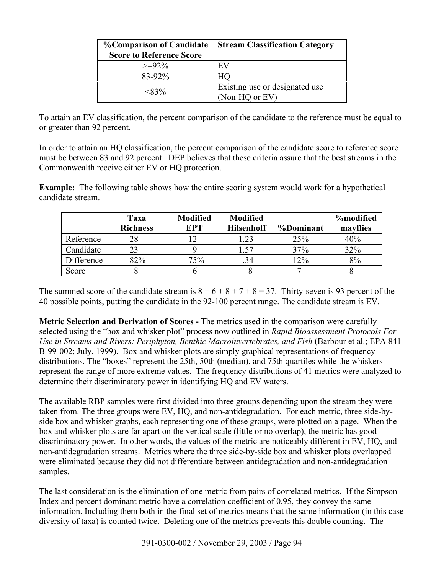| <b>%Comparison of Candidate</b><br><b>Score to Reference Score</b> | <b>Stream Classification Category</b>            |
|--------------------------------------------------------------------|--------------------------------------------------|
| $>=92\%$                                                           | EV                                               |
| $83-92\%$                                                          | HO                                               |
| $<$ 83%                                                            | Existing use or designated use<br>(Non-HQ or EV) |

To attain an EV classification, the percent comparison of the candidate to the reference must be equal to or greater than 92 percent.

In order to attain an HQ classification, the percent comparison of the candidate score to reference score must be between 83 and 92 percent. DEP believes that these criteria assure that the best streams in the Commonwealth receive either EV or HQ protection.

**Example:** The following table shows how the entire scoring system would work for a hypothetical candidate stream.

|            | Taxa<br><b>Richness</b> | <b>Modified</b><br><b>EPT</b> | <b>Modified</b><br><b>Hilsenhoff</b> | %Dominant | <b>%modified</b><br>mayflies |
|------------|-------------------------|-------------------------------|--------------------------------------|-----------|------------------------------|
| Reference  | 28                      |                               | 1.23                                 | 25%       | 40%                          |
| Candidate  | 23                      |                               | 1.57                                 | 37%       | 32%                          |
| Difference | 82%                     | 75%                           | .34                                  | 12%       | 8%                           |
| Score      |                         |                               |                                      |           |                              |

The summed score of the candidate stream is  $8 + 6 + 8 + 7 + 8 = 37$ . Thirty-seven is 93 percent of the 40 possible points, putting the candidate in the 92-100 percent range. The candidate stream is EV.

**Metric Selection and Derivation of Scores -** The metrics used in the comparison were carefully selected using the "box and whisker plot" process now outlined in *Rapid Bioassessment Protocols For Use in Streams and Rivers: Periphyton, Benthic Macroinvertebrates, and Fish* (Barbour et al.; EPA 841- B-99-002; July, 1999). Box and whisker plots are simply graphical representations of frequency distributions. The "boxes" represent the 25th, 50th (median), and 75th quartiles while the whiskers represent the range of more extreme values. The frequency distributions of 41 metrics were analyzed to determine their discriminatory power in identifying HQ and EV waters.

The available RBP samples were first divided into three groups depending upon the stream they were taken from. The three groups were EV, HQ, and non-antidegradation. For each metric, three side-byside box and whisker graphs, each representing one of these groups, were plotted on a page. When the box and whisker plots are far apart on the vertical scale (little or no overlap), the metric has good discriminatory power. In other words, the values of the metric are noticeably different in EV, HQ, and non-antidegradation streams. Metrics where the three side-by-side box and whisker plots overlapped were eliminated because they did not differentiate between antidegradation and non-antidegradation samples.

The last consideration is the elimination of one metric from pairs of correlated metrics. If the Simpson Index and percent dominant metric have a correlation coefficient of 0.95, they convey the same information. Including them both in the final set of metrics means that the same information (in this case diversity of taxa) is counted twice. Deleting one of the metrics prevents this double counting. The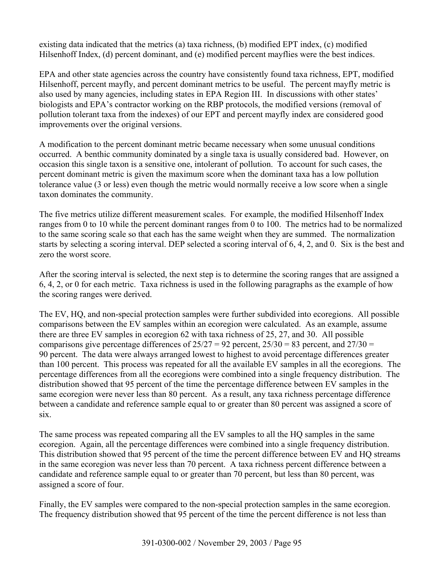existing data indicated that the metrics (a) taxa richness, (b) modified EPT index, (c) modified Hilsenhoff Index, (d) percent dominant, and (e) modified percent mayflies were the best indices.

EPA and other state agencies across the country have consistently found taxa richness, EPT, modified Hilsenhoff, percent mayfly, and percent dominant metrics to be useful. The percent mayfly metric is also used by many agencies, including states in EPA Region III. In discussions with other states' biologists and EPA's contractor working on the RBP protocols, the modified versions (removal of pollution tolerant taxa from the indexes) of our EPT and percent mayfly index are considered good improvements over the original versions.

A modification to the percent dominant metric became necessary when some unusual conditions occurred. A benthic community dominated by a single taxa is usually considered bad. However, on occasion this single taxon is a sensitive one, intolerant of pollution. To account for such cases, the percent dominant metric is given the maximum score when the dominant taxa has a low pollution tolerance value (3 or less) even though the metric would normally receive a low score when a single taxon dominates the community.

The five metrics utilize different measurement scales. For example, the modified Hilsenhoff Index ranges from 0 to 10 while the percent dominant ranges from 0 to 100. The metrics had to be normalized to the same scoring scale so that each has the same weight when they are summed. The normalization starts by selecting a scoring interval. DEP selected a scoring interval of 6, 4, 2, and 0. Six is the best and zero the worst score.

After the scoring interval is selected, the next step is to determine the scoring ranges that are assigned a 6, 4, 2, or 0 for each metric. Taxa richness is used in the following paragraphs as the example of how the scoring ranges were derived.

The EV, HQ, and non-special protection samples were further subdivided into ecoregions. All possible comparisons between the EV samples within an ecoregion were calculated. As an example, assume there are three EV samples in ecoregion 62 with taxa richness of 25, 27, and 30. All possible comparisons give percentage differences of  $25/27 = 92$  percent,  $25/30 = 83$  percent, and  $27/30 =$ 90 percent. The data were always arranged lowest to highest to avoid percentage differences greater than 100 percent. This process was repeated for all the available EV samples in all the ecoregions. The percentage differences from all the ecoregions were combined into a single frequency distribution. The distribution showed that 95 percent of the time the percentage difference between EV samples in the same ecoregion were never less than 80 percent. As a result, any taxa richness percentage difference between a candidate and reference sample equal to or greater than 80 percent was assigned a score of six.

The same process was repeated comparing all the EV samples to all the HQ samples in the same ecoregion. Again, all the percentage differences were combined into a single frequency distribution. This distribution showed that 95 percent of the time the percent difference between EV and HQ streams in the same ecoregion was never less than 70 percent. A taxa richness percent difference between a candidate and reference sample equal to or greater than 70 percent, but less than 80 percent, was assigned a score of four.

Finally, the EV samples were compared to the non-special protection samples in the same ecoregion. The frequency distribution showed that 95 percent of the time the percent difference is not less than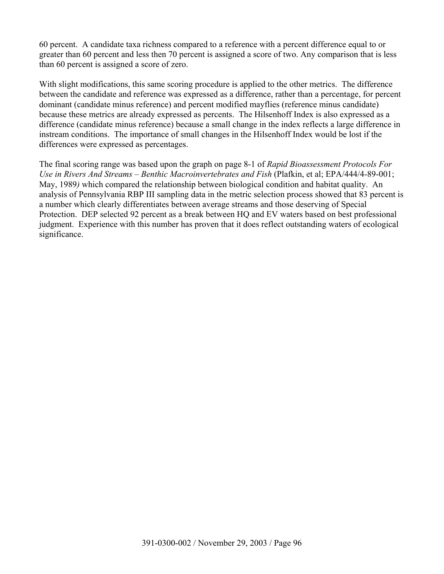60 percent. A candidate taxa richness compared to a reference with a percent difference equal to or greater than 60 percent and less then 70 percent is assigned a score of two. Any comparison that is less than 60 percent is assigned a score of zero.

With slight modifications, this same scoring procedure is applied to the other metrics. The difference between the candidate and reference was expressed as a difference, rather than a percentage, for percent dominant (candidate minus reference) and percent modified mayflies (reference minus candidate) because these metrics are already expressed as percents. The Hilsenhoff Index is also expressed as a difference (candidate minus reference) because a small change in the index reflects a large difference in instream conditions. The importance of small changes in the Hilsenhoff Index would be lost if the differences were expressed as percentages.

The final scoring range was based upon the graph on page 8-1 of *Rapid Bioassessment Protocols For Use in Rivers And Streams – Benthic Macroinvertebrates and Fish* (Plafkin, et al; EPA/444/4-89-001; May, 1989*)* which compared the relationship between biological condition and habitat quality. An analysis of Pennsylvania RBP III sampling data in the metric selection process showed that 83 percent is a number which clearly differentiates between average streams and those deserving of Special Protection. DEP selected 92 percent as a break between HQ and EV waters based on best professional judgment. Experience with this number has proven that it does reflect outstanding waters of ecological significance.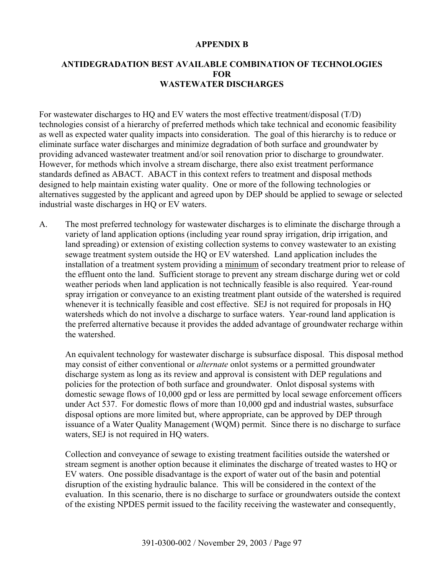#### **APPENDIX B**

### **ANTIDEGRADATION BEST AVAILABLE COMBINATION OF TECHNOLOGIES FOR WASTEWATER DISCHARGES**

For wastewater discharges to HQ and EV waters the most effective treatment/disposal (T/D) technologies consist of a hierarchy of preferred methods which take technical and economic feasibility as well as expected water quality impacts into consideration. The goal of this hierarchy is to reduce or eliminate surface water discharges and minimize degradation of both surface and groundwater by providing advanced wastewater treatment and/or soil renovation prior to discharge to groundwater. However, for methods which involve a stream discharge, there also exist treatment performance standards defined as ABACT. ABACT in this context refers to treatment and disposal methods designed to help maintain existing water quality. One or more of the following technologies or alternatives suggested by the applicant and agreed upon by DEP should be applied to sewage or selected industrial waste discharges in HQ or EV waters.

A. The most preferred technology for wastewater discharges is to eliminate the discharge through a variety of land application options (including year round spray irrigation, drip irrigation, and land spreading) or extension of existing collection systems to convey wastewater to an existing sewage treatment system outside the HQ or EV watershed. Land application includes the installation of a treatment system providing a minimum of secondary treatment prior to release of the effluent onto the land. Sufficient storage to prevent any stream discharge during wet or cold weather periods when land application is not technically feasible is also required. Year-round spray irrigation or conveyance to an existing treatment plant outside of the watershed is required whenever it is technically feasible and cost effective. SEJ is not required for proposals in HQ watersheds which do not involve a discharge to surface waters. Year-round land application is the preferred alternative because it provides the added advantage of groundwater recharge within the watershed.

An equivalent technology for wastewater discharge is subsurface disposal. This disposal method may consist of either conventional or *alternate* onlot systems or a permitted groundwater discharge system as long as its review and approval is consistent with DEP regulations and policies for the protection of both surface and groundwater. Onlot disposal systems with domestic sewage flows of 10,000 gpd or less are permitted by local sewage enforcement officers under Act 537. For domestic flows of more than 10,000 gpd and industrial wastes, subsurface disposal options are more limited but, where appropriate, can be approved by DEP through issuance of a Water Quality Management (WQM) permit. Since there is no discharge to surface waters, SEJ is not required in HQ waters.

Collection and conveyance of sewage to existing treatment facilities outside the watershed or stream segment is another option because it eliminates the discharge of treated wastes to HQ or EV waters. One possible disadvantage is the export of water out of the basin and potential disruption of the existing hydraulic balance. This will be considered in the context of the evaluation. In this scenario, there is no discharge to surface or groundwaters outside the context of the existing NPDES permit issued to the facility receiving the wastewater and consequently,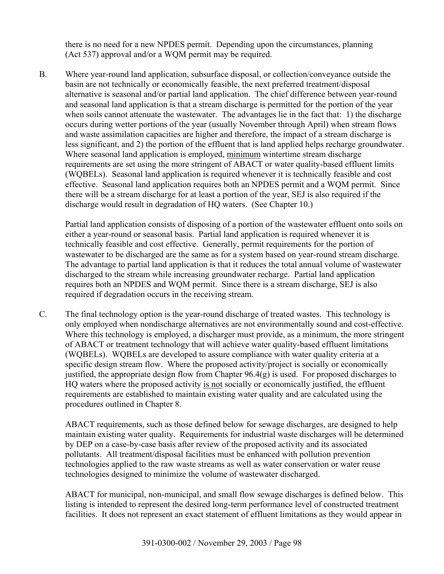there is no need for a new NPDES permit. Depending upon the circumstances, planning (Act 537) approval and/or a WQM permit may be required.

B. Where year-round land application, subsurface disposal, or collection/conveyance outside the basin are not technically or economically feasible, the next preferred treatment/disposal alternative is seasonal and/or partial land application. The chief difference between year-round and seasonal land application is that a stream discharge is permitted for the portion of the year when soils cannot attenuate the wastewater. The advantages lie in the fact that: 1) the discharge occurs during wetter portions of the year (usually November through April) when stream flows and waste assimilation capacities are higher and therefore, the impact of a stream discharge is less significant, and 2) the portion of the effluent that is land applied helps recharge groundwater. Where seasonal land application is employed, minimum wintertime stream discharge requirements are set using the more stringent of ABACT or water quality-based effluent limits (WQBELs). Seasonal land application is required whenever it is technically feasible and cost effective. Seasonal land application requires both an NPDES permit and a WQM permit. Since there will be a stream discharge for at least a portion of the year, SEJ is also required if the discharge would result in degradation of HQ waters. (See Chapter 10.)

Partial land application consists of disposing of a portion of the wastewater effluent onto soils on either a year-round or seasonal basis. Partial land application is required whenever it is technically feasible and cost effective. Generally, permit requirements for the portion of wastewater to be discharged are the same as for a system based on year-round stream discharge. The advantage to partial land application is that it reduces the total annual volume of wastewater discharged to the stream while increasing groundwater recharge. Partial land application requires both an NPDES and WQM permit. Since there is a stream discharge, SEJ is also required if degradation occurs in the receiving stream.

C. The final technology option is the year-round discharge of treated wastes. This technology is only employed when nondischarge alternatives are not environmentally sound and cost-effective. Where this technology is employed, a discharger must provide, as a minimum, the more stringent of ABACT or treatment technology that will achieve water quality-based effluent limitations (WQBELs). WQBELs are developed to assure compliance with water quality criteria at a specific design stream flow. Where the proposed activity/project is socially or economically justified, the appropriate design flow from Chapter  $96.4(g)$  is used. For proposed discharges to HQ waters where the proposed activity is not socially or economically justified, the effluent requirements are established to maintain existing water quality and are calculated using the procedures outlined in Chapter 8.

ABACT requirements, such as those defined below for sewage discharges, are designed to help maintain existing water quality. Requirements for industrial waste discharges will be determined by DEP on a case-by-case basis after review of the proposed activity and its associated pollutants. All treatment/disposal facilities must be enhanced with pollution prevention technologies applied to the raw waste streams as well as water conservation or water reuse technologies designed to minimize the volume of wastewater discharged.

ABACT for municipal, non-municipal, and small flow sewage discharges is defined below. This listing is intended to represent the desired long-term performance level of constructed treatment facilities. It does not represent an exact statement of effluent limitations as they would appear in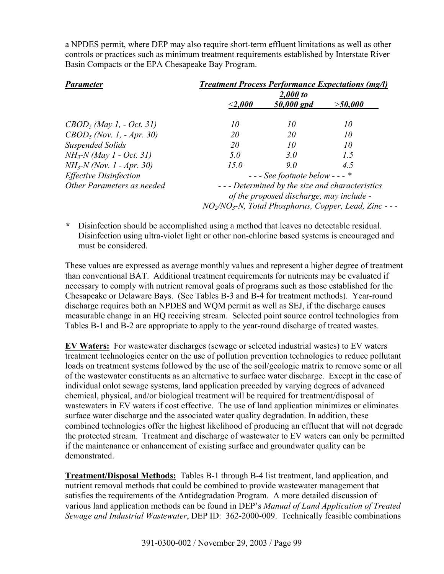a NPDES permit, where DEP may also require short-term effluent limitations as well as other controls or practices such as minimum treatment requirements established by Interstate River Basin Compacts or the EPA Chesapeake Bay Program.

| <b>Parameter</b>                        | <b>Treatment Process Performance Expectations (mg/l)</b> |            |                                                                                 |  |
|-----------------------------------------|----------------------------------------------------------|------------|---------------------------------------------------------------------------------|--|
|                                         |                                                          | 2,000 to   |                                                                                 |  |
|                                         | $<$ 2,000 $\,$                                           | 50,000 gpd | $>$ 50,000                                                                      |  |
| $CBOD5$ (May 1, - Oct. 31)              | 10                                                       | 10         | 10                                                                              |  |
| $CBOD$ <sub>5</sub> (Nov. 1, - Apr. 30) | 20                                                       | 20         | 10                                                                              |  |
| <b>Suspended Solids</b>                 | 20                                                       | 10         | 10                                                                              |  |
| $NH_{3}N$ (May 1 - Oct. 31)             | 5.0                                                      | 3.0        | 1.5                                                                             |  |
| $NH_{3}N$ (Nov. 1 - Apr. 30)            | 15.0                                                     | 9.0        | 4.5                                                                             |  |
| <b>Effective Disinfection</b>           | $---$ See footnote below $---$ *                         |            |                                                                                 |  |
| Other Parameters as needed              | --- Determined by the size and characteristics           |            |                                                                                 |  |
|                                         | of the proposed discharge, may include -                 |            |                                                                                 |  |
|                                         |                                                          |            | NO <sub>2</sub> /NO <sub>3</sub> -N, Total Phosphorus, Copper, Lead, Zinc - - - |  |

*\** Disinfection should be accomplished using a method that leaves no detectable residual. Disinfection using ultra-violet light or other non-chlorine based systems is encouraged and must be considered.

These values are expressed as average monthly values and represent a higher degree of treatment than conventional BAT. Additional treatment requirements for nutrients may be evaluated if necessary to comply with nutrient removal goals of programs such as those established for the Chesapeake or Delaware Bays. (See Tables B-3 and B-4 for treatment methods). Year-round discharge requires both an NPDES and WQM permit as well as SEJ, if the discharge causes measurable change in an HQ receiving stream.Selected point source control technologies from Tables B-1 and B-2 are appropriate to apply to the year-round discharge of treated wastes.

**EV Waters:** For wastewater discharges (sewage or selected industrial wastes) to EV waters treatment technologies center on the use of pollution prevention technologies to reduce pollutant loads on treatment systems followed by the use of the soil/geologic matrix to remove some or all of the wastewater constituents as an alternative to surface water discharge. Except in the case of individual onlot sewage systems, land application preceded by varying degrees of advanced chemical, physical, and/or biological treatment will be required for treatment/disposal of wastewaters in EV waters if cost effective. The use of land application minimizes or eliminates surface water discharge and the associated water quality degradation. In addition, these combined technologies offer the highest likelihood of producing an effluent that will not degrade the protected stream. Treatment and discharge of wastewater to EV waters can only be permitted if the maintenance or enhancement of existing surface and groundwater quality can be demonstrated.

**Treatment/Disposal Methods:** Tables B-1 through B-4 list treatment, land application, and nutrient removal methods that could be combined to provide wastewater management that satisfies the requirements of the Antidegradation Program. A more detailed discussion of various land application methods can be found in DEP's *Manual of Land Application of Treated Sewage and Industrial Wastewater*, DEP ID: 362-2000-009. Technically feasible combinations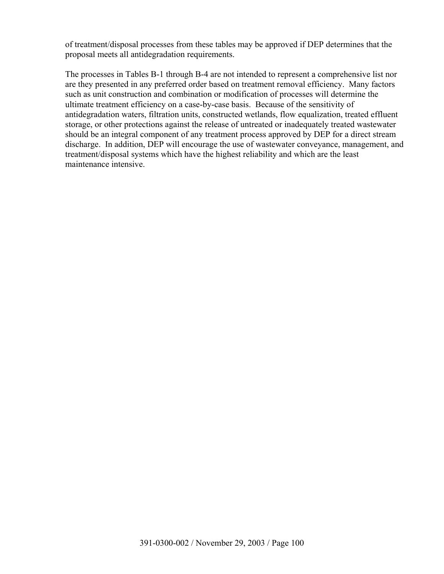of treatment/disposal processes from these tables may be approved if DEP determines that the proposal meets all antidegradation requirements.

The processes in Tables B-1 through B-4 are not intended to represent a comprehensive list nor are they presented in any preferred order based on treatment removal efficiency. Many factors such as unit construction and combination or modification of processes will determine the ultimate treatment efficiency on a case-by-case basis. Because of the sensitivity of antidegradation waters, filtration units, constructed wetlands, flow equalization, treated effluent storage, or other protections against the release of untreated or inadequately treated wastewater should be an integral component of any treatment process approved by DEP for a direct stream discharge. In addition, DEP will encourage the use of wastewater conveyance, management, and treatment/disposal systems which have the highest reliability and which are the least maintenance intensive.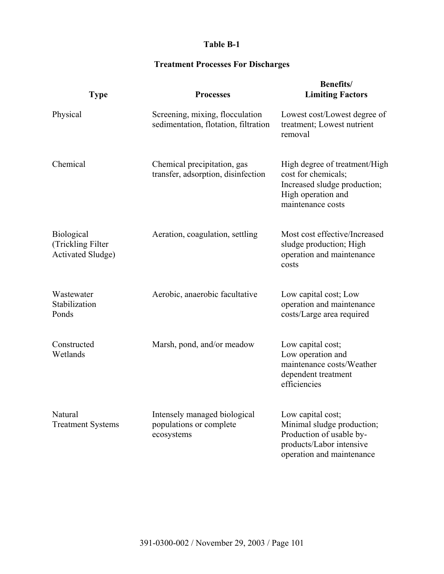# **Table B-1**

# **Treatment Processes For Discharges**

| <b>Type</b>                                                        | <b>Processes</b>                                                        | <b>Benefits/</b><br><b>Limiting Factors</b>                                                                                          |
|--------------------------------------------------------------------|-------------------------------------------------------------------------|--------------------------------------------------------------------------------------------------------------------------------------|
| Physical                                                           | Screening, mixing, flocculation<br>sedimentation, flotation, filtration | Lowest cost/Lowest degree of<br>treatment; Lowest nutrient<br>removal                                                                |
| Chemical                                                           | Chemical precipitation, gas<br>transfer, adsorption, disinfection       | High degree of treatment/High<br>cost for chemicals;<br>Increased sludge production;<br>High operation and<br>maintenance costs      |
| <b>Biological</b><br>(Trickling Filter<br><b>Activated Sludge)</b> | Aeration, coagulation, settling                                         | Most cost effective/Increased<br>sludge production; High<br>operation and maintenance<br>costs                                       |
| Wastewater<br>Stabilization<br>Ponds                               | Aerobic, anaerobic facultative                                          | Low capital cost; Low<br>operation and maintenance<br>costs/Large area required                                                      |
| Constructed<br>Wetlands                                            | Marsh, pond, and/or meadow                                              | Low capital cost;<br>Low operation and<br>maintenance costs/Weather<br>dependent treatment<br>efficiencies                           |
| Natural<br><b>Treatment Systems</b>                                | Intensely managed biological<br>populations or complete<br>ecosystems   | Low capital cost;<br>Minimal sludge production;<br>Production of usable by-<br>products/Labor intensive<br>operation and maintenance |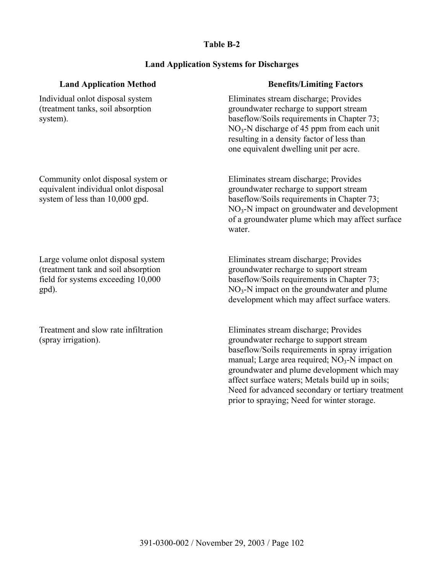### **Table B-2**

#### **Land Application Systems for Discharges**

| <b>Land Application Method</b>                                                                                | <b>Benefits/Limiting Factors</b>                                                                                                                                                                                                                                     |
|---------------------------------------------------------------------------------------------------------------|----------------------------------------------------------------------------------------------------------------------------------------------------------------------------------------------------------------------------------------------------------------------|
| Individual onlot disposal system<br>(treatment tanks, soil absorption<br>system).                             | Eliminates stream discharge; Provides<br>groundwater recharge to support stream<br>baseflow/Soils requirements in Chapter 73;<br>$NO3$ -N discharge of 45 ppm from each unit<br>resulting in a density factor of less than<br>one equivalent dwelling unit per acre. |
| Community onlot disposal system or<br>equivalent individual onlot disposal<br>system of less than 10,000 gpd. | Eliminates stream discharge; Provides<br>groundwater recharge to support stream<br>baseflow/Soils requirements in Chapter 73;                                                                                                                                        |

Large volume onlot disposal system (treatment tank and soil absorption field for systems exceeding 10,000 gpd).

Treatment and slow rate infiltration (spray irrigation).

baseflow/Soils requirements in Chapter 73; NO3-N impact on groundwater and development of a groundwater plume which may affect surface water.

 Eliminates stream discharge; Provides groundwater recharge to support stream baseflow/Soils requirements in Chapter 73;  $NO<sub>3</sub>$ -N impact on the groundwater and plume development which may affect surface waters.

 Eliminates stream discharge; Provides groundwater recharge to support stream baseflow/Soils requirements in spray irrigation manual; Large area required;  $NO<sub>3</sub>$ -N impact on groundwater and plume development which may affect surface waters; Metals build up in soils; Need for advanced secondary or tertiary treatment prior to spraying; Need for winter storage.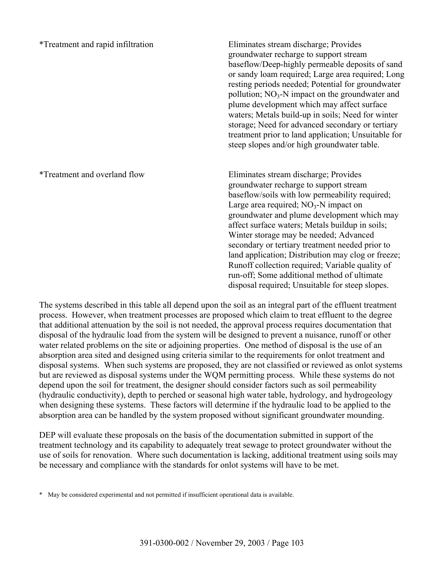\*Treatment and rapid infiltration Eliminates stream discharge; Provides groundwater recharge to support stream baseflow/Deep-highly permeable deposits of sand or sandy loam required; Large area required; Long resting periods needed; Potential for groundwater pollution;  $NO<sub>3</sub>-N$  impact on the groundwater and plume development which may affect surface waters; Metals build-up in soils; Need for winter storage; Need for advanced secondary or tertiary treatment prior to land application; Unsuitable for steep slopes and/or high groundwater table.

\*Treatment and overland flow Eliminates stream discharge; Provides groundwater recharge to support stream baseflow/soils with low permeability required; Large area required;  $NO<sub>3</sub>-N$  impact on groundwater and plume development which may affect surface waters; Metals buildup in soils; Winter storage may be needed; Advanced secondary or tertiary treatment needed prior to land application; Distribution may clog or freeze; Runoff collection required; Variable quality of run-off; Some additional method of ultimate disposal required; Unsuitable for steep slopes.

The systems described in this table all depend upon the soil as an integral part of the effluent treatment process. However, when treatment processes are proposed which claim to treat effluent to the degree that additional attenuation by the soil is not needed, the approval process requires documentation that disposal of the hydraulic load from the system will be designed to prevent a nuisance, runoff or other water related problems on the site or adjoining properties. One method of disposal is the use of an absorption area sited and designed using criteria similar to the requirements for onlot treatment and disposal systems. When such systems are proposed, they are not classified or reviewed as onlot systems but are reviewed as disposal systems under the WQM permitting process. While these systems do not depend upon the soil for treatment, the designer should consider factors such as soil permeability (hydraulic conductivity), depth to perched or seasonal high water table, hydrology, and hydrogeology when designing these systems. These factors will determine if the hydraulic load to be applied to the absorption area can be handled by the system proposed without significant groundwater mounding.

DEP will evaluate these proposals on the basis of the documentation submitted in support of the treatment technology and its capability to adequately treat sewage to protect groundwater without the use of soils for renovation. Where such documentation is lacking, additional treatment using soils may be necessary and compliance with the standards for onlot systems will have to be met.

<sup>\*</sup> May be considered experimental and not permitted if insufficient operational data is available.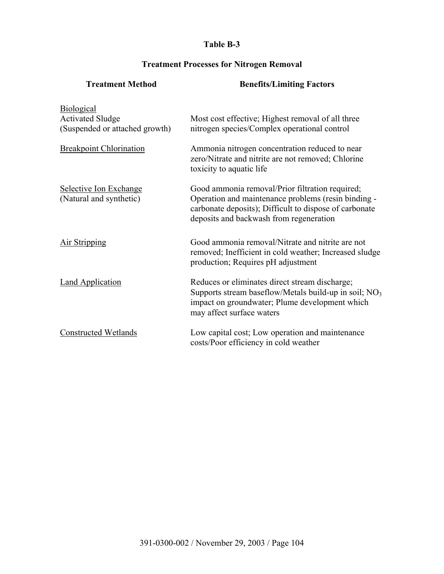# **Table B-3**

# **Treatment Processes for Nitrogen Removal**

| <b>Treatment Method</b>                                                        | <b>Benefits/Limiting Factors</b>                                                                                                                                                                            |
|--------------------------------------------------------------------------------|-------------------------------------------------------------------------------------------------------------------------------------------------------------------------------------------------------------|
| <b>Biological</b><br><b>Activated Sludge</b><br>(Suspended or attached growth) | Most cost effective; Highest removal of all three<br>nitrogen species/Complex operational control                                                                                                           |
| <b>Breakpoint Chlorination</b>                                                 | Ammonia nitrogen concentration reduced to near<br>zero/Nitrate and nitrite are not removed; Chlorine<br>toxicity to aquatic life                                                                            |
| Selective Ion Exchange<br>(Natural and synthetic)                              | Good ammonia removal/Prior filtration required;<br>Operation and maintenance problems (resin binding -<br>carbonate deposits); Difficult to dispose of carbonate<br>deposits and backwash from regeneration |
| <b>Air Stripping</b>                                                           | Good ammonia removal/Nitrate and nitrite are not<br>removed; Inefficient in cold weather; Increased sludge<br>production; Requires pH adjustment                                                            |
| <b>Land Application</b>                                                        | Reduces or eliminates direct stream discharge;<br>Supports stream baseflow/Metals build-up in soil; $NO3$<br>impact on groundwater; Plume development which<br>may affect surface waters                    |
| <b>Constructed Wetlands</b>                                                    | Low capital cost; Low operation and maintenance<br>costs/Poor efficiency in cold weather                                                                                                                    |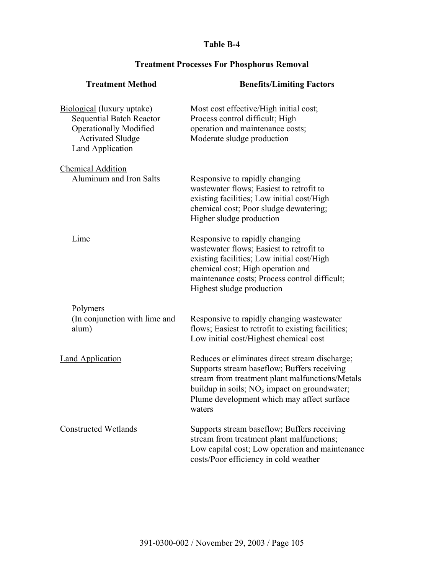## **Table B-4**

## **Treatment Method Benefits/Limiting Factors** Biological (luxury uptake) Sequential Batch Reactor Operationally Modified Activated Sludge Land Application Most cost effective/High initial cost; Process control difficult; High operation and maintenance costs; Moderate sludge production Chemical Addition Aluminum and Iron Salts Responsive to rapidly changing wastewater flows; Easiest to retrofit to existing facilities; Low initial cost/High chemical cost; Poor sludge dewatering; Higher sludge production Lime Responsive to rapidly changing wastewater flows; Easiest to retrofit to existing facilities; Low initial cost/High chemical cost; High operation and maintenance costs; Process control difficult; Highest sludge production Polymers (In conjunction with lime and alum) Responsive to rapidly changing wastewater flows; Easiest to retrofit to existing facilities; Low initial cost/Highest chemical cost Land Application Reduces or eliminates direct stream discharge; Supports stream baseflow; Buffers receiving stream from treatment plant malfunctions/Metals buildup in soils;  $NO<sub>3</sub>$  impact on groundwater; Plume development which may affect surface waters Constructed Wetlands Supports stream baseflow; Buffers receiving stream from treatment plant malfunctions; Low capital cost; Low operation and maintenance costs/Poor efficiency in cold weather

#### **Treatment Processes For Phosphorus Removal**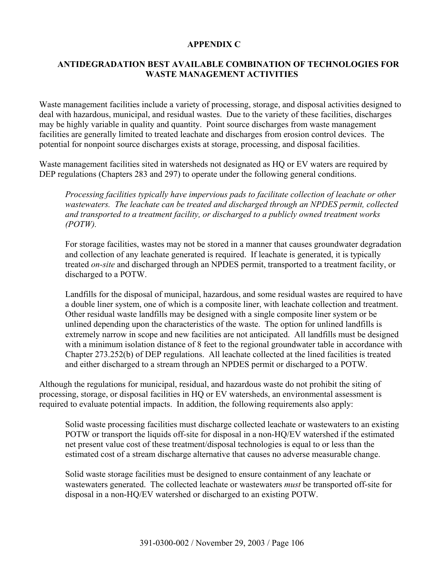### **APPENDIX C**

## **ANTIDEGRADATION BEST AVAILABLE COMBINATION OF TECHNOLOGIES FOR WASTE MANAGEMENT ACTIVITIES**

Waste management facilities include a variety of processing, storage, and disposal activities designed to deal with hazardous, municipal, and residual wastes. Due to the variety of these facilities, discharges may be highly variable in quality and quantity. Point source discharges from waste management facilities are generally limited to treated leachate and discharges from erosion control devices. The potential for nonpoint source discharges exists at storage, processing, and disposal facilities.

Waste management facilities sited in watersheds not designated as HQ or EV waters are required by DEP regulations (Chapters 283 and 297) to operate under the following general conditions.

*Processing facilities typically have impervious pads to facilitate collection of leachate or other wastewaters. The leachate can be treated and discharged through an NPDES permit, collected and transported to a treatment facility, or discharged to a publicly owned treatment works (POTW).* 

For storage facilities, wastes may not be stored in a manner that causes groundwater degradation and collection of any leachate generated is required. If leachate is generated, it is typically treated *on-site* and discharged through an NPDES permit, transported to a treatment facility, or discharged to a POTW.

Landfills for the disposal of municipal, hazardous, and some residual wastes are required to have a double liner system, one of which is a composite liner, with leachate collection and treatment. Other residual waste landfills may be designed with a single composite liner system or be unlined depending upon the characteristics of the waste. The option for unlined landfills is extremely narrow in scope and new facilities are not anticipated. All landfills must be designed with a minimum isolation distance of 8 feet to the regional groundwater table in accordance with Chapter 273.252(b) of DEP regulations. All leachate collected at the lined facilities is treated and either discharged to a stream through an NPDES permit or discharged to a POTW.

Although the regulations for municipal, residual, and hazardous waste do not prohibit the siting of processing, storage, or disposal facilities in HQ or EV watersheds, an environmental assessment is required to evaluate potential impacts. In addition, the following requirements also apply:

Solid waste processing facilities must discharge collected leachate or wastewaters to an existing POTW or transport the liquids off-site for disposal in a non-HQ/EV watershed if the estimated net present value cost of these treatment/disposal technologies is equal to or less than the estimated cost of a stream discharge alternative that causes no adverse measurable change.

Solid waste storage facilities must be designed to ensure containment of any leachate or wastewaters generated. The collected leachate or wastewaters *must* be transported off-site for disposal in a non-HQ/EV watershed or discharged to an existing POTW.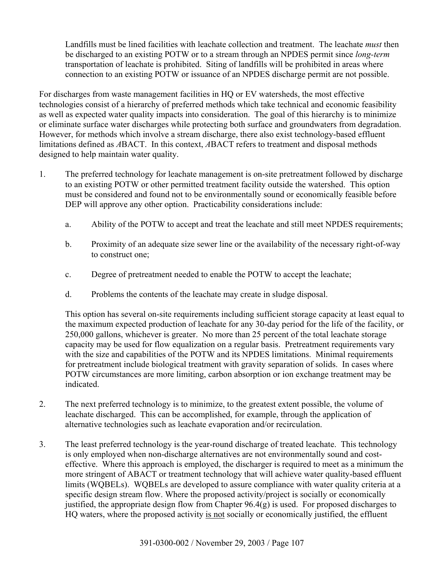Landfills must be lined facilities with leachate collection and treatment. The leachate *must* then be discharged to an existing POTW or to a stream through an NPDES permit since *long-term* transportation of leachate is prohibited. Siting of landfills will be prohibited in areas where connection to an existing POTW or issuance of an NPDES discharge permit are not possible.

For discharges from waste management facilities in HQ or EV watersheds, the most effective technologies consist of a hierarchy of preferred methods which take technical and economic feasibility as well as expected water quality impacts into consideration. The goal of this hierarchy is to minimize or eliminate surface water discharges while protecting both surface and groundwaters from degradation. However, for methods which involve a stream discharge, there also exist technology-based effluent limitations defined as *A*BACT. In this context, *A*BACT refers to treatment and disposal methods designed to help maintain water quality.

- 1. The preferred technology for leachate management is on-site pretreatment followed by discharge to an existing POTW or other permitted treatment facility outside the watershed. This option must be considered and found not to be environmentally sound or economically feasible before DEP will approve any other option. Practicability considerations include:
	- a. Ability of the POTW to accept and treat the leachate and still meet NPDES requirements;
	- b. Proximity of an adequate size sewer line or the availability of the necessary right-of-way to construct one;
	- c. Degree of pretreatment needed to enable the POTW to accept the leachate;
	- d. Problems the contents of the leachate may create in sludge disposal.

This option has several on-site requirements including sufficient storage capacity at least equal to the maximum expected production of leachate for any 30-day period for the life of the facility, or 250,000 gallons, whichever is greater. No more than 25 percent of the total leachate storage capacity may be used for flow equalization on a regular basis. Pretreatment requirements vary with the size and capabilities of the POTW and its NPDES limitations. Minimal requirements for pretreatment include biological treatment with gravity separation of solids. In cases where POTW circumstances are more limiting, carbon absorption or ion exchange treatment may be indicated.

- 2. The next preferred technology is to minimize, to the greatest extent possible, the volume of leachate discharged. This can be accomplished, for example, through the application of alternative technologies such as leachate evaporation and/or recirculation.
- 3. The least preferred technology is the year-round discharge of treated leachate. This technology is only employed when non-discharge alternatives are not environmentally sound and costeffective. Where this approach is employed, the discharger is required to meet as a minimum the more stringent of ABACT or treatment technology that will achieve water quality-based effluent limits (WQBELs). WQBELs are developed to assure compliance with water quality criteria at a specific design stream flow. Where the proposed activity/project is socially or economically justified, the appropriate design flow from Chapter  $96.4(g)$  is used. For proposed discharges to HQ waters, where the proposed activity is not socially or economically justified, the effluent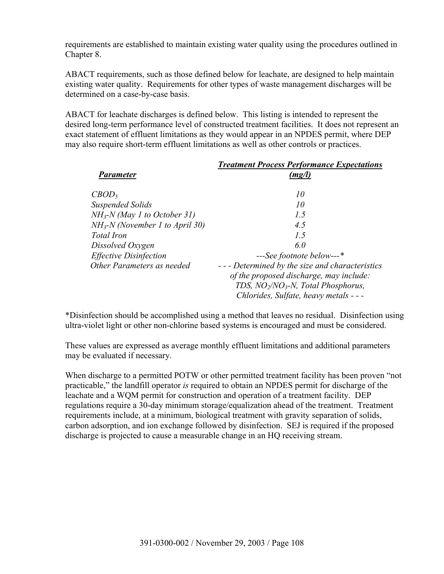requirements are established to maintain existing water quality using the procedures outlined in Chapter 8.

ABACT requirements, such as those defined below for leachate, are designed to help maintain existing water quality. Requirements for other types of waste management discharges will be determined on a case-by-case basis.

ABACT for leachate discharges is defined below. This listing is intended to represent the desired long-term performance level of constructed treatment facilities. It does not represent an exact statement of effluent limitations as they would appear in an NPDES permit, where DEP may also require short-term effluent limitations as well as other controls or practices.

| <b>Parameter</b>                 | <b>Treatment Process Performance Expectations</b><br>(mg/l) |
|----------------------------------|-------------------------------------------------------------|
|                                  |                                                             |
| CBOD <sub>5</sub>                | 10                                                          |
| <b>Suspended Solids</b>          | 10                                                          |
| $NH3-N$ (May 1 to October 31)    | 1.5                                                         |
| $NH3-N$ (November 1 to April 30) | 4.5                                                         |
| <b>Total Iron</b>                | 1.5                                                         |
| Dissolved Oxygen                 | 6.0                                                         |
| <b>Effective Disinfection</b>    | ---See footnote below---*                                   |
| Other Parameters as needed       | --- Determined by the size and characteristics              |
|                                  | of the proposed discharge, may include:                     |
|                                  | TDS, $NO_2/NO_3-N$ , Total Phosphorus,                      |
|                                  | Chlorides, Sulfate, heavy metals - - -                      |

\*Disinfection should be accomplished using a method that leaves no residual. Disinfection using ultra-violet light or other non-chlorine based systems is encouraged and must be considered.

These values are expressed as average monthly effluent limitations and additional parameters may be evaluated if necessary.

When discharge to a permitted POTW or other permitted treatment facility has been proven "not practicable," the landfill operator *is* required to obtain an NPDES permit for discharge of the leachate and a WQM permit for construction and operation of a treatment facility. DEP regulations require a 30-day minimum storage/equalization ahead of the treatment. Treatment requirements include, at a minimum, biological treatment with gravity separation of solids, carbon adsorption, and ion exchange followed by disinfection. SEJ is required if the proposed discharge is projected to cause a measurable change in an HQ receiving stream.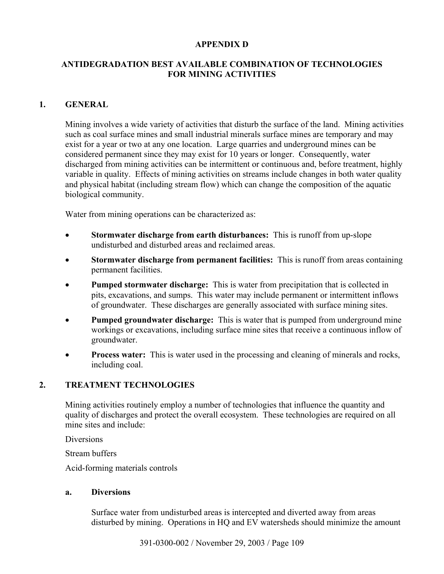## **APPENDIX D**

## **ANTIDEGRADATION BEST AVAILABLE COMBINATION OF TECHNOLOGIES FOR MINING ACTIVITIES**

## **1. GENERAL**

Mining involves a wide variety of activities that disturb the surface of the land. Mining activities such as coal surface mines and small industrial minerals surface mines are temporary and may exist for a year or two at any one location. Large quarries and underground mines can be considered permanent since they may exist for 10 years or longer. Consequently, water discharged from mining activities can be intermittent or continuous and, before treatment, highly variable in quality. Effects of mining activities on streams include changes in both water quality and physical habitat (including stream flow) which can change the composition of the aquatic biological community.

Water from mining operations can be characterized as:

- **Stormwater discharge from earth disturbances:** This is runoff from up-slope undisturbed and disturbed areas and reclaimed areas.
- **Stormwater discharge from permanent facilities:** This is runoff from areas containing permanent facilities.
- **Pumped stormwater discharge:** This is water from precipitation that is collected in pits, excavations, and sumps. This water may include permanent or intermittent inflows of groundwater. These discharges are generally associated with surface mining sites.
- **Pumped groundwater discharge:** This is water that is pumped from underground mine workings or excavations, including surface mine sites that receive a continuous inflow of groundwater.
- **Process water:** This is water used in the processing and cleaning of minerals and rocks, including coal.

## **2. TREATMENT TECHNOLOGIES**

Mining activities routinely employ a number of technologies that influence the quantity and quality of discharges and protect the overall ecosystem. These technologies are required on all mine sites and include:

**Diversions** 

Stream buffers

Acid-forming materials controls

#### **a. Diversions**

 Surface water from undisturbed areas is intercepted and diverted away from areas disturbed by mining. Operations in HQ and EV watersheds should minimize the amount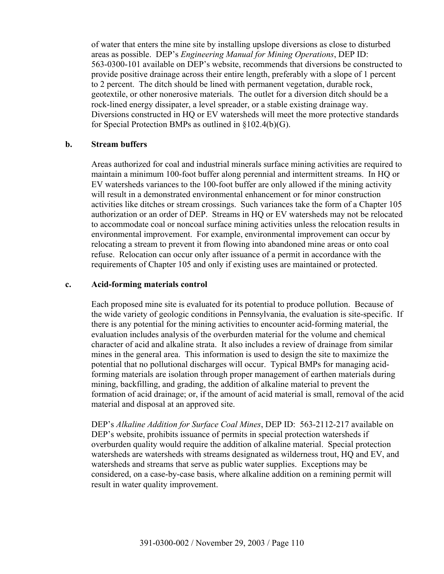of water that enters the mine site by installing upslope diversions as close to disturbed areas as possible. DEP's *Engineering Manual for Mining Operations*, DEP ID: 563-0300-101 available on DEP's website, recommends that diversions be constructed to provide positive drainage across their entire length, preferably with a slope of 1 percent to 2 percent. The ditch should be lined with permanent vegetation, durable rock, geotextile, or other nonerosive materials. The outlet for a diversion ditch should be a rock-lined energy dissipater, a level spreader, or a stable existing drainage way. Diversions constructed in HQ or EV watersheds will meet the more protective standards for Special Protection BMPs as outlined in §102.4(b)(G).

#### **b. Stream buffers**

Areas authorized for coal and industrial minerals surface mining activities are required to maintain a minimum 100-foot buffer along perennial and intermittent streams. In HQ or EV watersheds variances to the 100-foot buffer are only allowed if the mining activity will result in a demonstrated environmental enhancement or for minor construction activities like ditches or stream crossings. Such variances take the form of a Chapter 105 authorization or an order of DEP. Streams in HQ or EV watersheds may not be relocated to accommodate coal or noncoal surface mining activities unless the relocation results in environmental improvement. For example, environmental improvement can occur by relocating a stream to prevent it from flowing into abandoned mine areas or onto coal refuse. Relocation can occur only after issuance of a permit in accordance with the requirements of Chapter 105 and only if existing uses are maintained or protected.

#### **c. Acid-forming materials control**

Each proposed mine site is evaluated for its potential to produce pollution. Because of the wide variety of geologic conditions in Pennsylvania, the evaluation is site-specific. If there is any potential for the mining activities to encounter acid-forming material, the evaluation includes analysis of the overburden material for the volume and chemical character of acid and alkaline strata. It also includes a review of drainage from similar mines in the general area. This information is used to design the site to maximize the potential that no pollutional discharges will occur. Typical BMPs for managing acidforming materials are isolation through proper management of earthen materials during mining, backfilling, and grading, the addition of alkaline material to prevent the formation of acid drainage; or, if the amount of acid material is small, removal of the acid material and disposal at an approved site.

DEP's *Alkaline Addition for Surface Coal Mines*, DEP ID: 563-2112-217 available on DEP's website, prohibits issuance of permits in special protection watersheds if overburden quality would require the addition of alkaline material. Special protection watersheds are watersheds with streams designated as wilderness trout, HQ and EV, and watersheds and streams that serve as public water supplies. Exceptions may be considered, on a case-by-case basis, where alkaline addition on a remining permit will result in water quality improvement.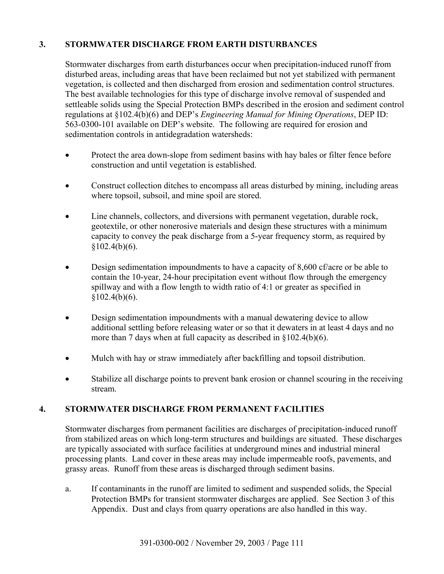# **3. STORMWATER DISCHARGE FROM EARTH DISTURBANCES**

 Stormwater discharges from earth disturbances occur when precipitation-induced runoff from disturbed areas, including areas that have been reclaimed but not yet stabilized with permanent vegetation, is collected and then discharged from erosion and sedimentation control structures. The best available technologies for this type of discharge involve removal of suspended and settleable solids using the Special Protection BMPs described in the erosion and sediment control regulations at §102.4(b)(6) and DEP's *Engineering Manual for Mining Operations*, DEP ID: 563-0300-101 available on DEP's website. The following are required for erosion and sedimentation controls in antidegradation watersheds:

- Protect the area down-slope from sediment basins with hay bales or filter fence before construction and until vegetation is established.
- Construct collection ditches to encompass all areas disturbed by mining, including areas where topsoil, subsoil, and mine spoil are stored.
- Line channels, collectors, and diversions with permanent vegetation, durable rock, geotextile, or other nonerosive materials and design these structures with a minimum capacity to convey the peak discharge from a 5-year frequency storm, as required by  $§102.4(b)(6).$
- Design sedimentation impoundments to have a capacity of 8,600 cf/acre or be able to contain the 10-year, 24-hour precipitation event without flow through the emergency spillway and with a flow length to width ratio of 4:1 or greater as specified in  $§102.4(b)(6).$
- Design sedimentation impoundments with a manual dewatering device to allow additional settling before releasing water or so that it dewaters in at least 4 days and no more than 7 days when at full capacity as described in §102.4(b)(6).
- Mulch with hay or straw immediately after backfilling and topsoil distribution.
- Stabilize all discharge points to prevent bank erosion or channel scouring in the receiving stream.

## **4. STORMWATER DISCHARGE FROM PERMANENT FACILITIES**

 Stormwater discharges from permanent facilities are discharges of precipitation-induced runoff from stabilized areas on which long-term structures and buildings are situated. These discharges are typically associated with surface facilities at underground mines and industrial mineral processing plants. Land cover in these areas may include impermeable roofs, pavements, and grassy areas. Runoff from these areas is discharged through sediment basins.

a. If contaminants in the runoff are limited to sediment and suspended solids, the Special Protection BMPs for transient stormwater discharges are applied. See Section 3 of this Appendix. Dust and clays from quarry operations are also handled in this way.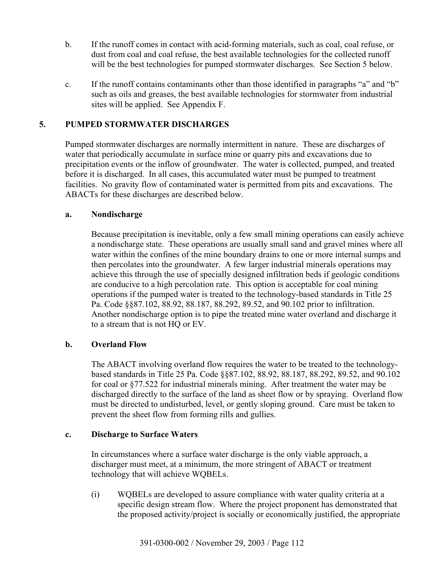- b. If the runoff comes in contact with acid-forming materials, such as coal, coal refuse, or dust from coal and coal refuse, the best available technologies for the collected runoff will be the best technologies for pumped stormwater discharges. See Section 5 below.
- c. If the runoff contains contaminants other than those identified in paragraphs "a" and "b" such as oils and greases, the best available technologies for stormwater from industrial sites will be applied. See Appendix F.

## **5. PUMPED STORMWATER DISCHARGES**

Pumped stormwater discharges are normally intermittent in nature. These are discharges of water that periodically accumulate in surface mine or quarry pits and excavations due to precipitation events or the inflow of groundwater. The water is collected, pumped, and treated before it is discharged. In all cases, this accumulated water must be pumped to treatment facilities. No gravity flow of contaminated water is permitted from pits and excavations. The ABACTs for these discharges are described below.

#### **a. Nondischarge**

Because precipitation is inevitable, only a few small mining operations can easily achieve a nondischarge state. These operations are usually small sand and gravel mines where all water within the confines of the mine boundary drains to one or more internal sumps and then percolates into the groundwater. A few larger industrial minerals operations may achieve this through the use of specially designed infiltration beds if geologic conditions are conducive to a high percolation rate. This option is acceptable for coal mining operations if the pumped water is treated to the technology-based standards in Title 25 Pa. Code §§87.102, 88.92, 88.187, 88.292, 89.52, and 90.102 prior to infiltration. Another nondischarge option is to pipe the treated mine water overland and discharge it to a stream that is not HQ or EV.

#### **b. Overland Flow**

The ABACT involving overland flow requires the water to be treated to the technologybased standards in Title 25 Pa. Code §§87.102, 88.92, 88.187, 88.292, 89.52, and 90.102 for coal or §77.522 for industrial minerals mining. After treatment the water may be discharged directly to the surface of the land as sheet flow or by spraying. Overland flow must be directed to undisturbed, level, or gently sloping ground. Care must be taken to prevent the sheet flow from forming rills and gullies.

#### **c. Discharge to Surface Waters**

In circumstances where a surface water discharge is the only viable approach, a discharger must meet, at a minimum, the more stringent of ABACT or treatment technology that will achieve WQBELs.

(i) WQBELs are developed to assure compliance with water quality criteria at a specific design stream flow. Where the project proponent has demonstrated that the proposed activity/project is socially or economically justified, the appropriate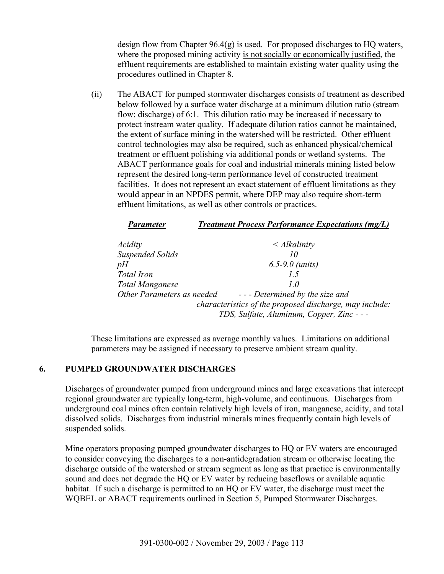design flow from Chapter 96.4(g) is used. For proposed discharges to HQ waters, where the proposed mining activity is not socially or economically justified, the effluent requirements are established to maintain existing water quality using the procedures outlined in Chapter 8.

(ii) The ABACT for pumped stormwater discharges consists of treatment as described below followed by a surface water discharge at a minimum dilution ratio (stream flow: discharge) of 6:1. This dilution ratio may be increased if necessary to protect instream water quality. If adequate dilution ratios cannot be maintained, the extent of surface mining in the watershed will be restricted. Other effluent control technologies may also be required, such as enhanced physical/chemical treatment or effluent polishing via additional ponds or wetland systems. The ABACT performance goals for coal and industrial minerals mining listed below represent the desired long-term performance level of constructed treatment facilities. It does not represent an exact statement of effluent limitations as they would appear in an NPDES permit, where DEP may also require short-term effluent limitations, as well as other controls or practices.

| <b>Parameter</b>           | <b>Treatment Process Performance Expectations (mg/L)</b> |
|----------------------------|----------------------------------------------------------|
| Acidity                    | $\leq$ Alkalinity                                        |
| <b>Suspended Solids</b>    | 10                                                       |
| pH                         | $6.5 - 9.0$ (units)                                      |
| Total Iron                 | 15                                                       |
| <b>Total Manganese</b>     | 1.0                                                      |
| Other Parameters as needed | --- Determined by the size and                           |
|                            | characteristics of the proposed discharge, may include:  |
|                            | TDS, Sulfate, Aluminum, Copper, Zinc - - -               |

These limitations are expressed as average monthly values. Limitations on additional parameters may be assigned if necessary to preserve ambient stream quality.

#### **6. PUMPED GROUNDWATER DISCHARGES**

Discharges of groundwater pumped from underground mines and large excavations that intercept regional groundwater are typically long-term, high-volume, and continuous. Discharges from underground coal mines often contain relatively high levels of iron, manganese, acidity, and total dissolved solids. Discharges from industrial minerals mines frequently contain high levels of suspended solids.

Mine operators proposing pumped groundwater discharges to HQ or EV waters are encouraged to consider conveying the discharges to a non-antidegradation stream or otherwise locating the discharge outside of the watershed or stream segment as long as that practice is environmentally sound and does not degrade the HQ or EV water by reducing baseflows or available aquatic habitat. If such a discharge is permitted to an HQ or EV water, the discharge must meet the WQBEL or ABACT requirements outlined in Section 5, Pumped Stormwater Discharges.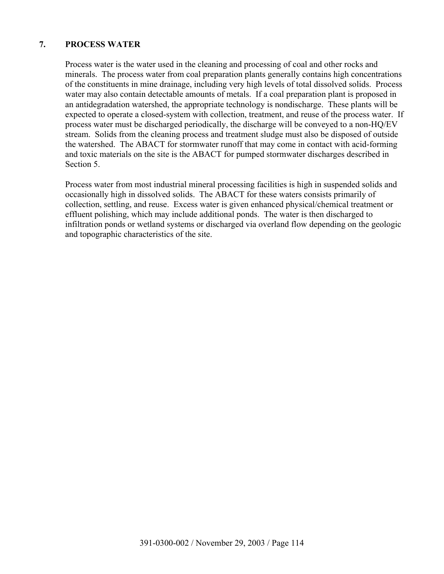## **7. PROCESS WATER**

Process water is the water used in the cleaning and processing of coal and other rocks and minerals. The process water from coal preparation plants generally contains high concentrations of the constituents in mine drainage, including very high levels of total dissolved solids. Process water may also contain detectable amounts of metals. If a coal preparation plant is proposed in an antidegradation watershed, the appropriate technology is nondischarge. These plants will be expected to operate a closed-system with collection, treatment, and reuse of the process water. If process water must be discharged periodically, the discharge will be conveyed to a non-HQ/EV stream. Solids from the cleaning process and treatment sludge must also be disposed of outside the watershed. The ABACT for stormwater runoff that may come in contact with acid-forming and toxic materials on the site is the ABACT for pumped stormwater discharges described in Section 5.

Process water from most industrial mineral processing facilities is high in suspended solids and occasionally high in dissolved solids. The ABACT for these waters consists primarily of collection, settling, and reuse. Excess water is given enhanced physical/chemical treatment or effluent polishing, which may include additional ponds. The water is then discharged to infiltration ponds or wetland systems or discharged via overland flow depending on the geologic and topographic characteristics of the site.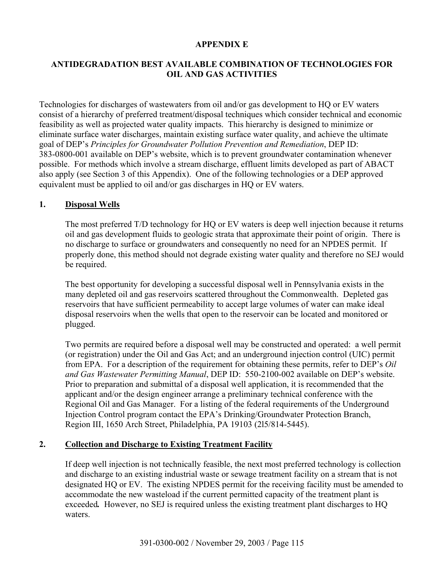## **APPENDIX E**

## **ANTIDEGRADATION BEST AVAILABLE COMBINATION OF TECHNOLOGIES FOR OIL AND GAS ACTIVITIES**

Technologies for discharges of wastewaters from oil and/or gas development to HQ or EV waters consist of a hierarchy of preferred treatment/disposal techniques which consider technical and economic feasibility as well as projected water quality impacts. This hierarchy is designed to minimize or eliminate surface water discharges, maintain existing surface water quality, and achieve the ultimate goal of DEP's *Principles for Groundwater Pollution Prevention and Remediation*, DEP ID: 383-0800-001 available on DEP's website, which is to prevent groundwater contamination whenever possible. For methods which involve a stream discharge, effluent limits developed as part of ABACT also apply (see Section 3 of this Appendix). One of the following technologies or a DEP approved equivalent must be applied to oil and/or gas discharges in HQ or EV waters.

## **1. Disposal Wells**

The most preferred T/D technology for HQ or EV waters is deep well injection because it returns oil and gas development fluids to geologic strata that approximate their point of origin. There is no discharge to surface or groundwaters and consequently no need for an NPDES permit. If properly done, this method should not degrade existing water quality and therefore no SEJ would be required.

The best opportunity for developing a successful disposal well in Pennsylvania exists in the many depleted oil and gas reservoirs scattered throughout the Commonwealth. Depleted gas reservoirs that have sufficient permeability to accept large volumes of water can make ideal disposal reservoirs when the wells that open to the reservoir can be located and monitored or plugged.

Two permits are required before a disposal well may be constructed and operated: a well permit (or registration) under the Oil and Gas Act; and an underground injection control (UIC) permit from EPA. For a description of the requirement for obtaining these permits, refer to DEP's *Oil and Gas Wastewater Permitting Manual*, DEP ID: 550-2100-002 available on DEP's website. Prior to preparation and submittal of a disposal well application, it is recommended that the applicant and/or the design engineer arrange a preliminary technical conference with the Regional Oil and Gas Manager. For a listing of the federal requirements of the Underground Injection Control program contact the EPA's Drinking/Groundwater Protection Branch, Region III, 1650 Arch Street, Philadelphia, PA 19103 (2l5/814-5445).

## **2. Collection and Discharge to Existing Treatment Facility**

If deep well injection is not technically feasible, the next most preferred technology is collection and discharge to an existing industrial waste or sewage treatment facility on a stream that is not designated HQ or EV. The existing NPDES permit for the receiving facility must be amended to accommodate the new wasteload if the current permitted capacity of the treatment plant is exceeded*.* However, no SEJ is required unless the existing treatment plant discharges to HQ waters.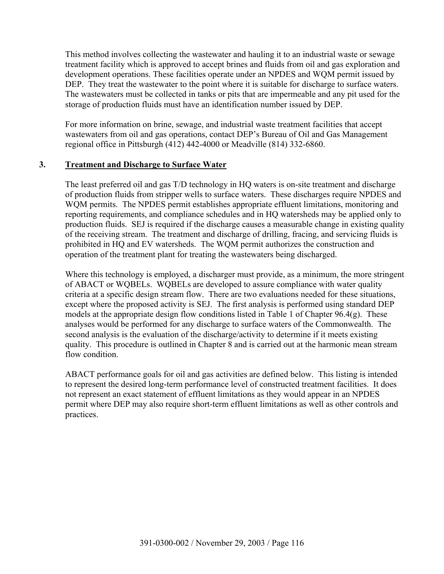This method involves collecting the wastewater and hauling it to an industrial waste or sewage treatment facility which is approved to accept brines and fluids from oil and gas exploration and development operations. These facilities operate under an NPDES and WQM permit issued by DEP. They treat the wastewater to the point where it is suitable for discharge to surface waters. The wastewaters must be collected in tanks or pits that are impermeable and any pit used for the storage of production fluids must have an identification number issued by DEP.

For more information on brine, sewage, and industrial waste treatment facilities that accept wastewaters from oil and gas operations, contact DEP's Bureau of Oil and Gas Management regional office in Pittsburgh (412) 442-4000 or Meadville (814) 332-6860.

## **3. Treatment and Discharge to Surface Water**

The least preferred oil and gas T/D technology in HQ waters is on-site treatment and discharge of production fluids from stripper wells to surface waters. These discharges require NPDES and WQM permits. The NPDES permit establishes appropriate effluent limitations, monitoring and reporting requirements, and compliance schedules and in HQ watersheds may be applied only to production fluids. SEJ is required if the discharge causes a measurable change in existing quality of the receiving stream. The treatment and discharge of drilling, fracing, and servicing fluids is prohibited in HQ and EV watersheds. The WQM permit authorizes the construction and operation of the treatment plant for treating the wastewaters being discharged.

Where this technology is employed, a discharger must provide, as a minimum, the more stringent of ABACT or WQBELs. WQBELs are developed to assure compliance with water quality criteria at a specific design stream flow. There are two evaluations needed for these situations, except where the proposed activity is SEJ. The first analysis is performed using standard DEP models at the appropriate design flow conditions listed in Table 1 of Chapter 96.4(g). These analyses would be performed for any discharge to surface waters of the Commonwealth. The second analysis is the evaluation of the discharge/activity to determine if it meets existing quality. This procedure is outlined in Chapter 8 and is carried out at the harmonic mean stream flow condition

ABACT performance goals for oil and gas activities are defined below. This listing is intended to represent the desired long-term performance level of constructed treatment facilities. It does not represent an exact statement of effluent limitations as they would appear in an NPDES permit where DEP may also require short-term effluent limitations as well as other controls and practices.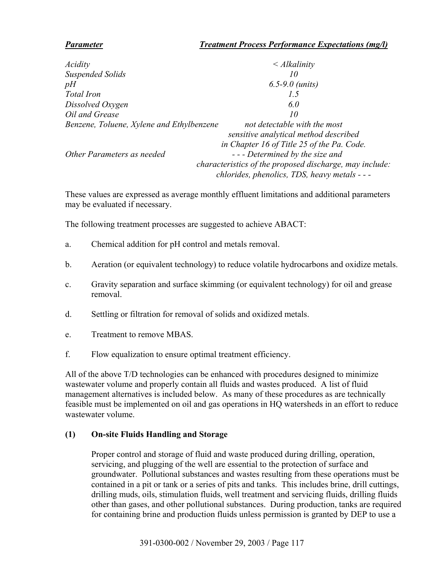## *Parameter Treatment Process Performance Expectations (mg/l)*

| Acidity                                   | $\langle$ Alkalinity                                    |
|-------------------------------------------|---------------------------------------------------------|
| Suspended Solids                          | 10                                                      |
| pН                                        | $6.5 - 9.0$ (units)                                     |
| Total Iron                                | 1.5                                                     |
| Dissolved Oxygen                          | 6.0                                                     |
| Oil and Grease                            | 10                                                      |
| Benzene, Toluene, Xylene and Ethylbenzene | not detectable with the most                            |
|                                           | sensitive analytical method described                   |
|                                           | in Chapter 16 of Title 25 of the Pa. Code.              |
| Other Parameters as needed                | --- Determined by the size and                          |
|                                           | characteristics of the proposed discharge, may include: |
|                                           | chlorides, phenolics, TDS, heavy metals - - -           |

These values are expressed as average monthly effluent limitations and additional parameters may be evaluated if necessary.

The following treatment processes are suggested to achieve ABACT:

- a. Chemical addition for pH control and metals removal.
- b. Aeration (or equivalent technology) to reduce volatile hydrocarbons and oxidize metals.
- c. Gravity separation and surface skimming (or equivalent technology) for oil and grease removal.
- d. Settling or filtration for removal of solids and oxidized metals.
- e. Treatment to remove MBAS.
- f. Flow equalization to ensure optimal treatment efficiency.

All of the above T/D technologies can be enhanced with procedures designed to minimize wastewater volume and properly contain all fluids and wastes produced. A list of fluid management alternatives is included below. As many of these procedures as are technically feasible must be implemented on oil and gas operations in HQ watersheds in an effort to reduce wastewater volume.

## **(1) On-site Fluids Handling and Storage**

Proper control and storage of fluid and waste produced during drilling, operation, servicing, and plugging of the well are essential to the protection of surface and groundwater. Pollutional substances and wastes resulting from these operations must be contained in a pit or tank or a series of pits and tanks. This includes brine, drill cuttings, drilling muds, oils, stimulation fluids, well treatment and servicing fluids, drilling fluids other than gases, and other pollutional substances. During production, tanks are required for containing brine and production fluids unless permission is granted by DEP to use a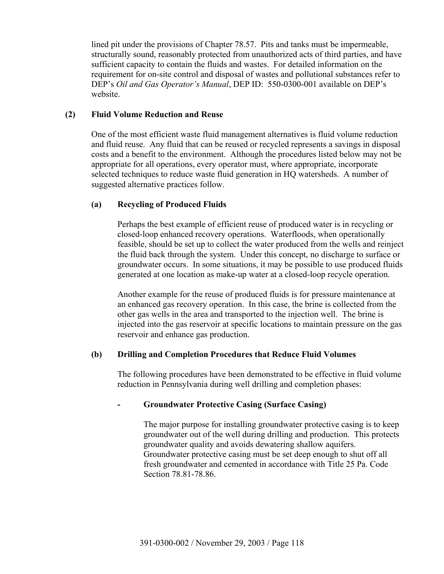lined pit under the provisions of Chapter 78.57. Pits and tanks must be impermeable, structurally sound, reasonably protected from unauthorized acts of third parties, and have sufficient capacity to contain the fluids and wastes. For detailed information on the requirement for on-site control and disposal of wastes and pollutional substances refer to DEP's *Oil and Gas Operator's Manual*, DEP ID: 550-0300-001 available on DEP's website.

#### **(2) Fluid Volume Reduction and Reuse**

One of the most efficient waste fluid management alternatives is fluid volume reduction and fluid reuse. Any fluid that can be reused or recycled represents a savings in disposal costs and a benefit to the environment. Although the procedures listed below may not be appropriate for all operations, every operator must, where appropriate, incorporate selected techniques to reduce waste fluid generation in HQ watersheds. A number of suggested alternative practices follow.

## **(a) Recycling of Produced Fluids**

Perhaps the best example of efficient reuse of produced water is in recycling or closed-loop enhanced recovery operations. Waterfloods, when operationally feasible, should be set up to collect the water produced from the wells and reinject the fluid back through the system. Under this concept, no discharge to surface or groundwater occurs. In some situations, it may be possible to use produced fluids generated at one location as make-up water at a closed-loop recycle operation.

Another example for the reuse of produced fluids is for pressure maintenance at an enhanced gas recovery operation. In this case, the brine is collected from the other gas wells in the area and transported to the injection well. The brine is injected into the gas reservoir at specific locations to maintain pressure on the gas reservoir and enhance gas production.

#### **(b) Drilling and Completion Procedures that Reduce Fluid Volumes**

The following procedures have been demonstrated to be effective in fluid volume reduction in Pennsylvania during well drilling and completion phases:

## **- Groundwater Protective Casing (Surface Casing)**

The major purpose for installing groundwater protective casing is to keep groundwater out of the well during drilling and production. This protects groundwater quality and avoids dewatering shallow aquifers. Groundwater protective casing must be set deep enough to shut off all fresh groundwater and cemented in accordance with Title 25 Pa. Code Section 78.81-78.86.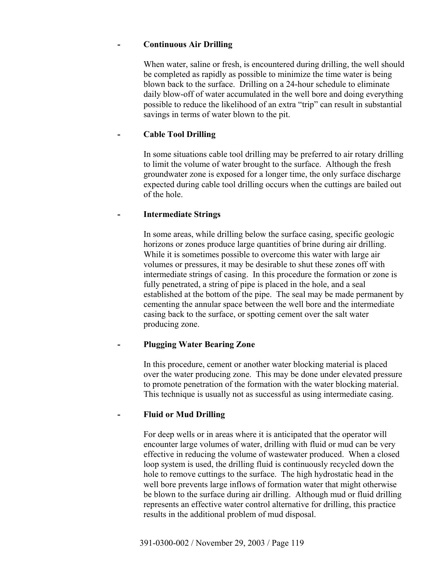## **- Continuous Air Drilling**

When water, saline or fresh, is encountered during drilling, the well should be completed as rapidly as possible to minimize the time water is being blown back to the surface. Drilling on a 24-hour schedule to eliminate daily blow-off of water accumulated in the well bore and doing everything possible to reduce the likelihood of an extra "trip" can result in substantial savings in terms of water blown to the pit.

## **- Cable Tool Drilling**

In some situations cable tool drilling may be preferred to air rotary drilling to limit the volume of water brought to the surface. Although the fresh groundwater zone is exposed for a longer time, the only surface discharge expected during cable tool drilling occurs when the cuttings are bailed out of the hole.

## **- Intermediate Strings**

In some areas, while drilling below the surface casing, specific geologic horizons or zones produce large quantities of brine during air drilling. While it is sometimes possible to overcome this water with large air volumes or pressures, it may be desirable to shut these zones off with intermediate strings of casing. In this procedure the formation or zone is fully penetrated, a string of pipe is placed in the hole, and a seal established at the bottom of the pipe. The seal may be made permanent by cementing the annular space between the well bore and the intermediate casing back to the surface, or spotting cement over the salt water producing zone.

## **- Plugging Water Bearing Zone**

In this procedure, cement or another water blocking material is placed over the water producing zone. This may be done under elevated pressure to promote penetration of the formation with the water blocking material. This technique is usually not as successful as using intermediate casing.

## **- Fluid or Mud Drilling**

For deep wells or in areas where it is anticipated that the operator will encounter large volumes of water, drilling with fluid or mud can be very effective in reducing the volume of wastewater produced. When a closed loop system is used, the drilling fluid is continuously recycled down the hole to remove cuttings to the surface. The high hydrostatic head in the well bore prevents large inflows of formation water that might otherwise be blown to the surface during air drilling. Although mud or fluid drilling represents an effective water control alternative for drilling, this practice results in the additional problem of mud disposal.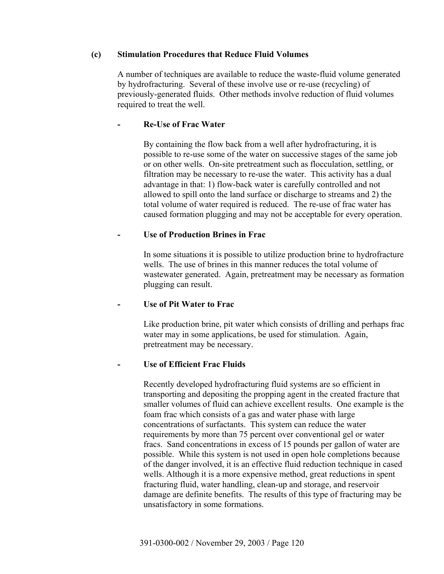## **(c) Stimulation Procedures that Reduce Fluid Volumes**

A number of techniques are available to reduce the waste-fluid volume generated by hydrofracturing. Several of these involve use or re-use (recycling) of previously-generated fluids. Other methods involve reduction of fluid volumes required to treat the well.

## **- Re-Use of Frac Water**

By containing the flow back from a well after hydrofracturing, it is possible to re-use some of the water on successive stages of the same job or on other wells. On-site pretreatment such as flocculation, settling, or filtration may be necessary to re-use the water. This activity has a dual advantage in that: 1) flow-back water is carefully controlled and not allowed to spill onto the land surface or discharge to streams and 2) the total volume of water required is reduced. The re-use of frac water has caused formation plugging and may not be acceptable for every operation.

#### **- Use of Production Brines in Frac**

In some situations it is possible to utilize production brine to hydrofracture wells. The use of brines in this manner reduces the total volume of wastewater generated. Again, pretreatment may be necessary as formation plugging can result.

#### **- Use of Pit Water to Frac**

Like production brine, pit water which consists of drilling and perhaps frac water may in some applications, be used for stimulation. Again, pretreatment may be necessary.

## **- Use of Efficient Frac Fluids**

Recently developed hydrofracturing fluid systems are so efficient in transporting and depositing the propping agent in the created fracture that smaller volumes of fluid can achieve excellent results. One example is the foam frac which consists of a gas and water phase with large concentrations of surfactants. This system can reduce the water requirements by more than 75 percent over conventional gel or water fracs. Sand concentrations in excess of 15 pounds per gallon of water are possible. While this system is not used in open hole completions because of the danger involved, it is an effective fluid reduction technique in cased wells. Although it is a more expensive method, great reductions in spent fracturing fluid, water handling, clean-up and storage, and reservoir damage are definite benefits. The results of this type of fracturing may be unsatisfactory in some formations.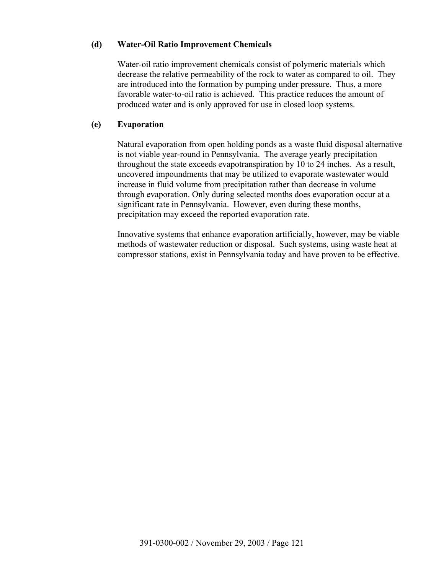## **(d) Water-Oil Ratio Improvement Chemicals**

Water-oil ratio improvement chemicals consist of polymeric materials which decrease the relative permeability of the rock to water as compared to oil. They are introduced into the formation by pumping under pressure. Thus, a more favorable water-to-oil ratio is achieved. This practice reduces the amount of produced water and is only approved for use in closed loop systems.

#### **(e) Evaporation**

Natural evaporation from open holding ponds as a waste fluid disposal alternative is not viable year-round in Pennsylvania. The average yearly precipitation throughout the state exceeds evapotranspiration by 10 to 24 inches. As a result, uncovered impoundments that may be utilized to evaporate wastewater would increase in fluid volume from precipitation rather than decrease in volume through evaporation. Only during selected months does evaporation occur at a significant rate in Pennsylvania. However, even during these months, precipitation may exceed the reported evaporation rate.

Innovative systems that enhance evaporation artificially, however, may be viable methods of wastewater reduction or disposal. Such systems, using waste heat at compressor stations, exist in Pennsylvania today and have proven to be effective.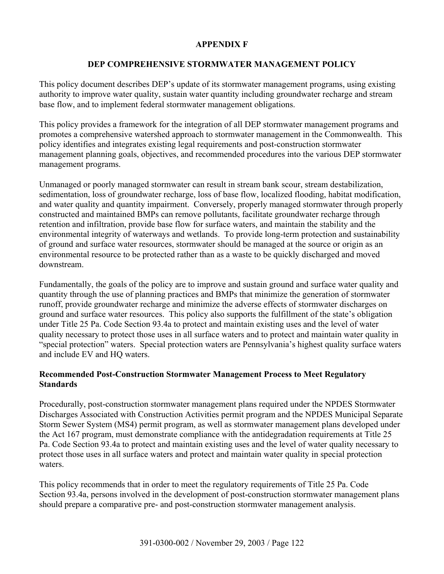## **APPENDIX F**

## **DEP COMPREHENSIVE STORMWATER MANAGEMENT POLICY**

This policy document describes DEP's update of its stormwater management programs, using existing authority to improve water quality, sustain water quantity including groundwater recharge and stream base flow, and to implement federal stormwater management obligations.

This policy provides a framework for the integration of all DEP stormwater management programs and promotes a comprehensive watershed approach to stormwater management in the Commonwealth. This policy identifies and integrates existing legal requirements and post-construction stormwater management planning goals, objectives, and recommended procedures into the various DEP stormwater management programs.

Unmanaged or poorly managed stormwater can result in stream bank scour, stream destabilization, sedimentation, loss of groundwater recharge, loss of base flow, localized flooding, habitat modification, and water quality and quantity impairment. Conversely, properly managed stormwater through properly constructed and maintained BMPs can remove pollutants, facilitate groundwater recharge through retention and infiltration, provide base flow for surface waters, and maintain the stability and the environmental integrity of waterways and wetlands. To provide long-term protection and sustainability of ground and surface water resources, stormwater should be managed at the source or origin as an environmental resource to be protected rather than as a waste to be quickly discharged and moved downstream.

Fundamentally, the goals of the policy are to improve and sustain ground and surface water quality and quantity through the use of planning practices and BMPs that minimize the generation of stormwater runoff, provide groundwater recharge and minimize the adverse effects of stormwater discharges on ground and surface water resources. This policy also supports the fulfillment of the state's obligation under Title 25 Pa. Code Section 93.4a to protect and maintain existing uses and the level of water quality necessary to protect those uses in all surface waters and to protect and maintain water quality in "special protection" waters. Special protection waters are Pennsylvania's highest quality surface waters and include EV and HQ waters.

## **Recommended Post-Construction Stormwater Management Process to Meet Regulatory Standards**

Procedurally, post-construction stormwater management plans required under the NPDES Stormwater Discharges Associated with Construction Activities permit program and the NPDES Municipal Separate Storm Sewer System (MS4) permit program, as well as stormwater management plans developed under the Act 167 program, must demonstrate compliance with the antidegradation requirements at Title 25 Pa. Code Section 93.4a to protect and maintain existing uses and the level of water quality necessary to protect those uses in all surface waters and protect and maintain water quality in special protection waters.

This policy recommends that in order to meet the regulatory requirements of Title 25 Pa. Code Section 93.4a, persons involved in the development of post-construction stormwater management plans should prepare a comparative pre- and post-construction stormwater management analysis.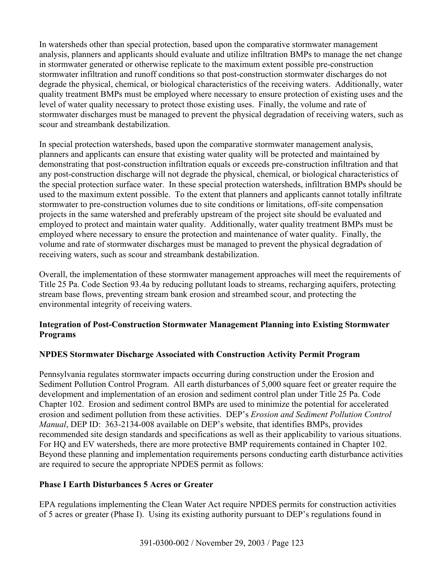In watersheds other than special protection, based upon the comparative stormwater management analysis, planners and applicants should evaluate and utilize infiltration BMPs to manage the net change in stormwater generated or otherwise replicate to the maximum extent possible pre-construction stormwater infiltration and runoff conditions so that post-construction stormwater discharges do not degrade the physical, chemical, or biological characteristics of the receiving waters. Additionally, water quality treatment BMPs must be employed where necessary to ensure protection of existing uses and the level of water quality necessary to protect those existing uses. Finally, the volume and rate of stormwater discharges must be managed to prevent the physical degradation of receiving waters, such as scour and streambank destabilization.

In special protection watersheds, based upon the comparative stormwater management analysis, planners and applicants can ensure that existing water quality will be protected and maintained by demonstrating that post-construction infiltration equals or exceeds pre-construction infiltration and that any post-construction discharge will not degrade the physical, chemical, or biological characteristics of the special protection surface water. In these special protection watersheds, infiltration BMPs should be used to the maximum extent possible. To the extent that planners and applicants cannot totally infiltrate stormwater to pre-construction volumes due to site conditions or limitations, off-site compensation projects in the same watershed and preferably upstream of the project site should be evaluated and employed to protect and maintain water quality. Additionally, water quality treatment BMPs must be employed where necessary to ensure the protection and maintenance of water quality. Finally, the volume and rate of stormwater discharges must be managed to prevent the physical degradation of receiving waters, such as scour and streambank destabilization.

Overall, the implementation of these stormwater management approaches will meet the requirements of Title 25 Pa. Code Section 93.4a by reducing pollutant loads to streams, recharging aquifers, protecting stream base flows, preventing stream bank erosion and streambed scour, and protecting the environmental integrity of receiving waters.

## **Integration of Post-Construction Stormwater Management Planning into Existing Stormwater Programs**

# **NPDES Stormwater Discharge Associated with Construction Activity Permit Program**

Pennsylvania regulates stormwater impacts occurring during construction under the Erosion and Sediment Pollution Control Program. All earth disturbances of 5,000 square feet or greater require the development and implementation of an erosion and sediment control plan under Title 25 Pa. Code Chapter 102. Erosion and sediment control BMPs are used to minimize the potential for accelerated erosion and sediment pollution from these activities. DEP's *Erosion and Sediment Pollution Control Manual*, DEP ID: 363-2134-008 available on DEP's website, that identifies BMPs, provides recommended site design standards and specifications as well as their applicability to various situations. For HQ and EV watersheds, there are more protective BMP requirements contained in Chapter 102. Beyond these planning and implementation requirements persons conducting earth disturbance activities are required to secure the appropriate NPDES permit as follows:

## **Phase I Earth Disturbances 5 Acres or Greater**

EPA regulations implementing the Clean Water Act require NPDES permits for construction activities of 5 acres or greater (Phase I). Using its existing authority pursuant to DEP's regulations found in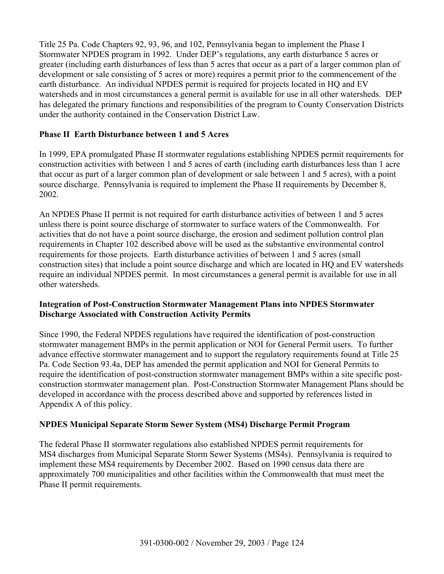Title 25 Pa. Code Chapters 92, 93, 96, and 102, Pennsylvania began to implement the Phase I Stormwater NPDES program in 1992. Under DEP's regulations, any earth disturbance 5 acres or greater (including earth disturbances of less than 5 acres that occur as a part of a larger common plan of development or sale consisting of 5 acres or more) requires a permit prior to the commencement of the earth disturbance. An individual NPDES permit is required for projects located in HQ and EV watersheds and in most circumstances a general permit is available for use in all other watersheds. DEP has delegated the primary functions and responsibilities of the program to County Conservation Districts under the authority contained in the Conservation District Law.

# **Phase II Earth Disturbance between 1 and 5 Acres**

In 1999, EPA promulgated Phase II stormwater regulations establishing NPDES permit requirements for construction activities with between 1 and 5 acres of earth (including earth disturbances less than 1 acre that occur as part of a larger common plan of development or sale between 1 and 5 acres), with a point source discharge. Pennsylvania is required to implement the Phase II requirements by December 8, 2002.

An NPDES Phase II permit is not required for earth disturbance activities of between 1 and 5 acres unless there is point source discharge of stormwater to surface waters of the Commonwealth. For activities that do not have a point source discharge, the erosion and sediment pollution control plan requirements in Chapter 102 described above will be used as the substantive environmental control requirements for those projects. Earth disturbance activities of between 1 and 5 acres (small construction sites) that include a point source discharge and which are located in HQ and EV watersheds require an individual NPDES permit. In most circumstances a general permit is available for use in all other watersheds.

## **Integration of Post-Construction Stormwater Management Plans into NPDES Stormwater Discharge Associated with Construction Activity Permits**

Since 1990, the Federal NPDES regulations have required the identification of post-construction stormwater management BMPs in the permit application or NOI for General Permit users. To further advance effective stormwater management and to support the regulatory requirements found at Title 25 Pa. Code Section 93.4a, DEP has amended the permit application and NOI for General Permits to require the identification of post-construction stormwater management BMPs within a site specific postconstruction stormwater management plan. Post-Construction Stormwater Management Plans should be developed in accordance with the process described above and supported by references listed in Appendix A of this policy.

# **NPDES Municipal Separate Storm Sewer System (MS4) Discharge Permit Program**

The federal Phase II stormwater regulations also established NPDES permit requirements for MS4 discharges from Municipal Separate Storm Sewer Systems (MS4s). Pennsylvania is required to implement these MS4 requirements by December 2002. Based on 1990 census data there are approximately 700 municipalities and other facilities within the Commonwealth that must meet the Phase II permit requirements.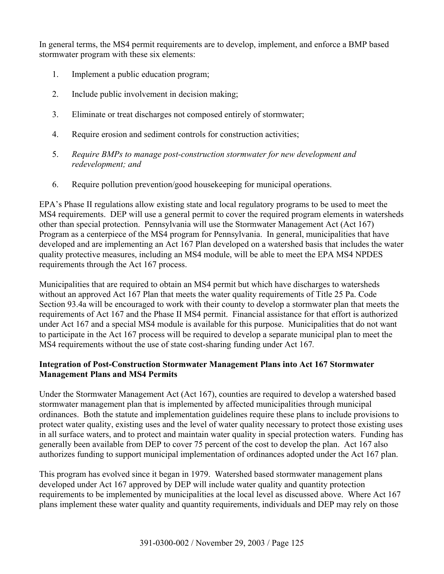In general terms, the MS4 permit requirements are to develop, implement, and enforce a BMP based stormwater program with these six elements:

- 1. Implement a public education program;
- 2. Include public involvement in decision making;
- 3. Eliminate or treat discharges not composed entirely of stormwater;
- 4. Require erosion and sediment controls for construction activities;
- 5. *Require BMPs to manage post-construction stormwater for new development and redevelopment; and*
- 6. Require pollution prevention/good housekeeping for municipal operations.

EPA's Phase II regulations allow existing state and local regulatory programs to be used to meet the MS4 requirements. DEP will use a general permit to cover the required program elements in watersheds other than special protection. Pennsylvania will use the Stormwater Management Act (Act 167) Program as a centerpiece of the MS4 program for Pennsylvania. In general, municipalities that have developed and are implementing an Act 167 Plan developed on a watershed basis that includes the water quality protective measures, including an MS4 module, will be able to meet the EPA MS4 NPDES requirements through the Act 167 process.

Municipalities that are required to obtain an MS4 permit but which have discharges to watersheds without an approved Act 167 Plan that meets the water quality requirements of Title 25 Pa. Code Section 93.4a will be encouraged to work with their county to develop a stormwater plan that meets the requirements of Act 167 and the Phase II MS4 permit. Financial assistance for that effort is authorized under Act 167 and a special MS4 module is available for this purpose. Municipalities that do not want to participate in the Act 167 process will be required to develop a separate municipal plan to meet the MS4 requirements without the use of state cost-sharing funding under Act 167*.*

## **Integration of Post-Construction Stormwater Management Plans into Act 167 Stormwater Management Plans and MS4 Permits**

Under the Stormwater Management Act (Act 167), counties are required to develop a watershed based stormwater management plan that is implemented by affected municipalities through municipal ordinances. Both the statute and implementation guidelines require these plans to include provisions to protect water quality, existing uses and the level of water quality necessary to protect those existing uses in all surface waters, and to protect and maintain water quality in special protection waters. Funding has generally been available from DEP to cover 75 percent of the cost to develop the plan. Act 167 also authorizes funding to support municipal implementation of ordinances adopted under the Act 167 plan.

This program has evolved since it began in 1979. Watershed based stormwater management plans developed under Act 167 approved by DEP will include water quality and quantity protection requirements to be implemented by municipalities at the local level as discussed above. Where Act 167 plans implement these water quality and quantity requirements, individuals and DEP may rely on those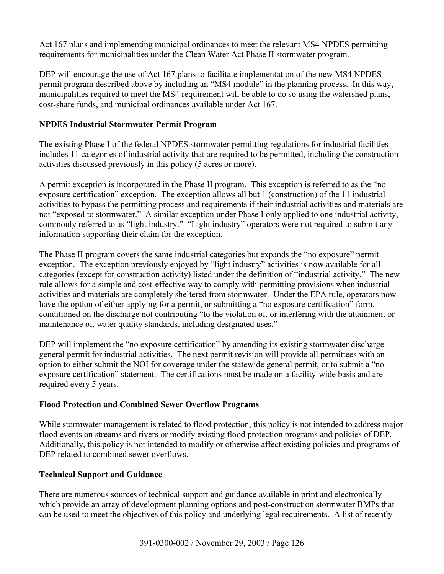Act 167 plans and implementing municipal ordinances to meet the relevant MS4 NPDES permitting requirements for municipalities under the Clean Water Act Phase II stormwater program.

DEP will encourage the use of Act 167 plans to facilitate implementation of the new MS4 NPDES permit program described above by including an "MS4 module" in the planning process. In this way, municipalities required to meet the MS4 requirement will be able to do so using the watershed plans, cost-share funds, and municipal ordinances available under Act 167.

## **NPDES Industrial Stormwater Permit Program**

The existing Phase I of the federal NPDES stormwater permitting regulations for industrial facilities includes 11 categories of industrial activity that are required to be permitted, including the construction activities discussed previously in this policy (5 acres or more).

A permit exception is incorporated in the Phase II program. This exception is referred to as the "no exposure certification" exception. The exception allows all but 1 (construction) of the 11 industrial activities to bypass the permitting process and requirements if their industrial activities and materials are not "exposed to stormwater." A similar exception under Phase I only applied to one industrial activity, commonly referred to as "light industry." "Light industry" operators were not required to submit any information supporting their claim for the exception.

The Phase II program covers the same industrial categories but expands the "no exposure" permit exception. The exception previously enjoyed by "light industry" activities is now available for all categories (except for construction activity) listed under the definition of "industrial activity." The new rule allows for a simple and cost-effective way to comply with permitting provisions when industrial activities and materials are completely sheltered from stormwater. Under the EPA rule, operators now have the option of either applying for a permit, or submitting a "no exposure certification" form, conditioned on the discharge not contributing "to the violation of, or interfering with the attainment or maintenance of, water quality standards, including designated uses."

DEP will implement the "no exposure certification" by amending its existing stormwater discharge general permit for industrial activities. The next permit revision will provide all permittees with an option to either submit the NOI for coverage under the statewide general permit, or to submit a "no exposure certification" statement. The certifications must be made on a facility-wide basis and are required every 5 years.

## **Flood Protection and Combined Sewer Overflow Programs**

While stormwater management is related to flood protection, this policy is not intended to address major flood events on streams and rivers or modify existing flood protection programs and policies of DEP. Additionally, this policy is not intended to modify or otherwise affect existing policies and programs of DEP related to combined sewer overflows.

## **Technical Support and Guidance**

There are numerous sources of technical support and guidance available in print and electronically which provide an array of development planning options and post-construction stormwater BMPs that can be used to meet the objectives of this policy and underlying legal requirements. A list of recently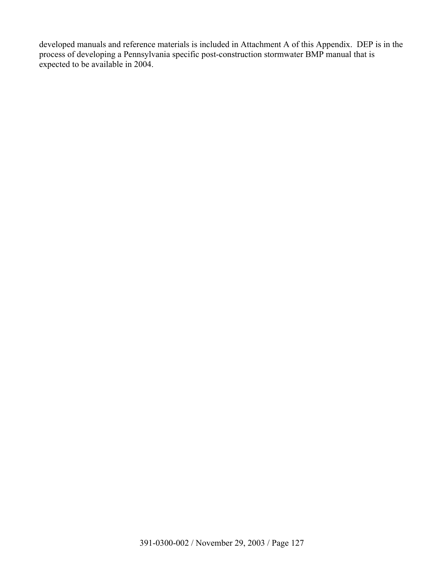developed manuals and reference materials is included in Attachment A of this Appendix. DEP is in the process of developing a Pennsylvania specific post-construction stormwater BMP manual that is expected to be available in 2004.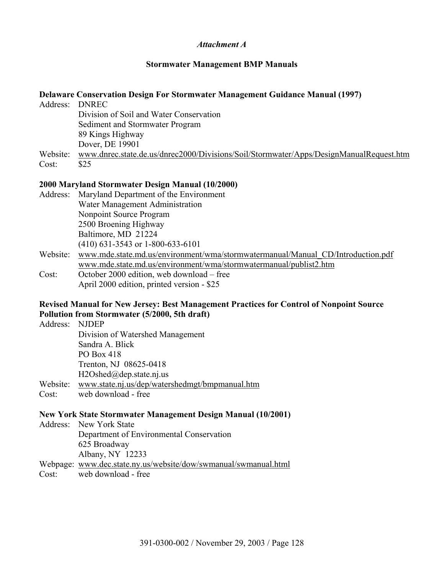#### *Attachment A*

#### **Stormwater Management BMP Manuals**

#### **Delaware Conservation Design For Stormwater Management Guidance Manual (1997)**

| Address: DNREC |                                                                                        |
|----------------|----------------------------------------------------------------------------------------|
|                | Division of Soil and Water Conservation                                                |
|                | Sediment and Stormwater Program                                                        |
|                | 89 Kings Highway                                                                       |
|                | Dover, DE 19901                                                                        |
| Website:       | www.dnrec.state.de.us/dnrec2000/Divisions/Soil/Stormwater/Apps/DesignManualRequest.htm |
| Cost:          | \$25                                                                                   |

## **2000 Maryland Stormwater Design Manual (10/2000)**

| Address: | Maryland Department of the Environment                                          |
|----------|---------------------------------------------------------------------------------|
|          | Water Management Administration                                                 |
|          | Nonpoint Source Program                                                         |
|          | 2500 Broening Highway                                                           |
|          | Baltimore, MD 21224                                                             |
|          | $(410)$ 631-3543 or 1-800-633-6101                                              |
| Website: | www.mde.state.md.us/environment/wma/stormwatermanual/Manual CD/Introduction.pdf |
|          | www.mde.state.md.us/environment/wma/stormwatermanual/publist2.htm               |
| Cost:    | October 2000 edition, web download – free                                       |

April 2000 edition, printed version - \$25

### **Revised Manual for New Jersey: Best Management Practices for Control of Nonpoint Source Pollution from Stormwater (5/2000, 5th draft)**

| Address: NJDEP |                                                                                                                                                                                                                                                                                                  |
|----------------|--------------------------------------------------------------------------------------------------------------------------------------------------------------------------------------------------------------------------------------------------------------------------------------------------|
|                | Division of Watershed Management                                                                                                                                                                                                                                                                 |
|                | Sandra A. Blick                                                                                                                                                                                                                                                                                  |
|                | PO Box 418                                                                                                                                                                                                                                                                                       |
|                | Trenton, NJ 08625-0418                                                                                                                                                                                                                                                                           |
|                | $H2Oshed(\omega)$ dep.state.nj.us                                                                                                                                                                                                                                                                |
|                | $\mathbf{W}$ and $\mathbf{W}$ and $\mathbf{W}$ and $\mathbf{W}$ and $\mathbf{W}$ and $\mathbf{W}$ and $\mathbf{W}$ and $\mathbf{W}$ and $\mathbf{W}$ and $\mathbf{W}$ and $\mathbf{W}$ and $\mathbf{W}$ and $\mathbf{W}$ and $\mathbf{W}$ and $\mathbf{W}$ and $\mathbf{W}$ and $\mathbf{W}$ and |

- Website: www.state.nj.us/dep/watershedmgt/bmpmanual.htm
- Cost: web download free

### **New York State Stormwater Management Design Manual (10/2001)**

Address: New York State Department of Environmental Conservation 625 Broadway Albany, NY 12233

Webpage: www.dec.state.ny.us/website/dow/swmanual/swmanual.html

Cost: web download - free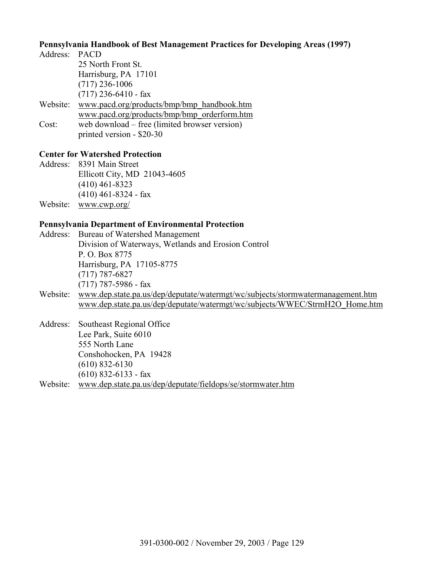#### **Pennsylvania Handbook of Best Management Practices for Developing Areas (1997)**

Address: PACD 25 North Front St. Harrisburg, PA 17101 (717) 236-1006  $(717)$  236-6410 - fax Website: www.pacd.org/products/bmp/bmp\_handbook.htm www.pacd.org/products/bmp/bmp\_orderform.htm Cost: web download – free (limited browser version) printed version - \$20-30

# **Center for Watershed Protection**

Address: 8391 Main Street Ellicott City, MD 21043-4605 (410) 461-8323 (410) 461-8324 - fax Website: www.cwp.org/

#### **Pennsylvania Department of Environmental Protection**

- Address: Bureau of Watershed Management Division of Waterways, Wetlands and Erosion Control P. O. Box 8775 Harrisburg, PA 17105-8775 (717) 787-6827 (717) 787-5986 - fax
- Website: www.dep.state.pa.us/dep/deputate/watermgt/wc/subjects/stormwatermanagement.htm www.dep.state.pa.us/dep/deputate/watermgt/wc/subjects/WWEC/StrmH2O\_Home.htm
- Address: Southeast Regional Office Lee Park, Suite 6010 555 North Lane Conshohocken, PA 19428 (610) 832-6130 (610) 832-6133 - fax Website: www.dep.state.pa.us/dep/deputate/fieldops/se/stormwater.htm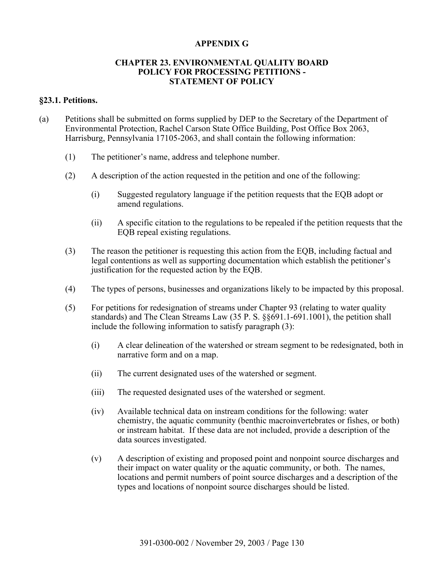### **APPENDIX G**

#### **CHAPTER 23. ENVIRONMENTAL QUALITY BOARD POLICY FOR PROCESSING PETITIONS - STATEMENT OF POLICY**

#### **§23.1. Petitions.**

- (a) Petitions shall be submitted on forms supplied by DEP to the Secretary of the Department of Environmental Protection, Rachel Carson State Office Building, Post Office Box 2063, Harrisburg, Pennsylvania 17105-2063, and shall contain the following information:
	- (1) The petitioner's name, address and telephone number.
	- (2) A description of the action requested in the petition and one of the following:
		- (i) Suggested regulatory language if the petition requests that the EQB adopt or amend regulations.
		- (ii) A specific citation to the regulations to be repealed if the petition requests that the EQB repeal existing regulations.
	- (3) The reason the petitioner is requesting this action from the EQB, including factual and legal contentions as well as supporting documentation which establish the petitioner's justification for the requested action by the EQB.
	- (4) The types of persons, businesses and organizations likely to be impacted by this proposal.
	- (5) For petitions for redesignation of streams under Chapter 93 (relating to water quality standards) and The Clean Streams Law (35 P. S. §§691.1-691.1001), the petition shall include the following information to satisfy paragraph (3):
		- (i) A clear delineation of the watershed or stream segment to be redesignated, both in narrative form and on a map.
		- (ii) The current designated uses of the watershed or segment.
		- (iii) The requested designated uses of the watershed or segment.
		- (iv) Available technical data on instream conditions for the following: water chemistry, the aquatic community (benthic macroinvertebrates or fishes, or both) or instream habitat. If these data are not included, provide a description of the data sources investigated.
		- (v) A description of existing and proposed point and nonpoint source discharges and their impact on water quality or the aquatic community, or both. The names, locations and permit numbers of point source discharges and a description of the types and locations of nonpoint source discharges should be listed.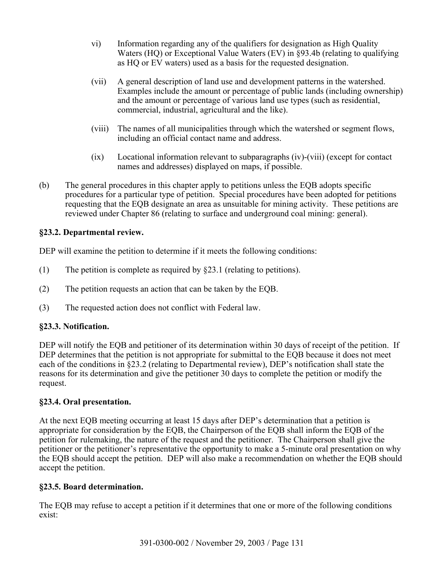- vi) Information regarding any of the qualifiers for designation as High Quality Waters (HQ) or Exceptional Value Waters (EV) in §93.4b (relating to qualifying as HQ or EV waters) used as a basis for the requested designation.
- (vii) A general description of land use and development patterns in the watershed. Examples include the amount or percentage of public lands (including ownership) and the amount or percentage of various land use types (such as residential, commercial, industrial, agricultural and the like).
- (viii) The names of all municipalities through which the watershed or segment flows, including an official contact name and address.
- (ix) Locational information relevant to subparagraphs (iv)-(viii) (except for contact names and addresses) displayed on maps, if possible.
- (b) The general procedures in this chapter apply to petitions unless the EQB adopts specific procedures for a particular type of petition. Special procedures have been adopted for petitions requesting that the EQB designate an area as unsuitable for mining activity. These petitions are reviewed under Chapter 86 (relating to surface and underground coal mining: general).

## **§23.2. Departmental review.**

DEP will examine the petition to determine if it meets the following conditions:

- (1) The petition is complete as required by §23.1 (relating to petitions).
- (2) The petition requests an action that can be taken by the EQB.
- (3) The requested action does not conflict with Federal law.

## **§23.3. Notification.**

DEP will notify the EOB and petitioner of its determination within 30 days of receipt of the petition. If DEP determines that the petition is not appropriate for submittal to the EQB because it does not meet each of the conditions in §23.2 (relating to Departmental review), DEP's notification shall state the reasons for its determination and give the petitioner 30 days to complete the petition or modify the request.

## **§23.4. Oral presentation.**

At the next EQB meeting occurring at least 15 days after DEP's determination that a petition is appropriate for consideration by the EQB, the Chairperson of the EQB shall inform the EQB of the petition for rulemaking, the nature of the request and the petitioner. The Chairperson shall give the petitioner or the petitioner's representative the opportunity to make a 5-minute oral presentation on why the EQB should accept the petition. DEP will also make a recommendation on whether the EQB should accept the petition.

## **§23.5. Board determination.**

The EQB may refuse to accept a petition if it determines that one or more of the following conditions exist: